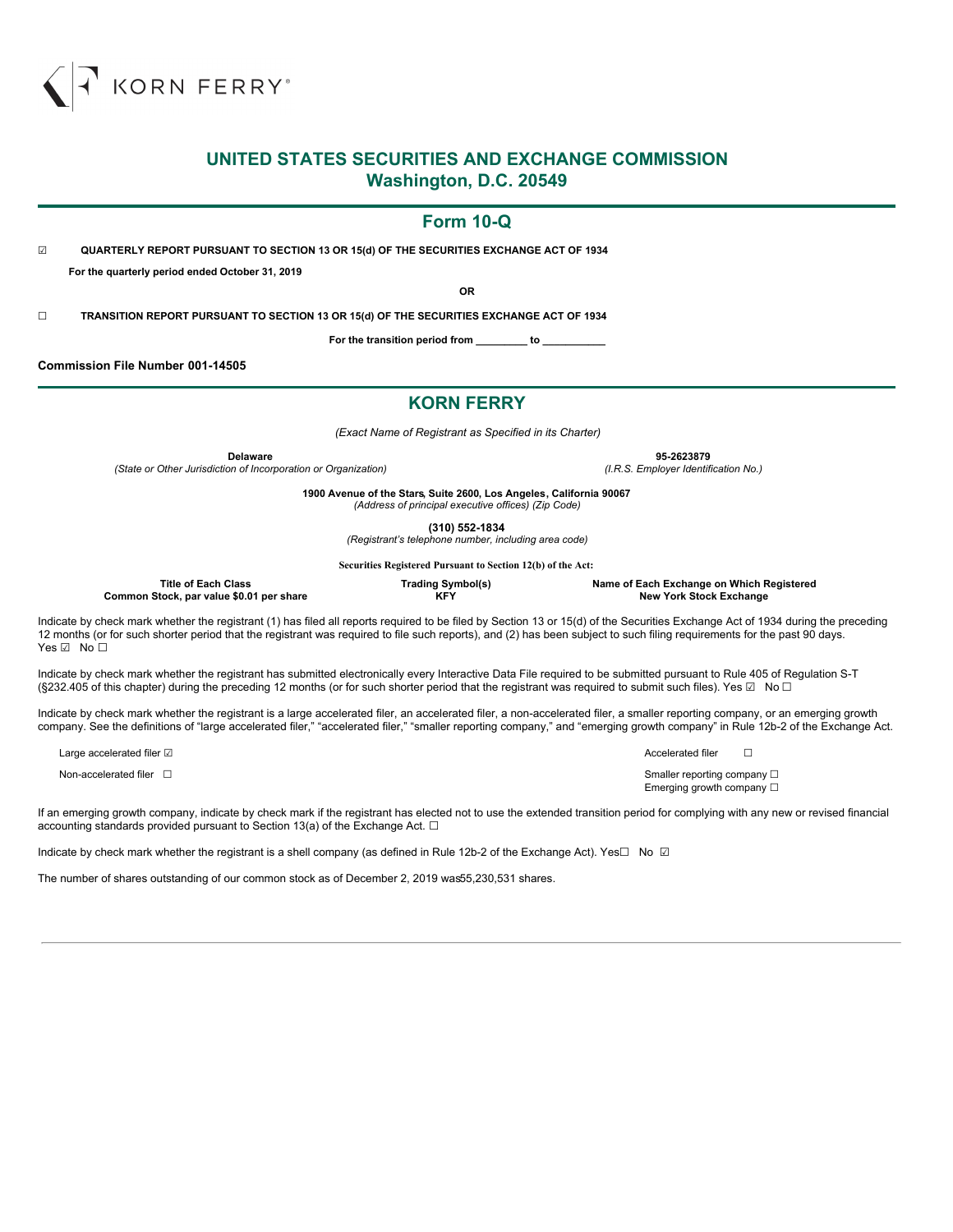

## **UNITED STATES SECURITIES AND EXCHANGE COMMISSION Washington, D.C. 20549**

## **Form 10-Q**

☑ **QUARTERLY REPORT PURSUANT TO SECTION 13 OR 15(d) OF THE SECURITIES EXCHANGE ACT OF 1934 For the quarterly period ended October 31, 2019**

**OR**

☐ **TRANSITION REPORT PURSUANT TO SECTION 13 OR 15(d) OF THE SECURITIES EXCHANGE ACT OF 1934**

**For the transition period from \_\_\_\_\_\_\_\_\_ to \_\_\_\_\_\_\_\_\_\_\_**

**Commission File Number 001-14505**

## **KORN FERRY**

*(Exact Name of Registrant as Specified in its Charter)*

**Delaware 95-2623879**

*(State or Other Jurisdiction of Incorporation or Organization) (I.R.S. Employer Identification No.)*

**1900 Avenue of the Stars, Suite 2600, Los Angeles, California 90067** *(Address of principal executive offices) (Zip Code)*

**(310) 552-1834**

*(Registrant's telephone number, including area code)*

**Securities Registered Pursuant to Section 12(b) of the Act:**

| Title of Each Class                      | Trading Symbol(s) | Name of Each Exchange on Which Registered |
|------------------------------------------|-------------------|-------------------------------------------|
| Common Stock, par value \$0.01 per share | <b>KFY</b>        | New York Stock Exchange                   |
|                                          |                   |                                           |

Indicate by check mark whether the registrant (1) has filed all reports required to be filed by Section 13 or 15(d) of the Securities Exchange Act of 1934 during the preceding 12 months (or for such shorter period that the registrant was required to file such reports), and (2) has been subject to such filing requirements for the past 90 days. Yes ☑ No □

Indicate by check mark whether the registrant has submitted electronically every Interactive Data File required to be submitted pursuant to Rule 405 of Regulation S-T (§232.405 of this chapter) during the preceding 12 months (or for such shorter period that the registrant was required to submit such files). Yes  $\Box$  No  $\Box$ 

Indicate by check mark whether the registrant is a large accelerated filer, an accelerated filer, a non-accelerated filer, a smaller reporting company, or an emerging growth company. See the definitions of "large accelerated filer," "accelerated filer," "smaller reporting company," and "emerging growth company" in Rule 12b-2 of the Exchange Act.

Large accelerated filer ☑ and  $\Box$ 

Non-accelerated filer □ state of production of the state of the state of the state of the state of the state of the state of the state of the state of the state of the state of the state of the state of the state of the s Emerging growth company □

If an emerging growth company, indicate by check mark if the registrant has elected not to use the extended transition period for complying with any new or revised financial accounting standards provided pursuant to Section 13(a) of the Exchange Act.  $\Box$ 

Indicate by check mark whether the registrant is a shell company (as defined in Rule 12b-2 of the Exchange Act). Yes□ No □

The number of shares outstanding of our common stock as of December 2, 2019 was55,230,531 shares.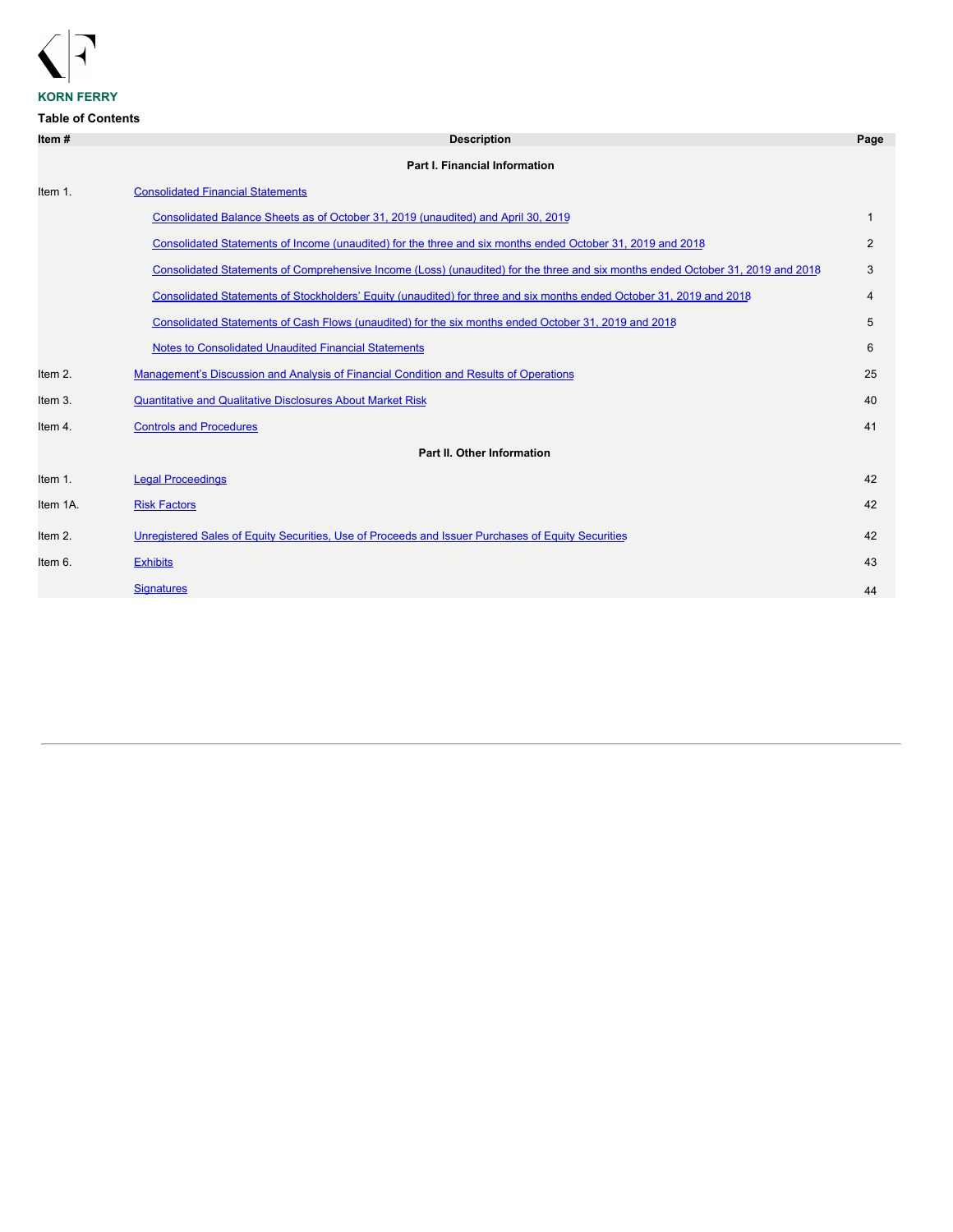

# **KORN FERRY**

## **Table of Contents**

| <b>Description</b>                                                                                                              | Page         |
|---------------------------------------------------------------------------------------------------------------------------------|--------------|
| <b>Part I. Financial Information</b>                                                                                            |              |
| <b>Consolidated Financial Statements</b>                                                                                        |              |
| Consolidated Balance Sheets as of October 31, 2019 (unaudited) and April 30, 2019                                               | $\mathbf{1}$ |
| Consolidated Statements of Income (unaudited) for the three and six months ended October 31, 2019 and 2018                      | 2            |
| Consolidated Statements of Comprehensive Income (Loss) (unaudited) for the three and six months ended October 31, 2019 and 2018 | 3            |
| Consolidated Statements of Stockholders' Equity (unaudited) for three and six months ended October 31, 2019 and 2018            | 4            |
| Consolidated Statements of Cash Flows (unaudited) for the six months ended October 31, 2019 and 2018                            | 5            |
| <b>Notes to Consolidated Unaudited Financial Statements</b>                                                                     | 6            |
| Management's Discussion and Analysis of Financial Condition and Results of Operations                                           | 25           |
| <b>Quantitative and Qualitative Disclosures About Market Risk</b>                                                               | 40           |
| <b>Controls and Procedures</b>                                                                                                  | 41           |
| Part II. Other Information                                                                                                      |              |
| <b>Legal Proceedings</b>                                                                                                        | 42           |
| <b>Risk Factors</b>                                                                                                             | 42           |
| Unregistered Sales of Equity Securities, Use of Proceeds and Issuer Purchases of Equity Securities                              | 42           |
| <b>Exhibits</b>                                                                                                                 | 43           |
| <b>Signatures</b>                                                                                                               | 44           |
|                                                                                                                                 |              |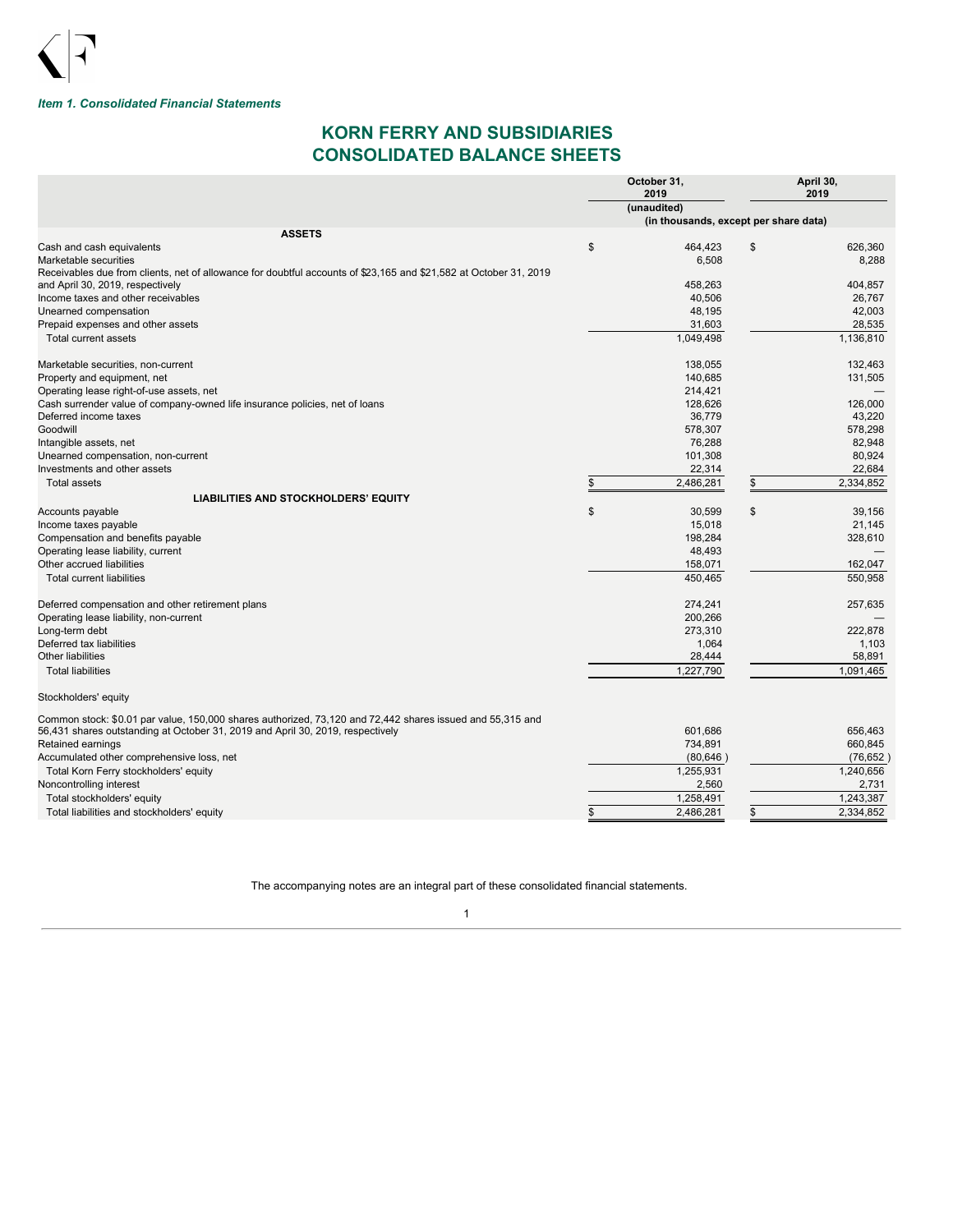

## <span id="page-2-0"></span>*Item 1. Consolidated Financial Statements*

## **KORN FERRY AND SUBSIDIARIES CONSOLIDATED BALANCE SHEETS**

<span id="page-2-1"></span>

|                                                                                                                   | October 31,<br>2019                   | April 30,<br>2019 |           |  |
|-------------------------------------------------------------------------------------------------------------------|---------------------------------------|-------------------|-----------|--|
|                                                                                                                   | (unaudited)                           |                   |           |  |
|                                                                                                                   | (in thousands, except per share data) |                   |           |  |
| <b>ASSETS</b>                                                                                                     |                                       |                   |           |  |
| Cash and cash equivalents                                                                                         | \$<br>464,423                         | \$                | 626.360   |  |
| Marketable securities                                                                                             | 6,508                                 |                   | 8,288     |  |
| Receivables due from clients, net of allowance for doubtful accounts of \$23,165 and \$21,582 at October 31, 2019 |                                       |                   |           |  |
| and April 30, 2019, respectively                                                                                  | 458,263                               |                   | 404,857   |  |
| Income taxes and other receivables                                                                                | 40,506                                |                   | 26,767    |  |
| Unearned compensation                                                                                             | 48,195                                |                   | 42,003    |  |
| Prepaid expenses and other assets                                                                                 | 31,603                                |                   | 28,535    |  |
| Total current assets                                                                                              | 1,049,498                             |                   | 1,136,810 |  |
| Marketable securities, non-current                                                                                | 138,055                               |                   | 132.463   |  |
| Property and equipment, net                                                                                       | 140.685                               |                   | 131.505   |  |
| Operating lease right-of-use assets, net                                                                          | 214,421                               |                   |           |  |
| Cash surrender value of company-owned life insurance policies, net of loans                                       | 128,626                               |                   | 126.000   |  |
| Deferred income taxes                                                                                             | 36.779                                |                   | 43.220    |  |
| Goodwill                                                                                                          | 578,307                               |                   | 578,298   |  |
| Intangible assets, net                                                                                            | 76,288                                |                   | 82,948    |  |
| Unearned compensation, non-current                                                                                | 101,308                               |                   | 80.924    |  |
| Investments and other assets                                                                                      | 22,314                                |                   | 22,684    |  |
| <b>Total assets</b>                                                                                               | 2,486,281                             |                   | 2,334,852 |  |
| <b>LIABILITIES AND STOCKHOLDERS' EQUITY</b>                                                                       |                                       |                   |           |  |
| Accounts payable                                                                                                  | \$<br>30,599                          | \$                | 39.156    |  |
| Income taxes payable                                                                                              | 15,018                                |                   | 21,145    |  |
| Compensation and benefits payable                                                                                 | 198,284                               |                   | 328,610   |  |
| Operating lease liability, current                                                                                | 48,493                                |                   |           |  |
| Other accrued liabilities                                                                                         | 158,071                               |                   | 162.047   |  |
| <b>Total current liabilities</b>                                                                                  | 450,465                               |                   | 550,958   |  |
| Deferred compensation and other retirement plans                                                                  | 274,241                               |                   | 257,635   |  |
| Operating lease liability, non-current                                                                            | 200,266                               |                   |           |  |
| Long-term debt                                                                                                    | 273,310                               |                   | 222,878   |  |
| Deferred tax liabilities                                                                                          | 1,064                                 |                   | 1,103     |  |
| <b>Other liabilities</b>                                                                                          | 28,444                                |                   | 58.891    |  |
| <b>Total liabilities</b>                                                                                          | 1,227,790                             |                   | 1,091,465 |  |
| Stockholders' equity                                                                                              |                                       |                   |           |  |
| Common stock: \$0.01 par value, 150,000 shares authorized, 73,120 and 72,442 shares issued and 55,315 and         |                                       |                   |           |  |
| 56,431 shares outstanding at October 31, 2019 and April 30, 2019, respectively                                    | 601,686                               |                   | 656,463   |  |
| Retained earnings                                                                                                 | 734,891                               |                   | 660,845   |  |
| Accumulated other comprehensive loss, net                                                                         | (80, 646)                             |                   | (76, 652) |  |
| Total Korn Ferry stockholders' equity                                                                             | 1,255,931                             |                   | 1,240,656 |  |
| Noncontrolling interest                                                                                           | 2,560                                 |                   | 2,731     |  |
| Total stockholders' equity                                                                                        | 1,258,491                             |                   | 1,243,387 |  |
| Total liabilities and stockholders' equity                                                                        | \$<br>2,486,281                       | \$                | 2,334,852 |  |

The accompanying notes are an integral part of these consolidated financial statements.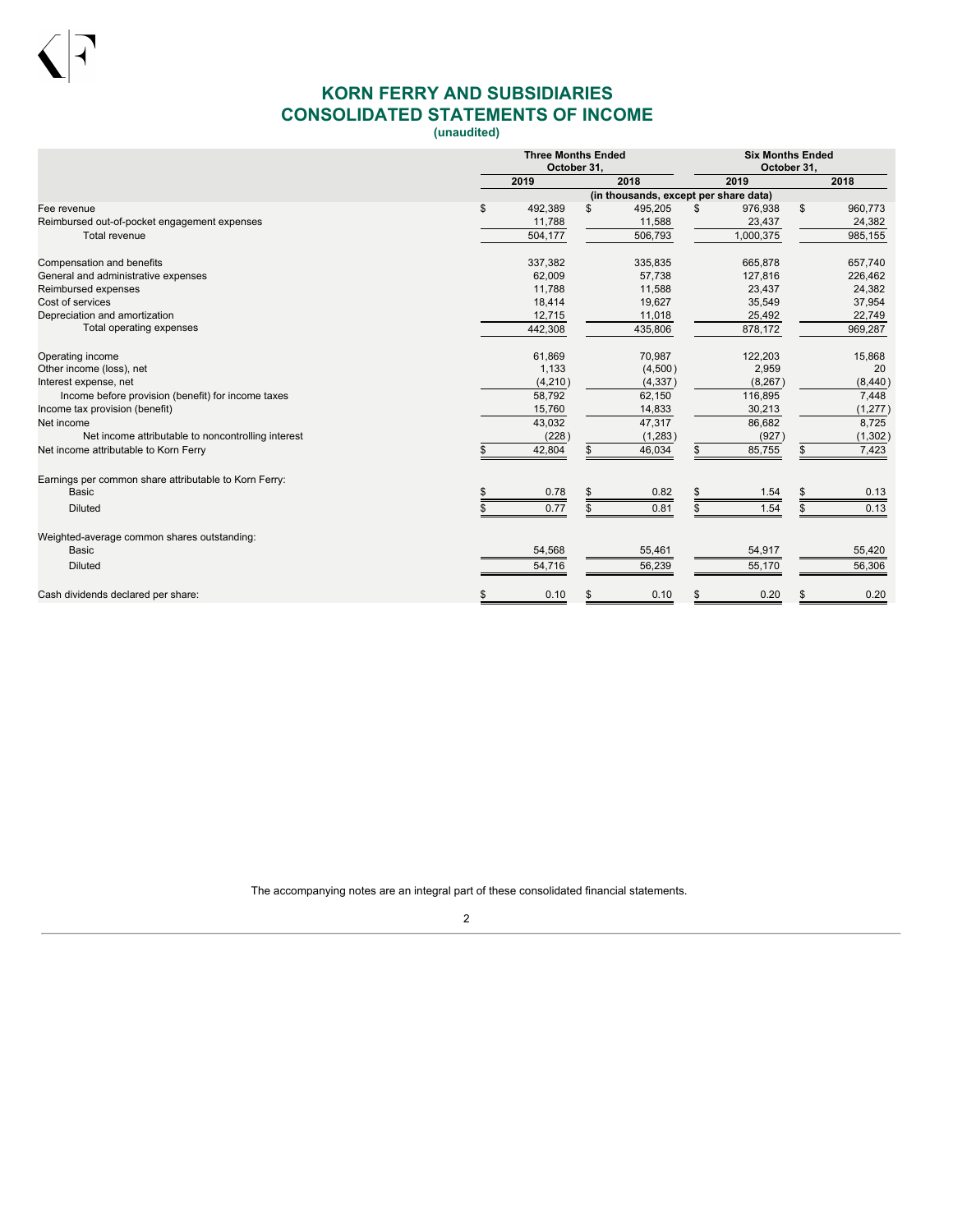

# **KORN FERRY AND SUBSIDIARIES CONSOLIDATED STATEMENTS OF INCOME**

**(unaudited)**

<span id="page-3-0"></span>

|                                                       | <b>Three Months Ended</b><br>October 31, |    |                                       |    |           | <b>Six Months Ended</b><br>October 31, |          |  |  |
|-------------------------------------------------------|------------------------------------------|----|---------------------------------------|----|-----------|----------------------------------------|----------|--|--|
|                                                       | 2019                                     |    | 2018                                  |    | 2019      |                                        | 2018     |  |  |
|                                                       |                                          |    | (in thousands, except per share data) |    |           |                                        |          |  |  |
| Fee revenue                                           | \$<br>492,389                            | \$ | 495,205                               | \$ | 976,938   | \$                                     | 960,773  |  |  |
| Reimbursed out-of-pocket engagement expenses          | 11,788                                   |    | 11,588                                |    | 23,437    |                                        | 24,382   |  |  |
| Total revenue                                         | 504,177                                  |    | 506,793                               |    | 1,000,375 |                                        | 985,155  |  |  |
| Compensation and benefits                             | 337,382                                  |    | 335,835                               |    | 665,878   |                                        | 657,740  |  |  |
| General and administrative expenses                   | 62,009                                   |    | 57,738                                |    | 127,816   |                                        | 226,462  |  |  |
| Reimbursed expenses                                   | 11,788                                   |    | 11,588                                |    | 23,437    |                                        | 24,382   |  |  |
| Cost of services                                      | 18,414                                   |    | 19,627                                |    | 35,549    |                                        | 37,954   |  |  |
| Depreciation and amortization                         | 12,715                                   |    | 11,018                                |    | 25,492    |                                        | 22,749   |  |  |
| Total operating expenses                              | 442,308                                  |    | 435,806                               |    | 878,172   |                                        | 969,287  |  |  |
| Operating income                                      | 61,869                                   |    | 70,987                                |    | 122,203   |                                        | 15,868   |  |  |
| Other income (loss), net                              | 1,133                                    |    | (4,500)                               |    | 2,959     |                                        | 20       |  |  |
| Interest expense, net                                 | (4,210)                                  |    | (4, 337)                              |    | (8, 267)  |                                        | (8, 440) |  |  |
| Income before provision (benefit) for income taxes    | 58,792                                   |    | 62,150                                |    | 116,895   |                                        | 7,448    |  |  |
| Income tax provision (benefit)                        | 15,760                                   |    | 14,833                                |    | 30,213    |                                        | (1, 277) |  |  |
| Net income                                            | 43,032                                   |    | 47,317                                |    | 86,682    |                                        | 8,725    |  |  |
| Net income attributable to noncontrolling interest    | (228)                                    |    | (1,283)                               |    | (927)     |                                        | (1, 302) |  |  |
| Net income attributable to Korn Ferry                 | 42,804                                   |    | 46,034                                |    | 85,755    | \$                                     | 7,423    |  |  |
| Earnings per common share attributable to Korn Ferry: |                                          |    |                                       |    |           |                                        |          |  |  |
| <b>Basic</b>                                          | 0.78                                     |    | 0.82                                  | \$ | 1.54      | \$                                     | 0.13     |  |  |
| <b>Diluted</b>                                        | 0.77                                     |    | 0.81                                  |    | 1.54      |                                        | 0.13     |  |  |
| Weighted-average common shares outstanding:           |                                          |    |                                       |    |           |                                        |          |  |  |
| <b>Basic</b>                                          | 54,568                                   |    | 55,461                                |    | 54,917    |                                        | 55,420   |  |  |
| <b>Diluted</b>                                        | 54,716                                   |    | 56,239                                |    | 55,170    |                                        | 56,306   |  |  |
| Cash dividends declared per share:                    | \$<br>0.10                               |    | 0.10                                  | \$ | 0.20      | \$                                     | 0.20     |  |  |

The accompanying notes are an integral part of these consolidated financial statements.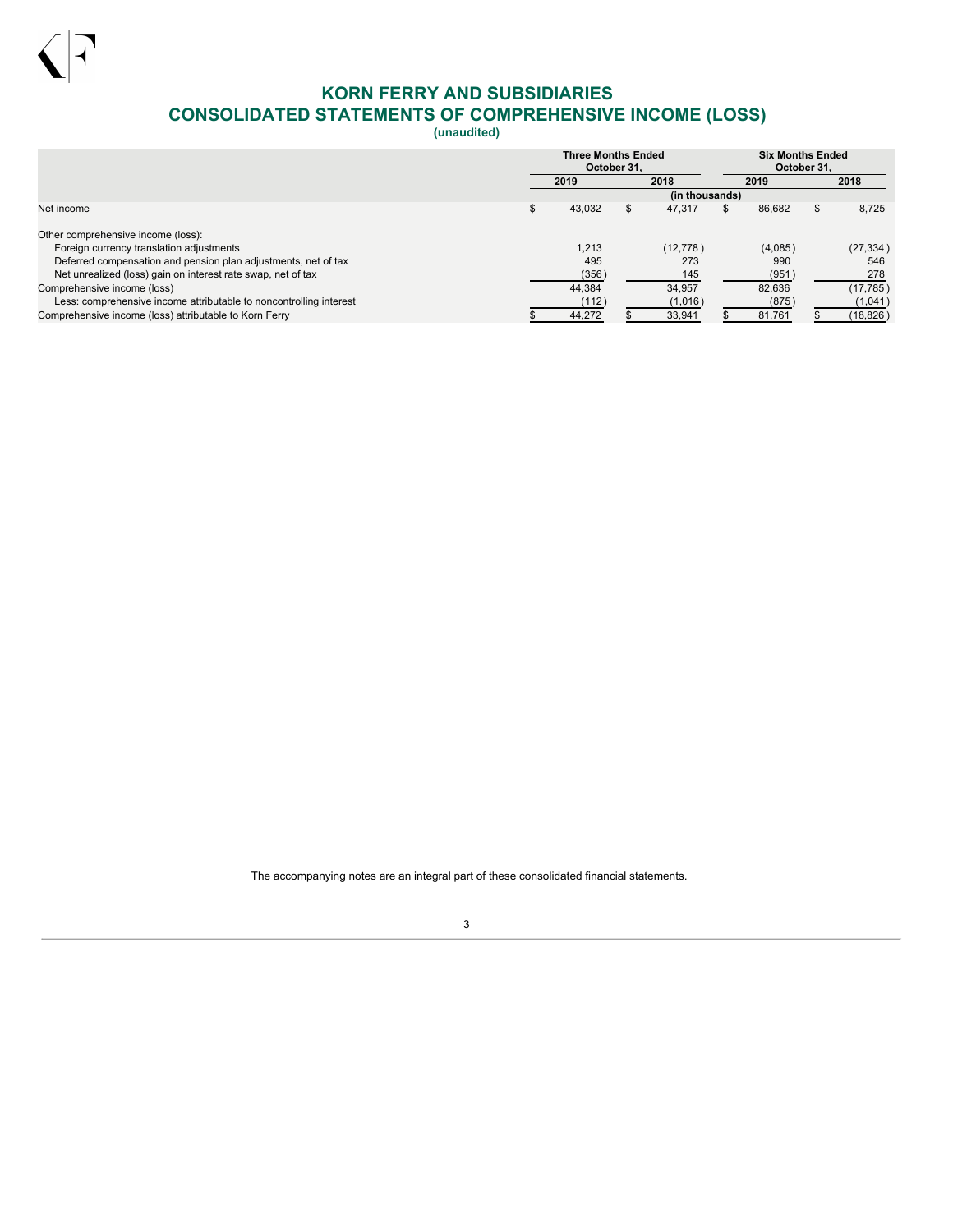

# **KORN FERRY AND SUBSIDIARIES CONSOLIDATED STATEMENTS OF COMPREHENSIVE INCOME (LOSS)**

**(unaudited)**

<span id="page-4-0"></span>

|                                                                    | <b>Three Months Ended</b><br>October 31. |   | <b>Six Months Ended</b><br>October 31. |              |             |
|--------------------------------------------------------------------|------------------------------------------|---|----------------------------------------|--------------|-------------|
|                                                                    | 2019                                     |   | 2018                                   | 2019         | 2018        |
|                                                                    |                                          |   | (in thousands)                         |              |             |
| Net income                                                         | 43,032                                   | S | 47.317                                 | \$<br>86.682 | \$<br>8.725 |
| Other comprehensive income (loss):                                 |                                          |   |                                        |              |             |
| Foreign currency translation adjustments                           | 1.213                                    |   | (12, 778)                              | (4,085)      | (27, 334)   |
| Deferred compensation and pension plan adjustments, net of tax     | 495                                      |   | 273                                    | 990          | 546         |
| Net unrealized (loss) gain on interest rate swap, net of tax       | (356)                                    |   | 145                                    | (951)        | 278         |
| Comprehensive income (loss)                                        | 44.384                                   |   | 34.957                                 | 82.636       | (17, 785)   |
| Less: comprehensive income attributable to noncontrolling interest | (112)                                    |   | (1,016)                                | (875)        | (1,041)     |
| Comprehensive income (loss) attributable to Korn Ferry             | 44,272                                   |   | 33,941                                 | 81,761       | (18, 826)   |

The accompanying notes are an integral part of these consolidated financial statements.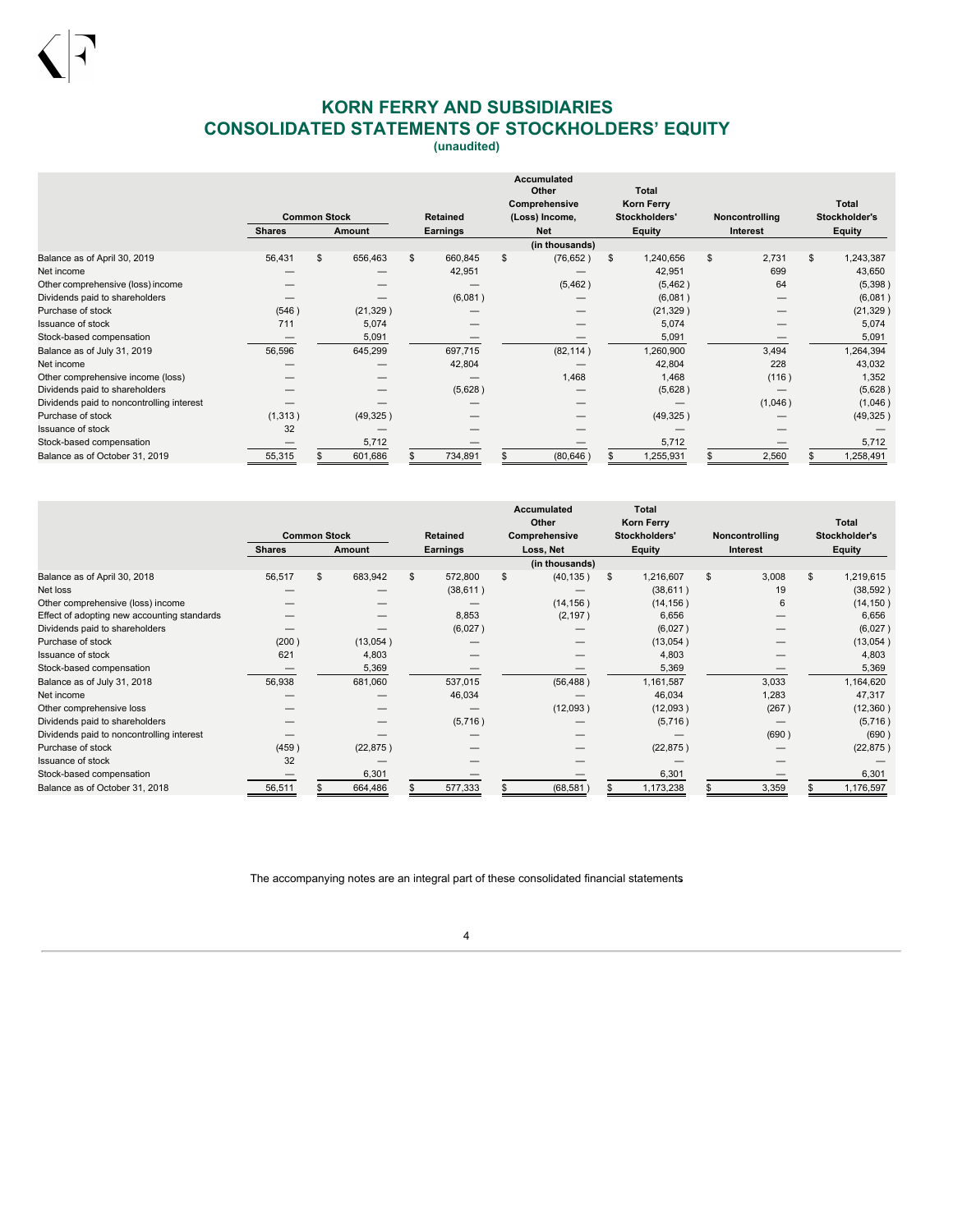# **KORN FERRY AND SUBSIDIARIES CONSOLIDATED STATEMENTS OF STOCKHOLDERS' EQUITY**

**(unaudited)**

<span id="page-5-0"></span>

|                                           | <b>Common Stock</b> |    | <b>Retained</b> | <b>Accumulated</b><br>Other<br>Comprehensive<br>(Loss) Income, |          |  | <b>Total</b><br>Korn Ferry<br>Stockholders' | Noncontrolling | <b>Total</b><br>Stockholder's |             |                 |
|-------------------------------------------|---------------------|----|-----------------|----------------------------------------------------------------|----------|--|---------------------------------------------|----------------|-------------------------------|-------------|-----------------|
|                                           | <b>Shares</b>       |    | <b>Amount</b>   |                                                                | Earnings |  | <b>Net</b>                                  |                | Equity                        | Interest    | <b>Equity</b>   |
|                                           |                     |    |                 |                                                                |          |  | (in thousands)                              |                |                               |             |                 |
| Balance as of April 30, 2019              | 56,431              | \$ | 656,463         | \$                                                             | 660,845  |  | (76, 652)                                   | \$             | 1,240,656                     | \$<br>2,731 | \$<br>1,243,387 |
| Net income                                |                     |    |                 |                                                                | 42,951   |  |                                             |                | 42,951                        | 699         | 43,650          |
| Other comprehensive (loss) income         |                     |    |                 |                                                                |          |  | (5, 462)                                    |                | (5, 462)                      | 64          | (5,398)         |
| Dividends paid to shareholders            |                     |    |                 |                                                                | (6,081)  |  |                                             |                | (6,081)                       |             | (6,081)         |
| Purchase of stock                         | (546)               |    | (21, 329)       |                                                                |          |  |                                             |                | (21, 329)                     |             | (21, 329)       |
| Issuance of stock                         | 711                 |    | 5,074           |                                                                |          |  |                                             |                | 5,074                         |             | 5,074           |
| Stock-based compensation                  | _                   |    | 5,091           |                                                                |          |  |                                             |                | 5,091                         |             | 5,091           |
| Balance as of July 31, 2019               | 56,596              |    | 645,299         |                                                                | 697,715  |  | (82, 114)                                   |                | 1,260,900                     | 3,494       | 1,264,394       |
| Net income                                |                     |    |                 |                                                                | 42,804   |  |                                             |                | 42,804                        | 228         | 43,032          |
| Other comprehensive income (loss)         |                     |    |                 |                                                                |          |  | 1,468                                       |                | 1,468                         | (116)       | 1,352           |
| Dividends paid to shareholders            |                     |    |                 |                                                                | (5,628)  |  |                                             |                | (5,628)                       |             | (5,628)         |
| Dividends paid to noncontrolling interest |                     |    |                 |                                                                |          |  |                                             |                |                               | (1,046)     | (1,046)         |
| Purchase of stock                         | (1, 313)            |    | (49, 325)       |                                                                |          |  |                                             |                | (49, 325)                     |             | (49, 325)       |
| <b>Issuance of stock</b>                  | 32                  |    |                 |                                                                |          |  |                                             |                |                               |             |                 |
| Stock-based compensation                  |                     |    | 5,712           |                                                                |          |  |                                             |                | 5,712                         |             | 5,712           |
| Balance as of October 31, 2019            | 55,315              |    | 601,686         |                                                                | 734,891  |  | (80, 646)                                   |                | 1,255,931                     | 2,560       | 1,258,491       |

|                                             |               |                     |           |                 |               | <b>Accumulated</b><br>Other |        | <b>Total</b><br><b>Korn Ferry</b> |                 |                |    | Total         |  |
|---------------------------------------------|---------------|---------------------|-----------|-----------------|---------------|-----------------------------|--------|-----------------------------------|-----------------|----------------|----|---------------|--|
|                                             |               | <b>Common Stock</b> |           | <b>Retained</b> | Comprehensive |                             |        | Stockholders'                     |                 | Noncontrolling |    | Stockholder's |  |
|                                             | <b>Shares</b> |                     | Amount    | Earnings        |               | Loss, Net                   | Equity |                                   | <b>Interest</b> |                |    | <b>Equity</b> |  |
|                                             |               |                     |           |                 |               | (in thousands)              |        |                                   |                 |                |    |               |  |
| Balance as of April 30, 2018                | 56,517        | \$                  | 683,942   | 572,800         |               | (40, 135)                   | S      | 1,216,607                         | \$              | 3,008          | \$ | 1,219,615     |  |
| Net loss                                    |               |                     |           | (38, 611)       |               |                             |        | (38, 611)                         |                 | 19             |    | (38, 592)     |  |
| Other comprehensive (loss) income           |               |                     |           |                 |               | (14, 156)                   |        | (14, 156)                         |                 | 6              |    | (14, 150)     |  |
| Effect of adopting new accounting standards |               |                     |           | 8,853           |               | (2, 197)                    |        | 6,656                             |                 |                |    | 6,656         |  |
| Dividends paid to shareholders              |               |                     |           | (6,027)         |               |                             |        | (6,027)                           |                 |                |    | (6,027)       |  |
| Purchase of stock                           | (200)         |                     | (13,054)  |                 |               |                             |        | (13,054)                          |                 |                |    | (13,054)      |  |
| <b>Issuance of stock</b>                    | 621           |                     | 4,803     |                 |               |                             |        | 4,803                             |                 |                |    | 4,803         |  |
| Stock-based compensation                    |               |                     | 5,369     |                 |               |                             |        | 5,369                             |                 |                |    | 5,369         |  |
| Balance as of July 31, 2018                 | 56,938        |                     | 681,060   | 537,015         |               | (56, 488)                   |        | 1,161,587                         |                 | 3,033          |    | 1,164,620     |  |
| Net income                                  |               |                     |           | 46,034          |               |                             |        | 46,034                            |                 | 1,283          |    | 47,317        |  |
| Other comprehensive loss                    |               |                     |           |                 |               | (12,093)                    |        | (12,093)                          |                 | (267)          |    | (12, 360)     |  |
| Dividends paid to shareholders              |               |                     |           | (5,716)         |               |                             |        | (5,716)                           |                 |                |    | (5,716)       |  |
| Dividends paid to noncontrolling interest   |               |                     |           |                 |               |                             |        |                                   |                 | (690)          |    | (690)         |  |
| Purchase of stock                           | (459)         |                     | (22, 875) |                 |               |                             |        | (22, 875)                         |                 |                |    | (22, 875)     |  |
| <b>Issuance of stock</b>                    | 32            |                     |           |                 |               |                             |        |                                   |                 |                |    |               |  |
| Stock-based compensation                    |               |                     | 6,301     |                 |               |                             |        | 6,301                             |                 |                |    | 6,301         |  |
| Balance as of October 31, 2018              | 56,511        |                     | 664,486   | 577,333         |               | (68, 581)                   |        | 1,173,238                         |                 | 3,359          |    | 1,176,597     |  |

The accompanying notes are an integral part of these consolidated financial statements.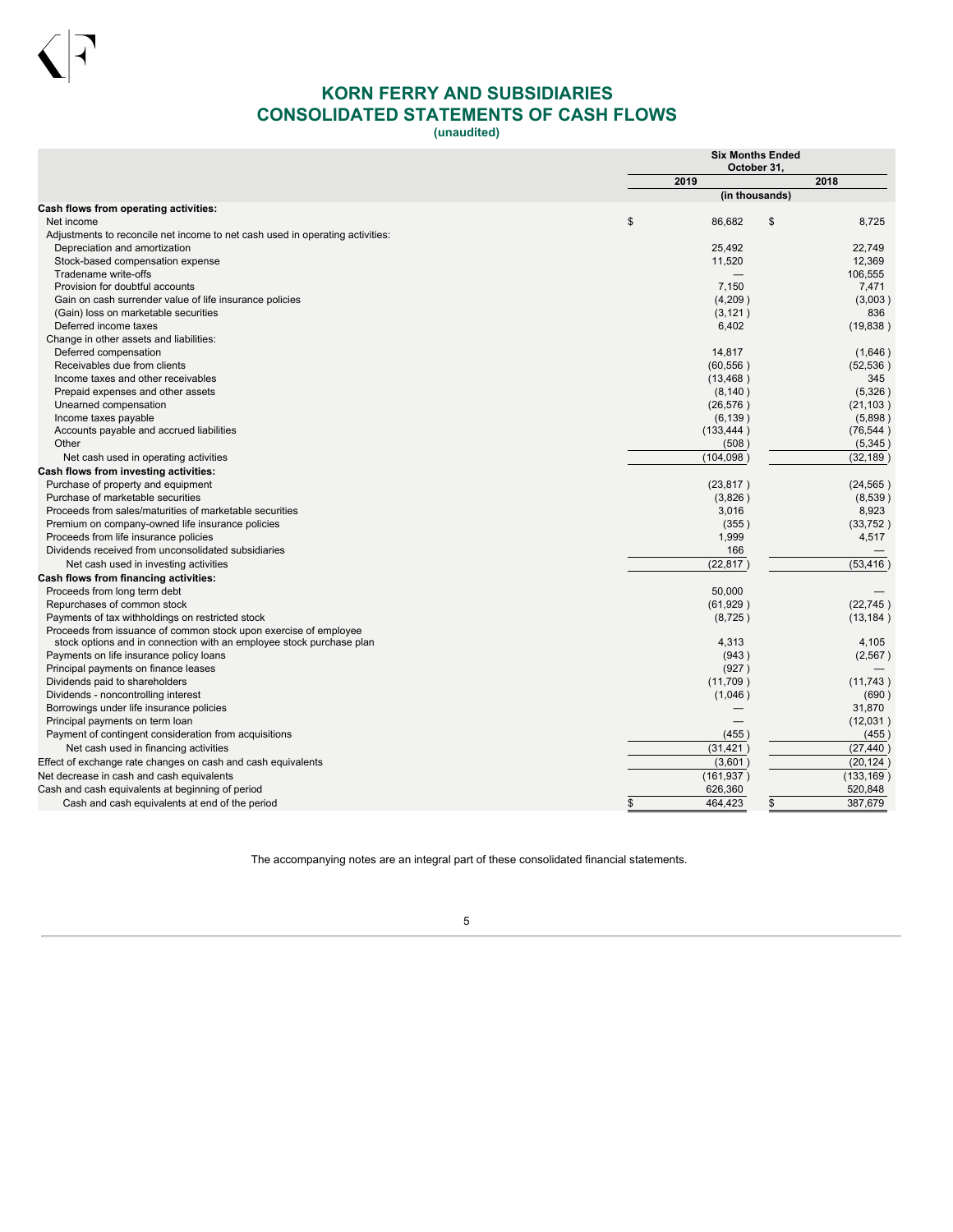

# **KORN FERRY AND SUBSIDIARIES CONSOLIDATED STATEMENTS OF CASH FLOWS**

**(unaudited)**

<span id="page-6-0"></span>

|                                                                               |      | <b>Six Months Ended</b><br>October 31. |    |            |  |  |
|-------------------------------------------------------------------------------|------|----------------------------------------|----|------------|--|--|
|                                                                               | 2019 |                                        |    | 2018       |  |  |
|                                                                               |      | (in thousands)                         |    |            |  |  |
| <b>Cash flows from operating activities:</b><br>Net income                    | \$   | 86,682                                 | \$ | 8,725      |  |  |
| Adjustments to reconcile net income to net cash used in operating activities: |      |                                        |    |            |  |  |
| Depreciation and amortization                                                 |      | 25.492                                 |    | 22.749     |  |  |
| Stock-based compensation expense                                              |      | 11,520                                 |    | 12,369     |  |  |
| Tradename write-offs                                                          |      |                                        |    | 106,555    |  |  |
| Provision for doubtful accounts                                               |      | 7,150                                  |    | 7,471      |  |  |
| Gain on cash surrender value of life insurance policies                       |      | (4,209)                                |    | (3,003)    |  |  |
| (Gain) loss on marketable securities                                          |      | (3, 121)                               |    | 836        |  |  |
| Deferred income taxes                                                         |      | 6,402                                  |    | (19, 838)  |  |  |
| Change in other assets and liabilities:                                       |      |                                        |    |            |  |  |
| Deferred compensation                                                         |      | 14,817                                 |    | (1,646)    |  |  |
| Receivables due from clients                                                  |      | (60, 556)                              |    | (52, 536)  |  |  |
| Income taxes and other receivables                                            |      | (13, 468)                              |    | 345        |  |  |
| Prepaid expenses and other assets                                             |      | (8, 140)                               |    | (5,326)    |  |  |
| Unearned compensation                                                         |      | (26, 576)                              |    | (21, 103)  |  |  |
| Income taxes payable                                                          |      | (6, 139)                               |    | (5,898)    |  |  |
| Accounts payable and accrued liabilities                                      |      | (133, 444)                             |    | (76, 544)  |  |  |
| Other                                                                         |      | (508)                                  |    | (5,345)    |  |  |
| Net cash used in operating activities                                         |      | (104, 098)                             |    | (32, 189)  |  |  |
| Cash flows from investing activities:                                         |      |                                        |    |            |  |  |
| Purchase of property and equipment                                            |      | (23, 817)                              |    | (24, 565)  |  |  |
| Purchase of marketable securities                                             |      | (3,826)                                |    | (8,539)    |  |  |
| Proceeds from sales/maturities of marketable securities                       |      | 3,016                                  |    | 8,923      |  |  |
| Premium on company-owned life insurance policies                              |      | (355)                                  |    | (33,752)   |  |  |
| Proceeds from life insurance policies                                         |      | 1,999                                  |    | 4,517      |  |  |
| Dividends received from unconsolidated subsidiaries                           |      | 166                                    |    |            |  |  |
| Net cash used in investing activities                                         |      | (22, 817)                              |    | (53, 416)  |  |  |
| Cash flows from financing activities:                                         |      |                                        |    |            |  |  |
| Proceeds from long term debt                                                  |      | 50,000                                 |    |            |  |  |
| Repurchases of common stock                                                   |      | (61, 929)                              |    | (22, 745)  |  |  |
| Payments of tax withholdings on restricted stock                              |      | (8, 725)                               |    | (13, 184)  |  |  |
| Proceeds from issuance of common stock upon exercise of employee              |      |                                        |    |            |  |  |
| stock options and in connection with an employee stock purchase plan          |      | 4.313                                  |    | 4,105      |  |  |
| Payments on life insurance policy loans                                       |      | (943)                                  |    | (2, 567)   |  |  |
| Principal payments on finance leases                                          |      | (927)                                  |    |            |  |  |
| Dividends paid to shareholders                                                |      | (11,709)                               |    | (11, 743)  |  |  |
| Dividends - noncontrolling interest                                           |      | (1,046)                                |    | (690)      |  |  |
| Borrowings under life insurance policies                                      |      |                                        |    | 31,870     |  |  |
| Principal payments on term loan                                               |      |                                        |    | (12,031)   |  |  |
| Payment of contingent consideration from acquisitions                         |      | (455)                                  |    | (455)      |  |  |
| Net cash used in financing activities                                         |      | (31, 421)                              |    | (27.440)   |  |  |
| Effect of exchange rate changes on cash and cash equivalents                  |      | (3,601)                                |    | (20, 124)  |  |  |
| Net decrease in cash and cash equivalents                                     |      | (161, 937)                             |    | (133, 169) |  |  |
| Cash and cash equivalents at beginning of period                              |      | 626,360                                |    | 520,848    |  |  |
| Cash and cash equivalents at end of the period                                | \$   | 464,423                                | \$ | 387,679    |  |  |

The accompanying notes are an integral part of these consolidated financial statements.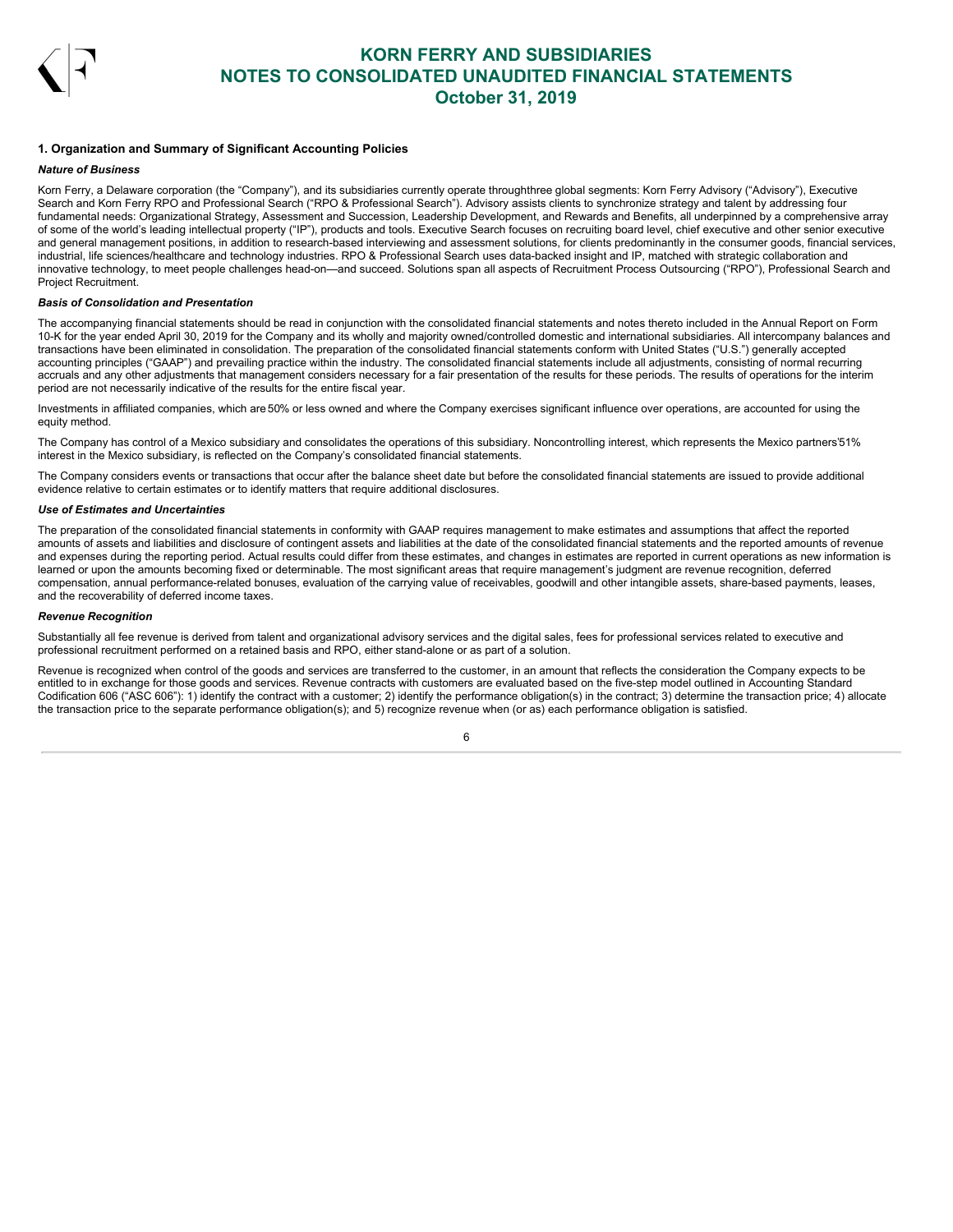

## <span id="page-7-0"></span>**1. Organization and Summary of Significant Accounting Policies**

### *Nature of Business*

Korn Ferry, a Delaware corporation (the "Company"), and its subsidiaries currently operate throughthree global segments: Korn Ferry Advisory ("Advisory"), Executive Search and Korn Ferry RPO and Professional Search ("RPO & Professional Search"). Advisory assists clients to synchronize strategy and talent by addressing four fundamental needs: Organizational Strategy, Assessment and Succession, Leadership Development, and Rewards and Benefits, all underpinned by a comprehensive array of some of the world's leading intellectual property ("IP"), products and tools. Executive Search focuses on recruiting board level, chief executive and other senior executive and general management positions, in addition to research-based interviewing and assessment solutions, for clients predominantly in the consumer goods, financial services, industrial, life sciences/healthcare and technology industries. RPO & Professional Search uses data-backed insight and IP, matched with strategic collaboration and innovative technology, to meet people challenges head-on—and succeed. Solutions span all aspects of Recruitment Process Outsourcing ("RPO"), Professional Search and Project Recruitment.

#### *Basis of Consolidation and Presentation*

The accompanying financial statements should be read in conjunction with the consolidated financial statements and notes thereto included in the Annual Report on Form 10-K for the year ended April 30, 2019 for the Company and its wholly and majority owned/controlled domestic and international subsidiaries. All intercompany balances and transactions have been eliminated in consolidation. The preparation of the consolidated financial statements conform with United States ("U.S.") generally accepted accounting principles ("GAAP") and prevailing practice within the industry. The consolidated financial statements include all adjustments, consisting of normal recurring accruals and any other adjustments that management considers necessary for a fair presentation of the results for these periods. The results of operations for the interim period are not necessarily indicative of the results for the entire fiscal year.

Investments in affiliated companies, which are 50% or less owned and where the Company exercises significant influence over operations, are accounted for using the equity method.

The Company has control of a Mexico subsidiary and consolidates the operations of this subsidiary. Noncontrolling interest, which represents the Mexico partners'51% interest in the Mexico subsidiary, is reflected on the Company's consolidated financial statements.

The Company considers events or transactions that occur after the balance sheet date but before the consolidated financial statements are issued to provide additional evidence relative to certain estimates or to identify matters that require additional disclosures.

#### *Use of Estimates and Uncertainties*

The preparation of the consolidated financial statements in conformity with GAAP requires management to make estimates and assumptions that affect the reported amounts of assets and liabilities and disclosure of contingent assets and liabilities at the date of the consolidated financial statements and the reported amounts of revenue and expenses during the reporting period. Actual results could differ from these estimates, and changes in estimates are reported in current operations as new information is learned or upon the amounts becoming fixed or determinable. The most significant areas that require management's judgment are revenue recognition, deferred compensation, annual performance-related bonuses, evaluation of the carrying value of receivables, goodwill and other intangible assets, share-based payments, leases, and the recoverability of deferred income taxes.

### *Revenue Recognition*

Substantially all fee revenue is derived from talent and organizational advisory services and the digital sales, fees for professional services related to executive and professional recruitment performed on a retained basis and RPO, either stand-alone or as part of a solution.

Revenue is recognized when control of the goods and services are transferred to the customer, in an amount that reflects the consideration the Company expects to be entitled to in exchange for those goods and services. Revenue contracts with customers are evaluated based on the five-step model outlined in Accounting Standard Codification 606 ("ASC 606"): 1) identify the contract with a customer; 2) identify the performance obligation(s) in the contract; 3) determine the transaction price; 4) allocate the transaction price to the separate performance obligation(s); and 5) recognize revenue when (or as) each performance obligation is satisfied.

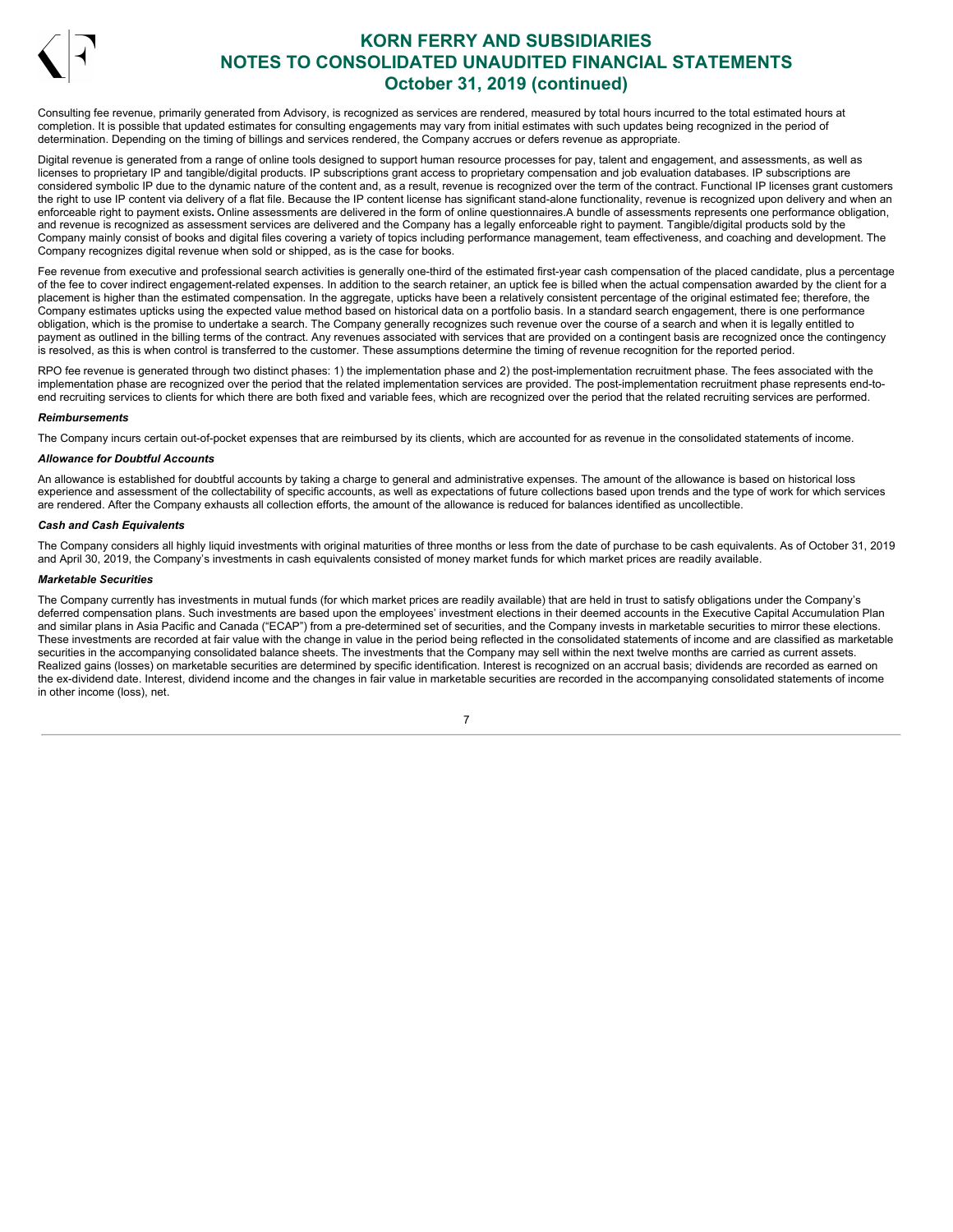

Consulting fee revenue, primarily generated from Advisory, is recognized as services are rendered, measured by total hours incurred to the total estimated hours at completion. It is possible that updated estimates for consulting engagements may vary from initial estimates with such updates being recognized in the period of determination. Depending on the timing of billings and services rendered, the Company accrues or defers revenue as appropriate.

Digital revenue is generated from a range of online tools designed to support human resource processes for pay, talent and engagement, and assessments, as well as licenses to proprietary IP and tangible/digital products. IP subscriptions grant access to proprietary compensation and job evaluation databases. IP subscriptions are considered symbolic IP due to the dynamic nature of the content and, as a result, revenue is recognized over the term of the contract. Functional IP licenses grant customers the right to use IP content via delivery of a flat file. Because the IP content license has significant stand-alone functionality, revenue is recognized upon delivery and when an enforceable right to payment exists**.** Online assessments are delivered in the form of online questionnaires.A bundle of assessments represents one performance obligation, and revenue is recognized as assessment services are delivered and the Company has a legally enforceable right to payment. Tangible/digital products sold by the Company mainly consist of books and digital files covering a variety of topics including performance management, team effectiveness, and coaching and development. The Company recognizes digital revenue when sold or shipped, as is the case for books.

Fee revenue from executive and professional search activities is generally one-third of the estimated first-year cash compensation of the placed candidate, plus a percentage of the fee to cover indirect engagement-related expenses. In addition to the search retainer, an uptick fee is billed when the actual compensation awarded by the client for a placement is higher than the estimated compensation. In the aggregate, upticks have been a relatively consistent percentage of the original estimated fee; therefore, the Company estimates upticks using the expected value method based on historical data on a portfolio basis. In a standard search engagement, there is one performance obligation, which is the promise to undertake a search. The Company generally recognizes such revenue over the course of a search and when it is legally entitled to payment as outlined in the billing terms of the contract. Any revenues associated with services that are provided on a contingent basis are recognized once the contingency is resolved, as this is when control is transferred to the customer. These assumptions determine the timing of revenue recognition for the reported period.

RPO fee revenue is generated through two distinct phases: 1) the implementation phase and 2) the post-implementation recruitment phase. The fees associated with the implementation phase are recognized over the period that the related implementation services are provided. The post-implementation recruitment phase represents end-toend recruiting services to clients for which there are both fixed and variable fees, which are recognized over the period that the related recruiting services are performed.

#### *Reimbursements*

The Company incurs certain out-of-pocket expenses that are reimbursed by its clients, which are accounted for as revenue in the consolidated statements of income.

#### *Allowance for Doubtful Accounts*

An allowance is established for doubtful accounts by taking a charge to general and administrative expenses. The amount of the allowance is based on historical loss experience and assessment of the collectability of specific accounts, as well as expectations of future collections based upon trends and the type of work for which services are rendered. After the Company exhausts all collection efforts, the amount of the allowance is reduced for balances identified as uncollectible.

#### *Cash and Cash Equivalents*

The Company considers all highly liquid investments with original maturities of three months or less from the date of purchase to be cash equivalents. As of October 31, 2019 and April 30, 2019, the Company's investments in cash equivalents consisted of money market funds for which market prices are readily available.

### *Marketable Securities*

The Company currently has investments in mutual funds (for which market prices are readily available) that are held in trust to satisfy obligations under the Company's deferred compensation plans. Such investments are based upon the employees' investment elections in their deemed accounts in the Executive Capital Accumulation Plan and similar plans in Asia Pacific and Canada ("ECAP") from a pre-determined set of securities, and the Company invests in marketable securities to mirror these elections. These investments are recorded at fair value with the change in value in the period being reflected in the consolidated statements of income and are classified as marketable securities in the accompanying consolidated balance sheets. The investments that the Company may sell within the next twelve months are carried as current assets. Realized gains (losses) on marketable securities are determined by specific identification. Interest is recognized on an accrual basis; dividends are recorded as earned on the ex-dividend date. Interest, dividend income and the changes in fair value in marketable securities are recorded in the accompanying consolidated statements of income in other income (loss), net.

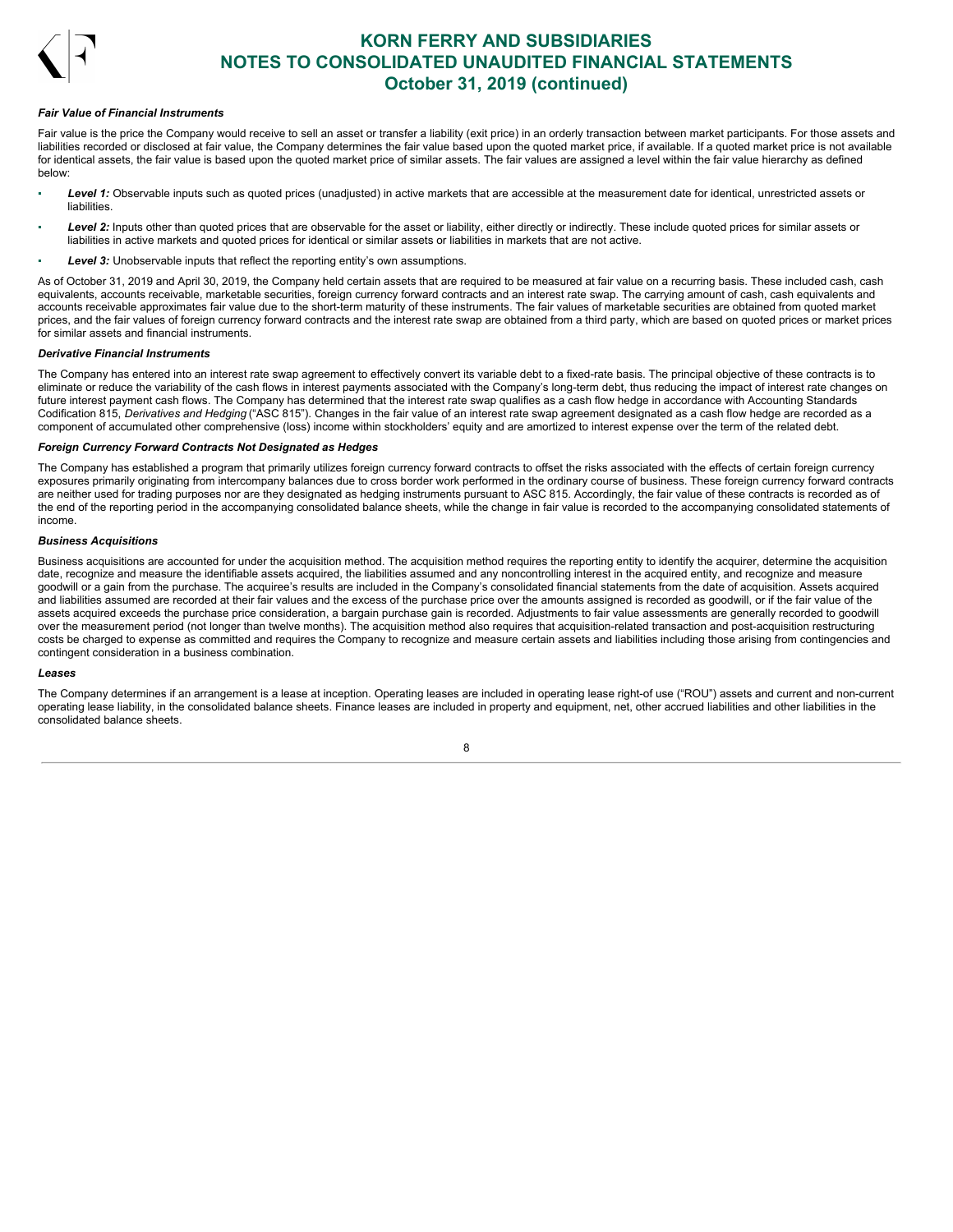

#### *Fair Value of Financial Instruments*

Fair value is the price the Company would receive to sell an asset or transfer a liability (exit price) in an orderly transaction between market participants. For those assets and liabilities recorded or disclosed at fair value, the Company determines the fair value based upon the quoted market price, if available. If a quoted market price is not available for identical assets, the fair value is based upon the quoted market price of similar assets. The fair values are assigned a level within the fair value hierarchy as defined below:

- Level 1: Observable inputs such as quoted prices (unadjusted) in active markets that are accessible at the measurement date for identical, unrestricted assets or liabilities.
- Level 2: Inputs other than quoted prices that are observable for the asset or liability, either directly or indirectly. These include quoted prices for similar assets or liabilities in active markets and quoted prices for identical or similar assets or liabilities in markets that are not active.
- **Level 3:** Unobservable inputs that reflect the reporting entity's own assumptions.

As of October 31, 2019 and April 30, 2019, the Company held certain assets that are required to be measured at fair value on a recurring basis. These included cash, cash equivalents, accounts receivable, marketable securities, foreign currency forward contracts and an interest rate swap. The carrying amount of cash, cash equivalents and accounts receivable approximates fair value due to the short-term maturity of these instruments. The fair values of marketable securities are obtained from quoted market prices, and the fair values of foreign currency forward contracts and the interest rate swap are obtained from a third party, which are based on quoted prices or market prices for similar assets and financial instruments.

### *Derivative Financial Instruments*

The Company has entered into an interest rate swap agreement to effectively convert its variable debt to a fixed-rate basis. The principal objective of these contracts is to eliminate or reduce the variability of the cash flows in interest payments associated with the Company's long-term debt, thus reducing the impact of interest rate changes on future interest payment cash flows. The Company has determined that the interest rate swap qualifies as a cash flow hedge in accordance with Accounting Standards Codification 815, *Derivatives and Hedging* ("ASC 815"). Changes in the fair value of an interest rate swap agreement designated as a cash flow hedge are recorded as a component of accumulated other comprehensive (loss) income within stockholders' equity and are amortized to interest expense over the term of the related debt.

#### *Foreign Currency Forward Contracts Not Designated as Hedges*

The Company has established a program that primarily utilizes foreign currency forward contracts to offset the risks associated with the effects of certain foreign currency exposures primarily originating from intercompany balances due to cross border work performed in the ordinary course of business. These foreign currency forward contracts are neither used for trading purposes nor are they designated as hedging instruments pursuant to ASC 815. Accordingly, the fair value of these contracts is recorded as of the end of the reporting period in the accompanying consolidated balance sheets, while the change in fair value is recorded to the accompanying consolidated statements of income.

#### *Business Acquisitions*

Business acquisitions are accounted for under the acquisition method. The acquisition method requires the reporting entity to identify the acquirer, determine the acquisition date, recognize and measure the identifiable assets acquired, the liabilities assumed and any noncontrolling interest in the acquired entity, and recognize and measure goodwill or a gain from the purchase. The acquiree's results are included in the Company's consolidated financial statements from the date of acquisition. Assets acquired and liabilities assumed are recorded at their fair values and the excess of the purchase price over the amounts assigned is recorded as goodwill, or if the fair value of the assets acquired exceeds the purchase price consideration, a bargain purchase gain is recorded. Adjustments to fair value assessments are generally recorded to goodwill over the measurement period (not longer than twelve months). The acquisition method also requires that acquisition-related transaction and post-acquisition restructuring costs be charged to expense as committed and requires the Company to recognize and measure certain assets and liabilities including those arising from contingencies and contingent consideration in a business combination.

#### *Leases*

The Company determines if an arrangement is a lease at inception. Operating leases are included in operating lease right-of use ("ROU") assets and current and non-current operating lease liability, in the consolidated balance sheets. Finance leases are included in property and equipment, net, other accrued liabilities and other liabilities in the consolidated balance sheets.

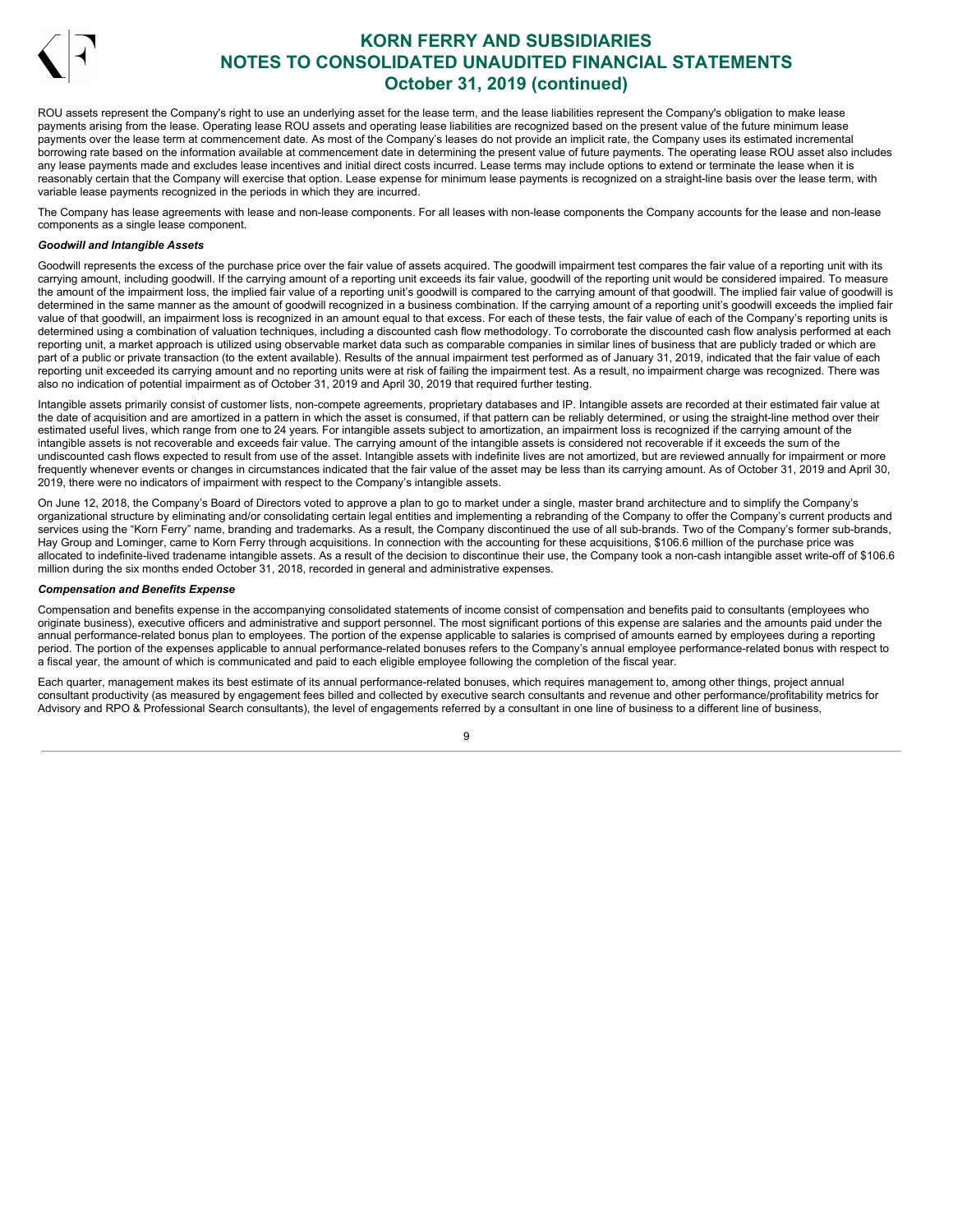

ROU assets represent the Company's right to use an underlying asset for the lease term, and the lease liabilities represent the Company's obligation to make lease payments arising from the lease. Operating lease ROU assets and operating lease liabilities are recognized based on the present value of the future minimum lease payments over the lease term at commencement date. As most of the Company's leases do not provide an implicit rate, the Company uses its estimated incremental borrowing rate based on the information available at commencement date in determining the present value of future payments. The operating lease ROU asset also includes any lease payments made and excludes lease incentives and initial direct costs incurred. Lease terms may include options to extend or terminate the lease when it is reasonably certain that the Company will exercise that option. Lease expense for minimum lease payments is recognized on a straight-line basis over the lease term, with variable lease payments recognized in the periods in which they are incurred.

The Company has lease agreements with lease and non-lease components. For all leases with non-lease components the Company accounts for the lease and non-lease components as a single lease component.

## *Goodwill and Intangible Assets*

Goodwill represents the excess of the purchase price over the fair value of assets acquired. The goodwill impairment test compares the fair value of a reporting unit with its carrying amount, including goodwill. If the carrying amount of a reporting unit exceeds its fair value, goodwill of the reporting unit would be considered impaired. To measure the amount of the impairment loss, the implied fair value of a reporting unit's goodwill is compared to the carrying amount of that goodwill. The implied fair value of goodwill is determined in the same manner as the amount of goodwill recognized in a business combination. If the carrying amount of a reporting unit's goodwill exceeds the implied fair value of that goodwill, an impairment loss is recognized in an amount equal to that excess. For each of these tests, the fair value of each of the Company's reporting units is determined using a combination of valuation techniques, including a discounted cash flow methodology. To corroborate the discounted cash flow analysis performed at each reporting unit, a market approach is utilized using observable market data such as comparable companies in similar lines of business that are publicly traded or which are part of a public or private transaction (to the extent available). Results of the annual impairment test performed as of January 31, 2019, indicated that the fair value of each reporting unit exceeded its carrying amount and no reporting units were at risk of failing the impairment test. As a result, no impairment charge was recognized. There was also no indication of potential impairment as of October 31, 2019 and April 30, 2019 that required further testing.

Intangible assets primarily consist of customer lists, non-compete agreements, proprietary databases and IP. Intangible assets are recorded at their estimated fair value at the date of acquisition and are amortized in a pattern in which the asset is consumed, if that pattern can be reliably determined, or using the straight-line method over their estimated useful lives, which range from one to 24 years. For intangible assets subject to amortization, an impairment loss is recognized if the carrying amount of the intangible assets is not recoverable and exceeds fair value. The carrying amount of the intangible assets is considered not recoverable if it exceeds the sum of the undiscounted cash flows expected to result from use of the asset. Intangible assets with indefinite lives are not amortized, but are reviewed annually for impairment or more frequently whenever events or changes in circumstances indicated that the fair value of the asset may be less than its carrying amount. As of October 31, 2019 and April 30, 2019, there were no indicators of impairment with respect to the Company's intangible assets.

On June 12, 2018, the Company's Board of Directors voted to approve a plan to go to market under a single, master brand architecture and to simplify the Company's organizational structure by eliminating and/or consolidating certain legal entities and implementing a rebranding of the Company to offer the Company's current products and services using the "Korn Ferry" name, branding and trademarks. As a result, the Company discontinued the use of all sub-brands. Two of the Company's former sub-brands, Hay Group and Lominger, came to Korn Ferry through acquisitions. In connection with the accounting for these acquisitions, \$106.6 million of the purchase price was allocated to indefinite-lived tradename intangible assets. As a result of the decision to discontinue their use, the Company took a non-cash intangible asset write-off of \$106.6 million during the six months ended October 31, 2018, recorded in general and administrative expenses.

### *Compensation and Benefits Expense*

Compensation and benefits expense in the accompanying consolidated statements of income consist of compensation and benefits paid to consultants (employees who originate business), executive officers and administrative and support personnel. The most significant portions of this expense are salaries and the amounts paid under the annual performance-related bonus plan to employees. The portion of the expense applicable to salaries is comprised of amounts earned by employees during a reporting period. The portion of the expenses applicable to annual performance-related bonuses refers to the Company's annual employee performance-related bonus with respect to a fiscal year, the amount of which is communicated and paid to each eligible employee following the completion of the fiscal year.

Each quarter, management makes its best estimate of its annual performance-related bonuses, which requires management to, among other things, project annual consultant productivity (as measured by engagement fees billed and collected by executive search consultants and revenue and other performance/profitability metrics for Advisory and RPO & Professional Search consultants), the level of engagements referred by a consultant in one line of business to a different line of business,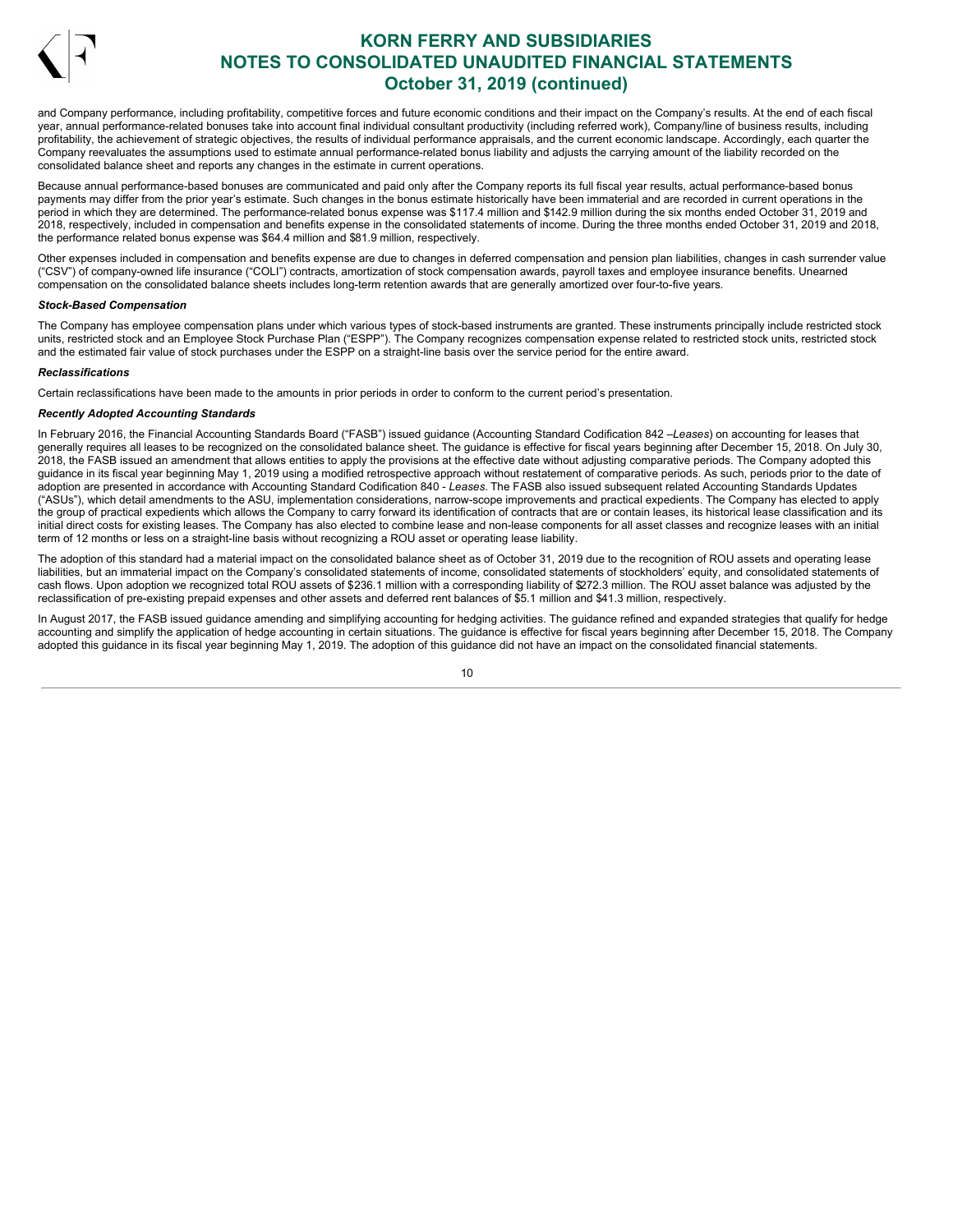

and Company performance, including profitability, competitive forces and future economic conditions and their impact on the Company's results. At the end of each fiscal year, annual performance-related bonuses take into account final individual consultant productivity (including referred work), Company/line of business results, including profitability, the achievement of strategic objectives, the results of individual performance appraisals, and the current economic landscape. Accordingly, each quarter the Company reevaluates the assumptions used to estimate annual performance-related bonus liability and adjusts the carrying amount of the liability recorded on the consolidated balance sheet and reports any changes in the estimate in current operations.

Because annual performance-based bonuses are communicated and paid only after the Company reports its full fiscal year results, actual performance-based bonus payments may differ from the prior year's estimate. Such changes in the bonus estimate historically have been immaterial and are recorded in current operations in the period in which they are determined. The performance-related bonus expense was \$117.4 million and \$142.9 million during the six months ended October 31, 2019 and 2018, respectively, included in compensation and benefits expense in the consolidated statements of income. During the three months ended October 31, 2019 and 2018, the performance related bonus expense was \$64.4 million and \$81.9 million, respectively.

Other expenses included in compensation and benefits expense are due to changes in deferred compensation and pension plan liabilities, changes in cash surrender value ("CSV") of company-owned life insurance ("COLI") contracts, amortization of stock compensation awards, payroll taxes and employee insurance benefits. Unearned compensation on the consolidated balance sheets includes long-term retention awards that are generally amortized over four-to-five years.

### *Stock-Based Compensation*

The Company has employee compensation plans under which various types of stock-based instruments are granted. These instruments principally include restricted stock units, restricted stock and an Employee Stock Purchase Plan ("ESPP"). The Company recognizes compensation expense related to restricted stock units, restricted stock and the estimated fair value of stock purchases under the ESPP on a straight-line basis over the service period for the entire award.

#### *Reclassifications*

Certain reclassifications have been made to the amounts in prior periods in order to conform to the current period's presentation.

#### *Recently Adopted Accounting Standards*

In February 2016, the Financial Accounting Standards Board ("FASB") issued guidance (Accounting Standard Codification 842 –*Leases*) on accounting for leases that generally requires all leases to be recognized on the consolidated balance sheet. The guidance is effective for fiscal years beginning after December 15, 2018. On July 30, 2018, the FASB issued an amendment that allows entities to apply the provisions at the effective date without adjusting comparative periods. The Company adopted this guidance in its fiscal year beginning May 1, 2019 using a modified retrospective approach without restatement of comparative periods. As such, periods prior to the date of adoption are presented in accordance with Accounting Standard Codification 840 - *Leases*. The FASB also issued subsequent related Accounting Standards Updates ("ASUs"), which detail amendments to the ASU, implementation considerations, narrow-scope improvements and practical expedients. The Company has elected to apply the group of practical expedients which allows the Company to carry forward its identification of contracts that are or contain leases, its historical lease classification and its initial direct costs for existing leases. The Company has also elected to combine lease and non-lease components for all asset classes and recognize leases with an initial term of 12 months or less on a straight-line basis without recognizing a ROU asset or operating lease liability.

The adoption of this standard had a material impact on the consolidated balance sheet as of October 31, 2019 due to the recognition of ROU assets and operating lease liabilities, but an immaterial impact on the Company's consolidated statements of income, consolidated statements of stockholders' equity, and consolidated statements of rabilities, but an infinitent in part of the semperty successions. The interest of the million with a corresponding liability of \$272.3 million. The ROU asset balance was adjusted by the reclassification of pre-existing prepaid expenses and other assets and deferred rent balances of \$5.1 million and \$41.3 million, respectively.

In August 2017, the FASB issued guidance amending and simplifying accounting for hedging activities. The guidance refined and expanded strategies that qualify for hedge accounting and simplify the application of hedge accounting in certain situations. The guidance is effective for fiscal years beginning after December 15, 2018. The Company adopted this guidance in its fiscal year beginning May 1, 2019. The adoption of this guidance did not have an impact on the consolidated financial statements.

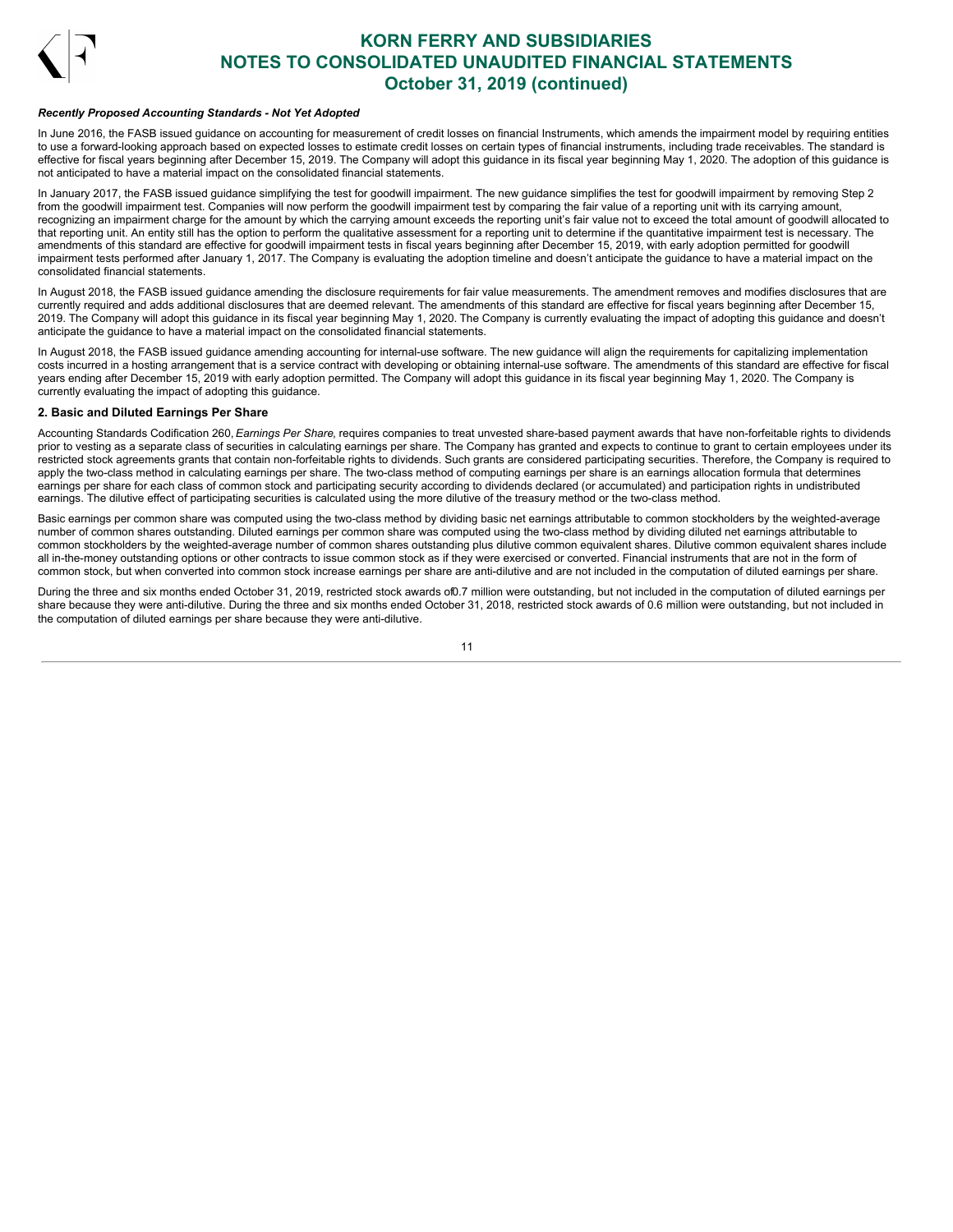

### *Recently Proposed Accounting Standards - Not Yet Adopted*

In June 2016, the FASB issued quidance on accounting for measurement of credit losses on financial Instruments, which amends the impairment model by requiring entities to use a forward-looking approach based on expected losses to estimate credit losses on certain types of financial instruments, including trade receivables. The standard is effective for fiscal years beginning after December 15, 2019. The Company will adopt this guidance in its fiscal year beginning May 1, 2020. The adoption of this guidance is not anticipated to have a material impact on the consolidated financial statements.

In January 2017, the FASB issued guidance simplifying the test for goodwill impairment. The new guidance simplifies the test for goodwill impairment by removing Step 2 from the goodwill impairment test. Companies will now perform the goodwill impairment test by comparing the fair value of a reporting unit with its carrying amount, recognizing an impairment charge for the amount by which the carrying amount exceeds the reporting unit's fair value not to exceed the total amount of goodwill allocated to that reporting unit. An entity still has the option to perform the qualitative assessment for a reporting unit to determine if the quantitative impairment test is necessary. The amendments of this standard are effective for goodwill impairment tests in fiscal years beginning after December 15, 2019, with early adoption permitted for goodwill impairment tests performed after January 1, 2017. The Company is evaluating the adoption timeline and doesn't anticipate the guidance to have a material impact on the consolidated financial statements.

In August 2018, the FASB issued guidance amending the disclosure requirements for fair value measurements. The amendment removes and modifies disclosures that are currently required and adds additional disclosures that are deemed relevant. The amendments of this standard are effective for fiscal years beginning after December 15, 2019. The Company will adopt this guidance in its fiscal year beginning May 1, 2020. The Company is currently evaluating the impact of adopting this guidance and doesn't anticipate the guidance to have a material impact on the consolidated financial statements.

In August 2018, the FASB issued guidance amending accounting for internal-use software. The new guidance will align the requirements for capitalizing implementation costs incurred in a hosting arrangement that is a service contract with developing or obtaining internal-use software. The amendments of this standard are effective for fiscal years ending after December 15, 2019 with early adoption permitted. The Company will adopt this guidance in its fiscal year beginning May 1, 2020. The Company is currently evaluating the impact of adopting this guidance.

## **2. Basic and Diluted Earnings Per Share**

Accounting Standards Codification 260, *Earnings Per Share*, requires companies to treat unvested share-based payment awards that have non-forfeitable rights to dividends prior to vesting as a separate class of securities in calculating earnings per share. The Company has granted and expects to continue to grant to certain employees under its restricted stock agreements grants that contain non-forfeitable rights to dividends. Such grants are considered participating securities. Therefore, the Company is required to apply the two-class method in calculating earnings per share. The two-class method of computing earnings per share is an earnings allocation formula that determines earnings per share for each class of common stock and participating security according to dividends declared (or accumulated) and participation rights in undistributed earnings. The dilutive effect of participating securities is calculated using the more dilutive of the treasury method or the two-class method.

Basic earnings per common share was computed using the two-class method by dividing basic net earnings attributable to common stockholders by the weighted-average number of common shares outstanding. Diluted earnings per common share was computed using the two-class method by dividing diluted net earnings attributable to common stockholders by the weighted-average number of common shares outstanding plus dilutive common equivalent shares. Dilutive common equivalent shares include all in-the-money outstanding options or other contracts to issue common stock as if they were exercised or converted. Financial instruments that are not in the form of common stock, but when converted into common stock increase earnings per share are anti-dilutive and are not included in the computation of diluted earnings per share.

During the three and six months ended October 31, 2019, restricted stock awards of0.7 million were outstanding, but not included in the computation of diluted earnings per share because they were anti-dilutive. During the three and six months ended October 31, 2018, restricted stock awards of 0.6 million were outstanding, but not included in the computation of diluted earnings per share because they were anti-dilutive.

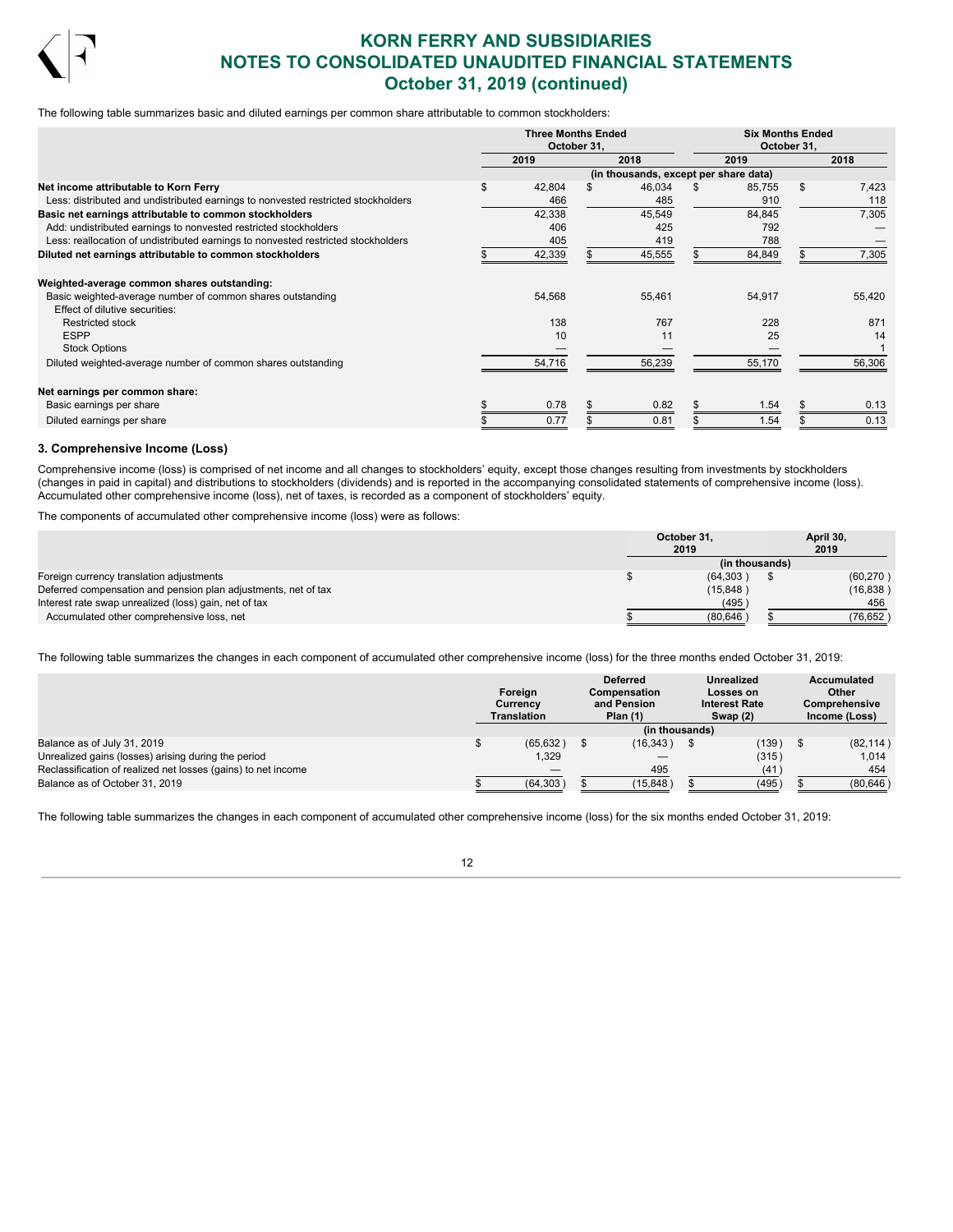

The following table summarizes basic and diluted earnings per common share attributable to common stockholders:

|                                                                                   | <b>Three Months Ended</b><br>October 31, |        |  |                                       |  | <b>Six Months Ended</b><br>October 31, |    |        |  |
|-----------------------------------------------------------------------------------|------------------------------------------|--------|--|---------------------------------------|--|----------------------------------------|----|--------|--|
|                                                                                   |                                          | 2019   |  | 2018                                  |  | 2019                                   |    | 2018   |  |
|                                                                                   |                                          |        |  | (in thousands, except per share data) |  |                                        |    |        |  |
| Net income attributable to Korn Ferry                                             | \$                                       | 42,804 |  | 46,034                                |  | 85,755                                 | \$ | 7,423  |  |
| Less: distributed and undistributed earnings to nonvested restricted stockholders |                                          | 466    |  | 485                                   |  | 910                                    |    | 118    |  |
| Basic net earnings attributable to common stockholders                            |                                          | 42,338 |  | 45,549                                |  | 84,845                                 |    | 7,305  |  |
| Add: undistributed earnings to nonvested restricted stockholders                  |                                          | 406    |  | 425                                   |  | 792                                    |    |        |  |
| Less: reallocation of undistributed earnings to nonvested restricted stockholders |                                          | 405    |  | 419                                   |  | 788                                    |    |        |  |
| Diluted net earnings attributable to common stockholders                          |                                          | 42,339 |  | 45,555                                |  | 84,849                                 |    | 7,305  |  |
| Weighted-average common shares outstanding:                                       |                                          |        |  |                                       |  |                                        |    |        |  |
| Basic weighted-average number of common shares outstanding                        |                                          | 54,568 |  | 55,461                                |  | 54,917                                 |    | 55,420 |  |
| Effect of dilutive securities:                                                    |                                          |        |  |                                       |  |                                        |    |        |  |
| <b>Restricted stock</b>                                                           |                                          | 138    |  | 767                                   |  | 228                                    |    | 871    |  |
| <b>ESPP</b>                                                                       |                                          | 10     |  | 11                                    |  | 25                                     |    | 14     |  |
| <b>Stock Options</b>                                                              |                                          |        |  |                                       |  |                                        |    |        |  |
| Diluted weighted-average number of common shares outstanding                      |                                          | 54,716 |  | 56,239                                |  | 55,170                                 |    | 56,306 |  |
| Net earnings per common share:                                                    |                                          |        |  |                                       |  |                                        |    |        |  |
| Basic earnings per share                                                          |                                          | 0.78   |  | 0.82                                  |  | 1.54                                   |    | 0.13   |  |
| Diluted earnings per share                                                        |                                          | 0.77   |  | 0.81                                  |  | 1.54                                   |    | 0.13   |  |

#### **3. Comprehensive Income (Loss)**

Comprehensive income (loss) is comprised of net income and all changes to stockholders' equity, except those changes resulting from investments by stockholders (changes in paid in capital) and distributions to stockholders (dividends) and is reported in the accompanying consolidated statements of comprehensive income (loss). Accumulated other comprehensive income (loss), net of taxes, is recorded as a component of stockholders' equity.

The components of accumulated other comprehensive income (loss) were as follows:

|                                                                | October 31.<br>2019 | April 30,<br>2019 |
|----------------------------------------------------------------|---------------------|-------------------|
|                                                                | (in thousands)      |                   |
| Foreign currency translation adjustments                       | (64, 303)           | (60, 270)         |
| Deferred compensation and pension plan adjustments, net of tax | (15, 848)           | (16, 838)         |
| Interest rate swap unrealized (loss) gain, net of tax          | (495)               | 456               |
| Accumulated other comprehensive loss, net                      | (80, 646)           | (76, 652)         |

The following table summarizes the changes in each component of accumulated other comprehensive income (loss) for the three months ended October 31, 2019:

|                                                               | Foreign<br>Currency<br><b>Translation</b> |  | <b>Deferred</b><br><b>Compensation</b><br>and Pension<br>Plan $(1)$ | <b>Unrealized</b><br>Losses on<br><b>Interest Rate</b><br>Swap $(2)$ |       | <b>Accumulated</b><br>Other<br><b>Comprehensive</b><br>Income (Loss) |
|---------------------------------------------------------------|-------------------------------------------|--|---------------------------------------------------------------------|----------------------------------------------------------------------|-------|----------------------------------------------------------------------|
|                                                               |                                           |  | (in thousands)                                                      |                                                                      |       |                                                                      |
| Balance as of July 31, 2019                                   | (65, 632)                                 |  | (16, 343)                                                           |                                                                      | (139) | (82, 114)                                                            |
| Unrealized gains (losses) arising during the period           | 1,329                                     |  |                                                                     |                                                                      | (315) | 1,014                                                                |
| Reclassification of realized net losses (gains) to net income |                                           |  | 495                                                                 |                                                                      | (41)  | 454                                                                  |
| Balance as of October 31, 2019                                | (64, 303)                                 |  | (15, 848)                                                           |                                                                      | (495) | (80, 646)                                                            |

The following table summarizes the changes in each component of accumulated other comprehensive income (loss) for the six months ended October 31, 2019:

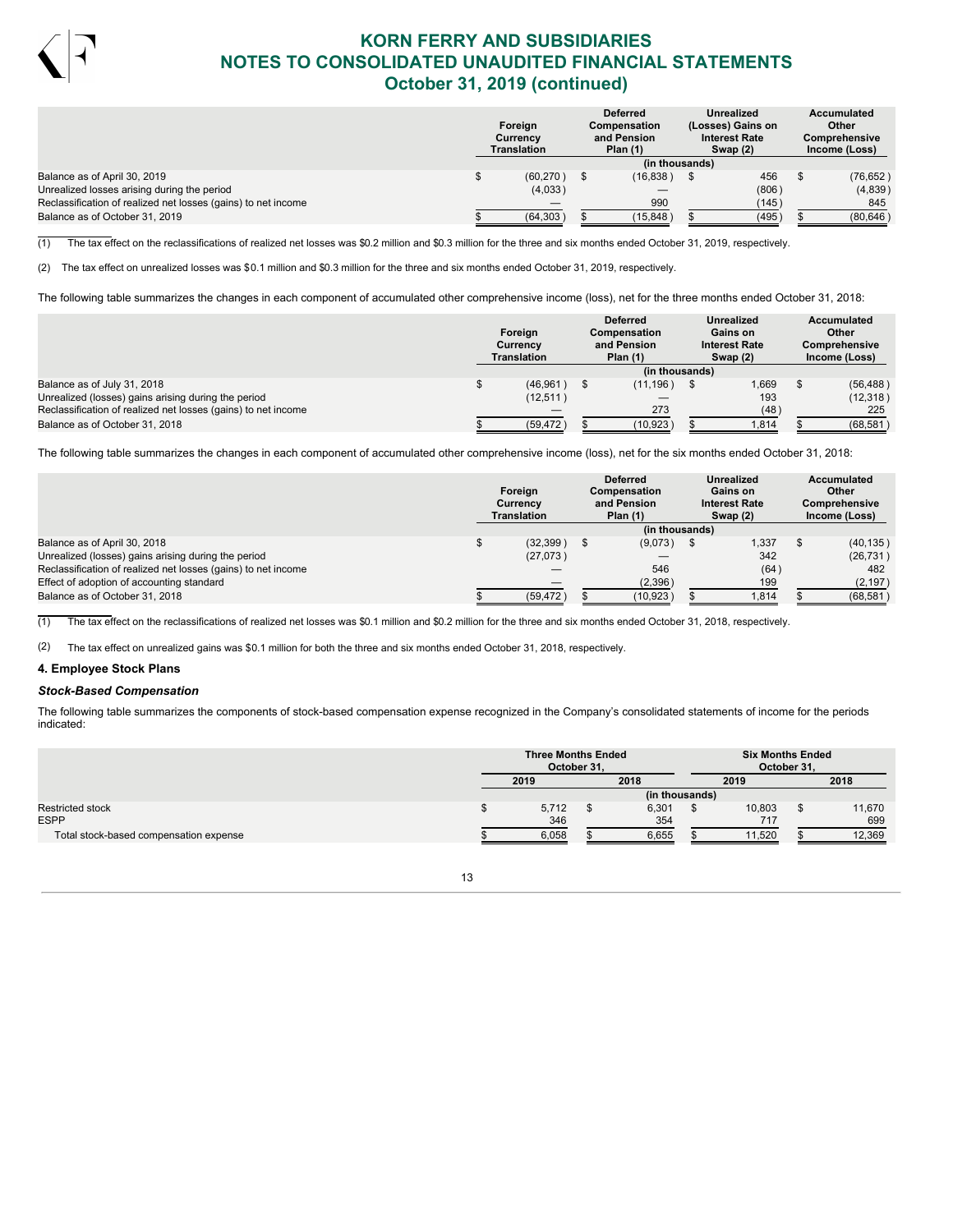

|                                                               | Foreign<br>Currencv<br>Translation |           | <b>Deferred</b><br><b>Compensation</b><br>and Pension<br>Plan $(1)$ |                | Unrealized<br>(Losses) Gains on<br><b>Interest Rate</b><br>Swap $(2)$ |       | Accumulated<br>Other<br><b>Comprehensive</b><br>Income (Loss) |
|---------------------------------------------------------------|------------------------------------|-----------|---------------------------------------------------------------------|----------------|-----------------------------------------------------------------------|-------|---------------------------------------------------------------|
|                                                               |                                    |           |                                                                     | (in thousands) |                                                                       |       |                                                               |
| Balance as of April 30, 2019                                  |                                    | (60, 270) |                                                                     | (16, 838)      |                                                                       | 456   | (76, 652)                                                     |
| Unrealized losses arising during the period                   |                                    | (4,033)   |                                                                     |                |                                                                       | (806) | (4,839)                                                       |
| Reclassification of realized net losses (gains) to net income |                                    |           |                                                                     | 990            |                                                                       | (145) | 845                                                           |
| Balance as of October 31, 2019                                |                                    | (64, 303) |                                                                     | (15, 848)      |                                                                       | (495) | (80, 646)                                                     |

 $(1)$  The tax effect on the reclassifications of realized net losses was \$0.2 million and \$0.3 million for the three and six months ended October 31, 2019, respectively.

(2) The tax effect on unrealized losses was \$0.1 million and \$0.3 million for the three and six months ended October 31, 2019, respectively.

The following table summarizes the changes in each component of accumulated other comprehensive income (loss), net for the three months ended October 31, 2018:

|                                                               | Foreign<br>Currency<br><b>Translation</b> |  | <b>Deferred</b><br><b>Compensation</b><br>and Pension<br>Plan $(1)$ | <b>Unrealized</b><br>Gains on<br><b>Interest Rate</b><br>Swap $(2)$ | Accumulated<br>Other<br><b>Comprehensive</b><br>Income (Loss) |
|---------------------------------------------------------------|-------------------------------------------|--|---------------------------------------------------------------------|---------------------------------------------------------------------|---------------------------------------------------------------|
|                                                               |                                           |  | (in thousands)                                                      |                                                                     |                                                               |
| Balance as of July 31, 2018                                   | $(46,961)$ \$                             |  | (11, 196)                                                           | .669                                                                | (56, 488)                                                     |
| Unrealized (losses) gains arising during the period           | (12, 511)                                 |  |                                                                     | 193                                                                 | (12,318)                                                      |
| Reclassification of realized net losses (gains) to net income |                                           |  | 273                                                                 | (48)                                                                | 225                                                           |
| Balance as of October 31, 2018                                | (59, 472)                                 |  | (10, 923)                                                           | 1,814                                                               | (68, 581)                                                     |

The following table summarizes the changes in each component of accumulated other comprehensive income (loss), net for the six months ended October 31, 2018:

|                                                               | Foreign<br>Currency<br>Translation | <b>Deferred</b><br>Compensation<br>and Pension<br>Plan $(1)$ | Unrealized<br>Gains on<br><b>Interest Rate</b><br>Swap (2) | Accumulated<br>Other<br><b>Comprehensive</b><br>Income (Loss) |           |
|---------------------------------------------------------------|------------------------------------|--------------------------------------------------------------|------------------------------------------------------------|---------------------------------------------------------------|-----------|
|                                                               |                                    | (in thousands)                                               |                                                            |                                                               |           |
| Balance as of April 30, 2018                                  | (32, 399)                          | (9,073)                                                      | 1.337                                                      |                                                               | (40, 135) |
| Unrealized (losses) gains arising during the period           | (27,073)                           |                                                              | 342                                                        |                                                               | (26, 731) |
| Reclassification of realized net losses (gains) to net income |                                    | 546                                                          | (64)                                                       |                                                               | 482       |
| Effect of adoption of accounting standard                     |                                    | (2,396)                                                      | 199                                                        |                                                               | (2, 197)  |
| Balance as of October 31, 2018                                | (59, 472)                          | (10, 923)                                                    | 1.814                                                      |                                                               | (68, 581) |

 $(1)$  The tax effect on the reclassifications of realized net losses was \$0.1 million and \$0.2 million for the three and six months ended October 31, 2018, respectively.

(2) The tax effect on unrealized gains was \$0.1 million for both the three and six months ended October 31, 2018, respectively.

### **4. Employee Stock Plans**

### *Stock-Based Compensation*

The following table summarizes the components of stock-based compensation expense recognized in the Company's consolidated statements of income for the periods indicated:

|                                        | <b>Three Months Ended</b><br>October 31. |                | <b>Six Months Ended</b><br>October 31. |        |
|----------------------------------------|------------------------------------------|----------------|----------------------------------------|--------|
|                                        | 2019                                     | 2018           | 2019                                   | 2018   |
|                                        |                                          | (in thousands) |                                        |        |
|                                        | 5,712                                    | 6,301          | 10,803                                 | 11,670 |
|                                        | 346                                      | 354            | 717                                    | 699    |
| Total stock-based compensation expense | 6,058                                    | 6,655          | 11,520                                 | 12,369 |

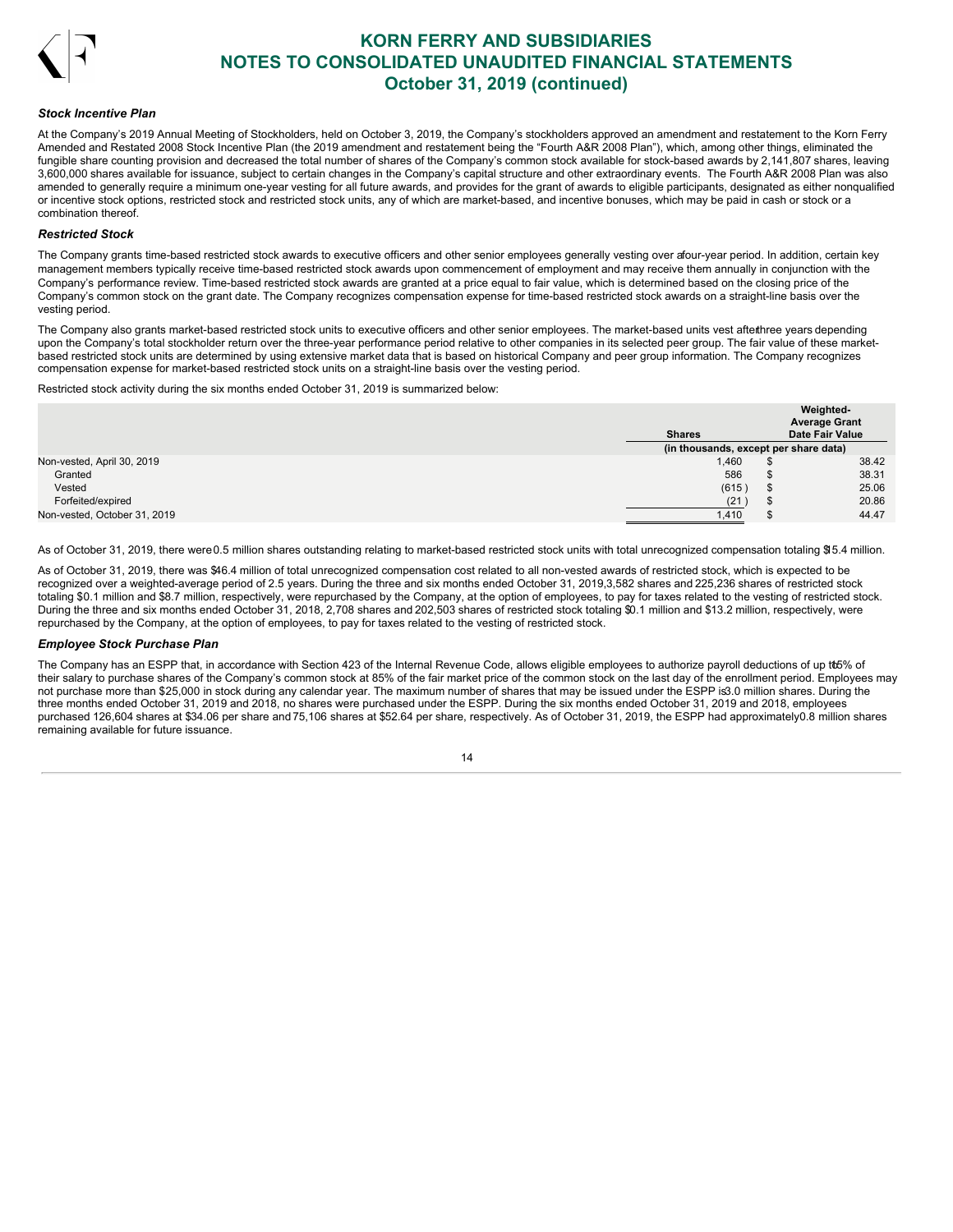

#### *Stock Incentive Plan*

At the Company's 2019 Annual Meeting of Stockholders, held on October 3, 2019, the Company's stockholders approved an amendment and restatement to the Korn Ferry Amended and Restated 2008 Stock Incentive Plan (the 2019 amendment and restatement being the "Fourth A&R 2008 Plan"), which, among other things, eliminated the fungible share counting provision and decreased the total number of shares of the Company's common stock available for stock-based awards by 2,141,807 shares, leaving 3,600,000 shares available for issuance, subject to certain changes in the Company's capital structure and other extraordinary events. The Fourth A&R 2008 Plan was also amended to generally require a minimum one-year vesting for all future awards, and provides for the grant of awards to eligible participants, designated as either nonqualified or incentive stock options, restricted stock and restricted stock units, any of which are market-based, and incentive bonuses, which may be paid in cash or stock or a combination thereof.

#### *Restricted Stock*

The Company grants time-based restricted stock awards to executive officers and other senior employees generally vesting over afour-year period. In addition, certain key management members typically receive time-based restricted stock awards upon commencement of employment and may receive them annually in conjunction with the Company's performance review. Time-based restricted stock awards are granted at a price equal to fair value, which is determined based on the closing price of the Company's common stock on the grant date. The Company recognizes compensation expense for time-based restricted stock awards on a straight-line basis over the vesting period.

The Company also grants market-based restricted stock units to executive officers and other senior employees. The market-based units vest afterthree years depending upon the Company's total stockholder return over the three-year performance period relative to other companies in its selected peer group. The fair value of these marketbased restricted stock units are determined by using extensive market data that is based on historical Company and peer group information. The Company recognizes compensation expense for market-based restricted stock units on a straight-line basis over the vesting period.

Restricted stock activity during the six months ended October 31, 2019 is summarized below:

|                              |                                       |      | Weighted-<br><b>Average Grant</b> |
|------------------------------|---------------------------------------|------|-----------------------------------|
|                              | <b>Shares</b>                         |      | <b>Date Fair Value</b>            |
|                              | (in thousands, except per share data) |      |                                   |
| Non-vested, April 30, 2019   | 1,460                                 |      | 38.42                             |
| Granted                      | 586                                   |      | 38.31                             |
| Vested                       | (615)                                 | ъ.   | 25.06                             |
| Forfeited/expired            | (21)                                  | - 35 | 20.86                             |
| Non-vested, October 31, 2019 | 1,410                                 | - 70 | 44.47                             |

As of October 31, 2019, there were 0.5 million shares outstanding relating to market-based restricted stock units with total unrecognized compensation totaling \$15.4 million.

As of October 31, 2019, there was \$46.4 million of total unrecognized compensation cost related to all non-vested awards of restricted stock, which is expected to be recognized over a weighted-average period of 2.5 years. During the three and six months ended October 31, 2019,3,582 shares and 225,236 shares of restricted stock totaling \$0.1 million and \$8.7 million, respectively, were repurchased by the Company, at the option of employees, to pay for taxes related to the vesting of restricted stock. During the three and six months ended October 31, 2018, 2,708 shares and 202,503 shares of restricted stock totaling \$0.1 million and \$13.2 million, respectively, were repurchased by the Company, at the option of employees, to pay for taxes related to the vesting of restricted stock.

#### *Employee Stock Purchase Plan*

The Company has an ESPP that, in accordance with Section 423 of the Internal Revenue Code, allows eligible employees to authorize payroll deductions of up tto5% of their salary to purchase shares of the Company's common stock at 85% of the fair market price of the common stock on the last day of the enrollment period. Employees may not purchase more than \$25,000 in stock during any calendar year. The maximum number of shares that may be issued under the ESPP is3.0 million shares. During the three months ended October 31, 2019 and 2018, no shares were purchased under the ESPP. During the six months ended October 31, 2019 and 2018, employees purchased 126,604 shares at \$34.06 per share and 75,106 shares at \$52.64 per share, respectively. As of October 31, 2019, the ESPP had approximately0.8 million shares remaining available for future issuance.

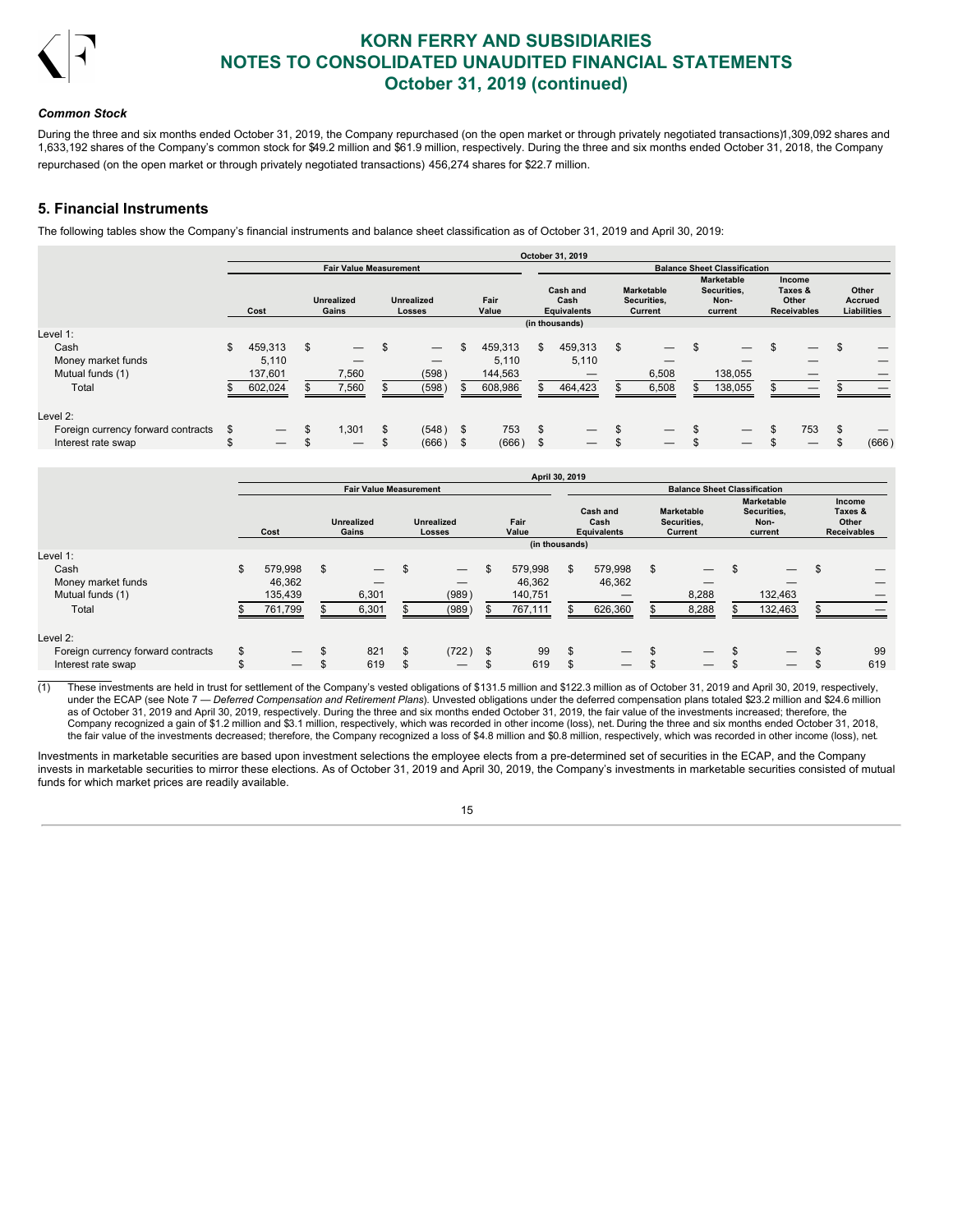

### *Common Stock*

During the three and six months ended October 31, 2019, the Company repurchased (on the open market or through privately negotiated transactions)1,309,092 shares and 1,633,192 shares of the Company's common stock for \$49.2 million and \$61.9 million, respectively. During the three and six months ended October 31, 2018, the Company repurchased (on the open market or through privately negotiated transactions) 456,274 shares for \$22.7 million.

## **5. Financial Instruments**

The following tables show the Company's financial instruments and balance sheet classification as of October 31, 2019 and April 30, 2019:

|                                                          |         |                                        |                               |          |                                            |                   |                                        |          | October 31, 2019                       |                                             |          |                                                     |                                                         |          |                                               |
|----------------------------------------------------------|---------|----------------------------------------|-------------------------------|----------|--------------------------------------------|-------------------|----------------------------------------|----------|----------------------------------------|---------------------------------------------|----------|-----------------------------------------------------|---------------------------------------------------------|----------|-----------------------------------------------|
|                                                          |         |                                        | <b>Fair Value Measurement</b> |          |                                            |                   |                                        |          |                                        |                                             |          | <b>Balance Sheet Classification</b>                 |                                                         |          |                                               |
|                                                          |         | Cost                                   | <b>Unrealized</b><br>Gains    |          | <b>Unrealized</b><br>Losses                |                   | Fair<br>Value                          |          | Cash and<br>Cash<br><b>Equivalents</b> | <b>Marketable</b><br>Securities,<br>Current |          | <b>Marketable</b><br>Securities,<br>Non-<br>current | <b>Income</b><br>Taxes &<br>Other<br><b>Receivables</b> |          | Other<br><b>Accrued</b><br><b>Liabilities</b> |
| Level 1:                                                 |         |                                        |                               |          |                                            |                   |                                        |          | (in thousands)                         |                                             |          |                                                     |                                                         |          |                                               |
| Cash<br>Money market funds<br>Mutual funds (1)<br>Total  | \$      | 459,313<br>5,110<br>137,601<br>602,024 | \$<br>–<br>7,560<br>7,560     | \$       | $\overline{\phantom{0}}$<br>(598)<br>(598) | æ.                | 459,313<br>5,110<br>144,563<br>608,986 | \$       | 459.313<br>5,110<br>464,423            | \$<br>–<br>6,508<br>6,508                   | \$       | 138,055<br>138,055                                  | —<br>—                                                  | \$       |                                               |
| Level 2:                                                 |         |                                        |                               |          |                                            |                   |                                        |          |                                        |                                             |          |                                                     |                                                         |          |                                               |
| Foreign currency forward contracts<br>Interest rate swap | S<br>\$ |                                        | 1,301<br>—                    | \$<br>\$ | (548)<br>(666)                             | $^{\circ}$<br>\$. | 753<br>(666)                           | \$<br>\$ | $\overline{\phantom{0}}$               | \$                                          | \$<br>\$ | $\hspace{0.05cm}$<br>$\overline{\phantom{m}}$       | \$<br>753                                               | \$<br>\$ | (666)                                         |

|                                    |                               |                                 |    |                          |     |                          |                                     | April 30, 2019 |     |         |     |                          |    |                          |    |     |  |  |  |  |  |                            |  |                                    |  |               |  |                                        |  |                                             |  |                                                     |  |                                                  |
|------------------------------------|-------------------------------|---------------------------------|----|--------------------------|-----|--------------------------|-------------------------------------|----------------|-----|---------|-----|--------------------------|----|--------------------------|----|-----|--|--|--|--|--|----------------------------|--|------------------------------------|--|---------------|--|----------------------------------------|--|---------------------------------------------|--|-----------------------------------------------------|--|--------------------------------------------------|
|                                    | <b>Fair Value Measurement</b> |                                 |    |                          |     |                          | <b>Balance Sheet Classification</b> |                |     |         |     |                          |    |                          |    |     |  |  |  |  |  |                            |  |                                    |  |               |  |                                        |  |                                             |  |                                                     |  |                                                  |
|                                    | Cost                          |                                 |    |                          |     |                          |                                     |                |     |         |     |                          |    |                          |    |     |  |  |  |  |  | <b>Unrealized</b><br>Gains |  | <b>Unrealized</b><br><b>Losses</b> |  | Fair<br>Value |  | Cash and<br>Cash<br><b>Equivalents</b> |  | <b>Marketable</b><br>Securities,<br>Current |  | <b>Marketable</b><br>Securities.<br>Non-<br>current |  | Income<br>Taxes &<br>Other<br><b>Receivables</b> |
|                                    |                               |                                 |    |                          |     |                          |                                     | (in thousands) |     |         |     |                          |    |                          |    |     |  |  |  |  |  |                            |  |                                    |  |               |  |                                        |  |                                             |  |                                                     |  |                                                  |
| Level 1:                           |                               |                                 |    |                          |     |                          |                                     |                |     |         |     |                          |    |                          |    |     |  |  |  |  |  |                            |  |                                    |  |               |  |                                        |  |                                             |  |                                                     |  |                                                  |
| Cash                               | \$                            | 579,998                         | \$ | $\overline{\phantom{m}}$ |     | $\overline{\phantom{0}}$ | \$                                  | 579,998        | \$. | 579,998 | \$  | $\overline{\phantom{0}}$ | \$ | $\overline{\phantom{m}}$ | £. |     |  |  |  |  |  |                            |  |                                    |  |               |  |                                        |  |                                             |  |                                                     |  |                                                  |
| Money market funds                 |                               | 46.362                          |    |                          |     | –                        |                                     | 46,362         |     | 46,362  |     |                          |    |                          |    |     |  |  |  |  |  |                            |  |                                    |  |               |  |                                        |  |                                             |  |                                                     |  |                                                  |
| Mutual funds (1)                   |                               | 135,439                         |    | 6,301                    |     | (989)                    |                                     | 140,751        |     |         |     | 8,288                    |    | 132,463                  |    |     |  |  |  |  |  |                            |  |                                    |  |               |  |                                        |  |                                             |  |                                                     |  |                                                  |
| Total                              |                               | 761,799                         |    | 6,301                    |     | (989)                    |                                     | 767,111        |     | 626,360 |     | 8,288                    |    | 132,463                  |    |     |  |  |  |  |  |                            |  |                                    |  |               |  |                                        |  |                                             |  |                                                     |  |                                                  |
| Level 2:                           |                               |                                 |    |                          |     |                          |                                     |                |     |         |     |                          |    |                          |    |     |  |  |  |  |  |                            |  |                                    |  |               |  |                                        |  |                                             |  |                                                     |  |                                                  |
| Foreign currency forward contracts | \$                            |                                 | \$ | 821                      | \$  | (722)                    | -\$                                 | 99             | æ   |         | \$  |                          | \$ |                          | £. | 99  |  |  |  |  |  |                            |  |                                    |  |               |  |                                        |  |                                             |  |                                                     |  |                                                  |
| Interest rate swap                 |                               | $\hspace{0.1mm}-\hspace{0.1mm}$ | J. | 619                      | \$. |                          |                                     | 619            |     |         | \$. | $\overline{\phantom{m}}$ | \$ |                          |    | 619 |  |  |  |  |  |                            |  |                                    |  |               |  |                                        |  |                                             |  |                                                     |  |                                                  |

 $\overline{(1)}$  These investments are held in trust for settlement of the Company's vested obligations of \$131.5 million and \$122.3 million as of October 31, 2019 and April 30, 2019, respectively, under the ECAP (see Note 7 — *Deferred Compensation and Retirement Plans*). Unvested obligations under the deferred compensation plans totaled \$23.2 million and \$24.6 million as of October 31, 2019 and April 30, 2019, respectively. During the three and six months ended October 31, 2019, the fair value of the investments increased; therefore, the Company recognized a gain of \$1.2 million and \$3.1 million, respectively, which was recorded in other income (loss), net. During the three and six months ended October 31, 2018, the fair value of the investments decreased; therefore, the Company recognized a loss of \$4.8 million and \$0.8 million, respectively, which was recorded in other income (loss), net.

Investments in marketable securities are based upon investment selections the employee elects from a pre-determined set of securities in the ECAP, and the Company invests in marketable securities to mirror these elections. As of October 31, 2019 and April 30, 2019, the Company's investments in marketable securities consisted of mutual funds for which market prices are readily available.

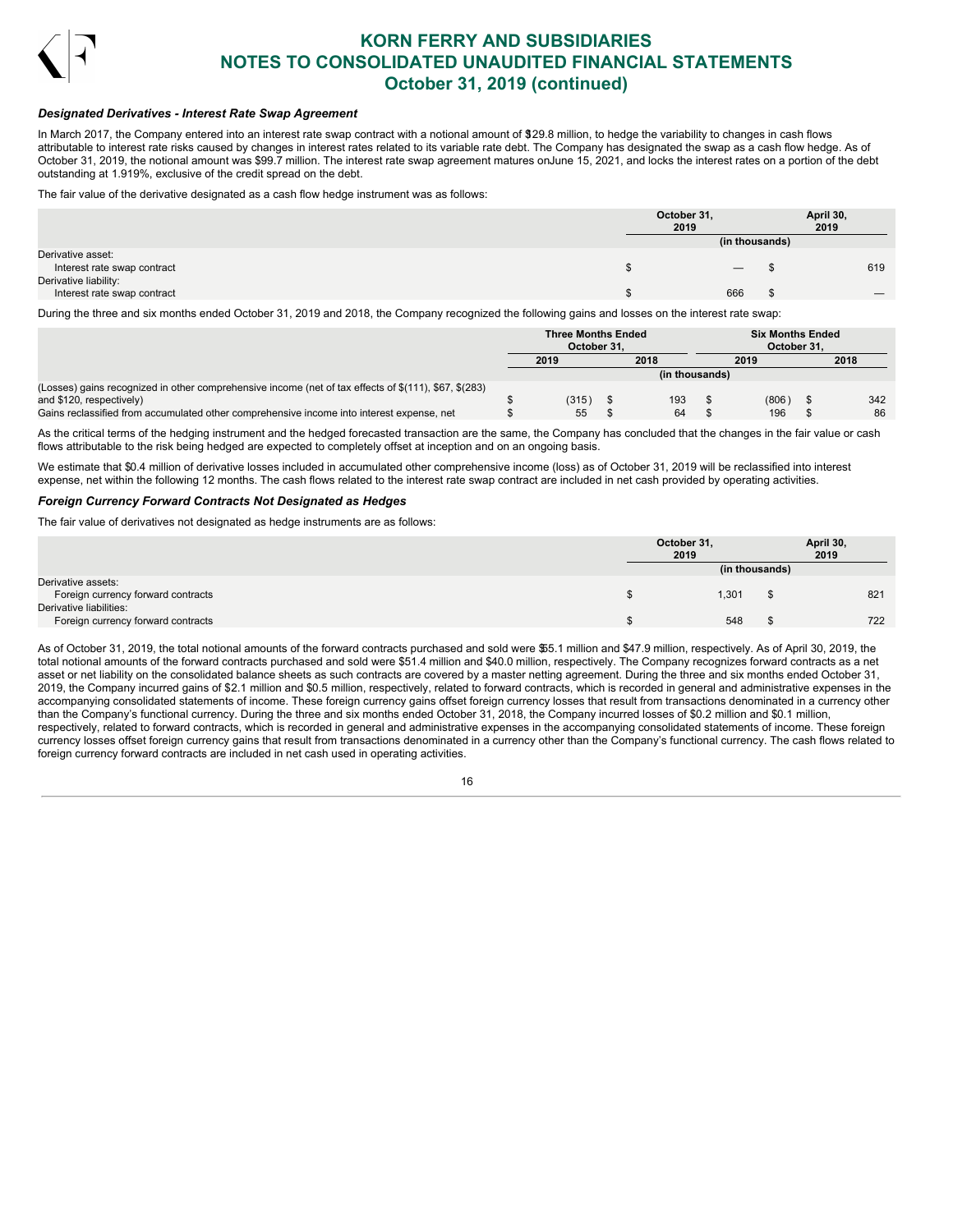

## *Designated Derivatives - Interest Rate Swap Agreement*

In March 2017, the Company entered into an interest rate swap contract with a notional amount of \$29.8 million, to hedge the variability to changes in cash flows attributable to interest rate risks caused by changes in interest rates related to its variable rate debt. The Company has designated the swap as a cash flow hedge. As of October 31, 2019, the notional amount was \$99.7 million. The interest rate swap agreement matures onJune 15, 2021, and locks the interest rates on a portion of the debt outstanding at 1.919%, exclusive of the credit spread on the debt.

The fair value of the derivative designated as a cash flow hedge instrument was as follows:

|                             | October 31,<br>2019 |                                 | April 30,<br>2019 |
|-----------------------------|---------------------|---------------------------------|-------------------|
|                             |                     | (in thousands)                  |                   |
| Derivative asset:           |                     |                                 |                   |
| Interest rate swap contract |                     | $\hspace{0.1mm}-\hspace{0.1mm}$ | 619               |
| Derivative liability:       |                     |                                 |                   |
| Interest rate swap contract |                     | 666                             |                   |

During the three and six months ended October 31, 2019 and 2018, the Company recognized the following gains and losses on the interest rate swap:

|                                                                                                       | <b>Three Months Ended</b> |  |                |  | <b>Six Months Ended</b> |  |      |
|-------------------------------------------------------------------------------------------------------|---------------------------|--|----------------|--|-------------------------|--|------|
|                                                                                                       | October 31.               |  |                |  | October 31.             |  |      |
|                                                                                                       | 2019                      |  | 2018           |  | 2019                    |  | 2018 |
|                                                                                                       |                           |  | (in thousands) |  |                         |  |      |
| (Losses) gains recognized in other comprehensive income (net of tax effects of \$(111), \$67, \$(283) |                           |  |                |  |                         |  |      |
| and \$120, respectively)                                                                              | (315)                     |  | 193            |  | (806)                   |  | 342  |
| Gains reclassified from accumulated other comprehensive income into interest expense, net             | 55                        |  | 64             |  | 196                     |  | 86   |

As the critical terms of the hedging instrument and the hedged forecasted transaction are the same, the Company has concluded that the changes in the fair value or cash flows attributable to the risk being hedged are expected to completely offset at inception and on an ongoing basis.

We estimate that \$0.4 million of derivative losses included in accumulated other comprehensive income (loss) as of October 31, 2019 will be reclassified into interest expense, net within the following 12 months. The cash flows related to the interest rate swap contract are included in net cash provided by operating activities.

#### *Foreign Currency Forward Contracts Not Designated as Hedges*

The fair value of derivatives not designated as hedge instruments are as follows:

|                                                               | October 31,<br>2019 |                | April 30,<br>2019 |     |
|---------------------------------------------------------------|---------------------|----------------|-------------------|-----|
|                                                               |                     | (in thousands) |                   |     |
| Derivative assets:<br>Foreign currency forward contracts      |                     | 1,301          |                   | 821 |
| Derivative liabilities:<br>Foreign currency forward contracts |                     | 548            |                   | 722 |

As of October 31, 2019, the total notional amounts of the forward contracts purchased and sold were \$55.1 million and \$47.9 million, respectively. As of April 30, 2019, the total notional amounts of the forward contracts purchased and sold were \$51.4 million and \$40.0 million, respectively. The Company recognizes forward contracts as a net asset or net liability on the consolidated balance sheets as such contracts are covered by a master netting agreement. During the three and six months ended October 31, 2019, the Company incurred gains of \$2.1 million and \$0.5 million, respectively, related to forward contracts, which is recorded in general and administrative expenses in the accompanying consolidated statements of income. These foreign currency gains offset foreign currency losses that result from transactions denominated in a currency other than the Company's functional currency. During the three and six months ended October 31, 2018, the Company incurred losses of \$0.2 million and \$0.1 million, respectively, related to forward contracts, which is recorded in general and administrative expenses in the accompanying consolidated statements of income. These foreign currency losses offset foreign currency gains that result from transactions denominated in a currency other than the Company's functional currency. The cash flows related to foreign currency forward contracts are included in net cash used in operating activities.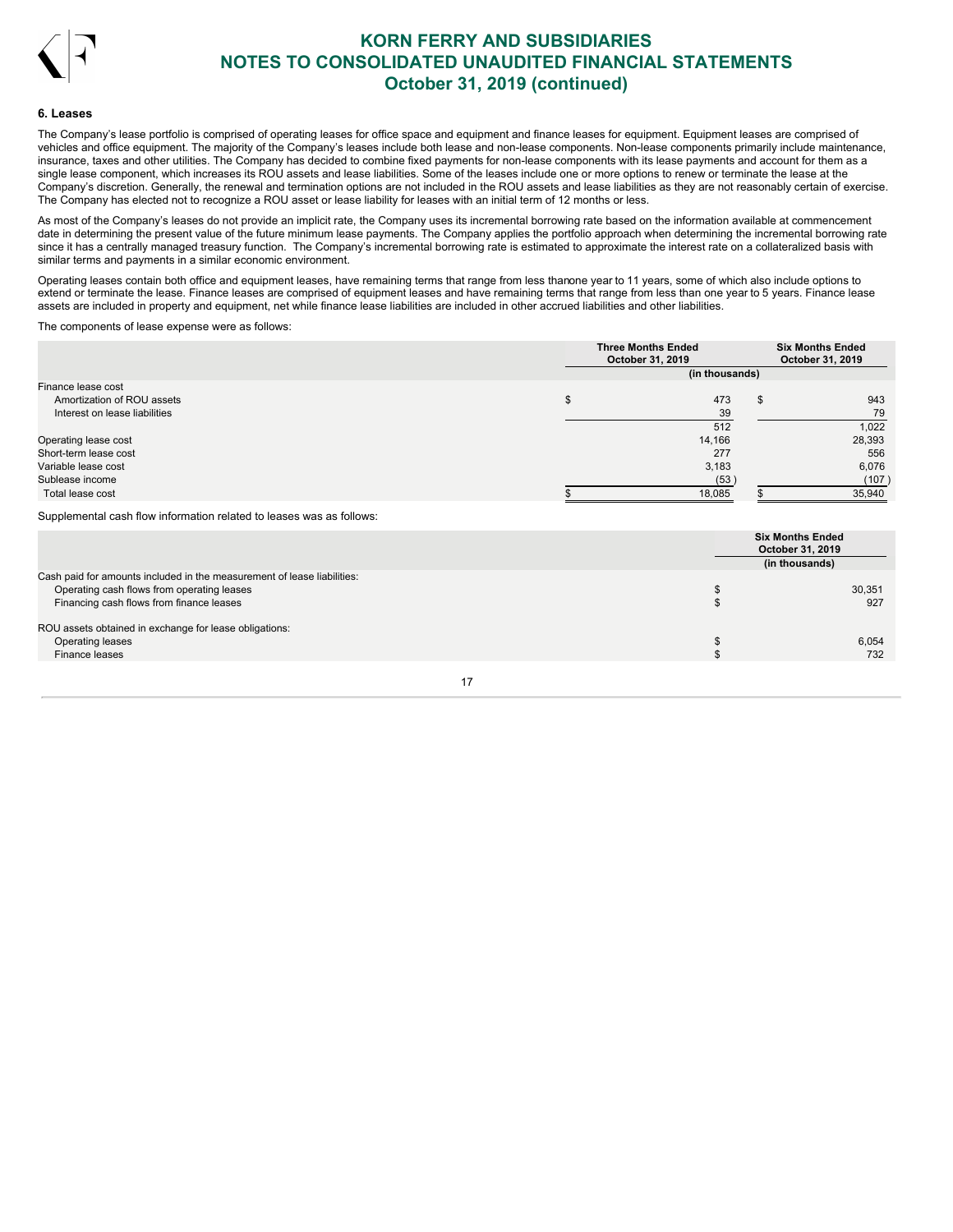

#### **6. Leases**

The Company's lease portfolio is comprised of operating leases for office space and equipment and finance leases for equipment. Equipment leases are comprised of vehicles and office equipment. The majority of the Company's leases include both lease and non-lease components. Non-lease components primarily include maintenance, insurance, taxes and other utilities. The Company has decided to combine fixed payments for non-lease components with its lease payments and account for them as a single lease component, which increases its ROU assets and lease liabilities. Some of the leases include one or more options to renew or terminate the lease at the Company's discretion. Generally, the renewal and termination options are not included in the ROU assets and lease liabilities as they are not reasonably certain of exercise. The Company has elected not to recognize a ROU asset or lease liability for leases with an initial term of 12 months or less.

As most of the Company's leases do not provide an implicit rate, the Company uses its incremental borrowing rate based on the information available at commencement date in determining the present value of the future minimum lease payments. The Company applies the portfolio approach when determining the incremental borrowing rate since it has a centrally managed treasury function. The Company's incremental borrowing rate is estimated to approximate the interest rate on a collateralized basis with similar terms and payments in a similar economic environment.

Operating leases contain both office and equipment leases, have remaining terms that range from less thanone year to 11 years, some of which also include options to extend or terminate the lease. Finance leases are comprised of equipment leases and have remaining terms that range from less than one year to 5 years. Finance lease assets are included in property and equipment, net while finance lease liabilities are included in other accrued liabilities and other liabilities.

The components of lease expense were as follows:

|                               | <b>Three Months Ended</b><br>October 31, 2019 |    | <b>Six Months Ended</b><br>October 31, 2019 |
|-------------------------------|-----------------------------------------------|----|---------------------------------------------|
|                               | (in thousands)                                |    |                                             |
| Finance lease cost            |                                               |    |                                             |
| Amortization of ROU assets    | 473                                           | -S | 943                                         |
| Interest on lease liabilities | 39                                            |    | 79                                          |
|                               | 512                                           |    | 1,022                                       |
| Operating lease cost          | 14,166                                        |    | 28,393                                      |
| Short-term lease cost         | 277                                           |    | 556                                         |
| Variable lease cost           | 3,183                                         |    | 6,076                                       |
| Sublease income               | (53)                                          |    | (107)                                       |
| Total lease cost              | 18,085                                        |    | 35,940                                      |

Supplemental cash flow information related to leases was as follows:

|                                                                         | <b>Six Months Ended</b><br>October 31, 2019<br>(in thousands) |
|-------------------------------------------------------------------------|---------------------------------------------------------------|
| Cash paid for amounts included in the measurement of lease liabilities: |                                                               |
| Operating cash flows from operating leases                              | 30,351                                                        |
| Financing cash flows from finance leases                                | 927                                                           |
| ROU assets obtained in exchange for lease obligations:                  |                                                               |
| Operating leases                                                        | 6.054                                                         |
| Finance leases                                                          | 732                                                           |
|                                                                         |                                                               |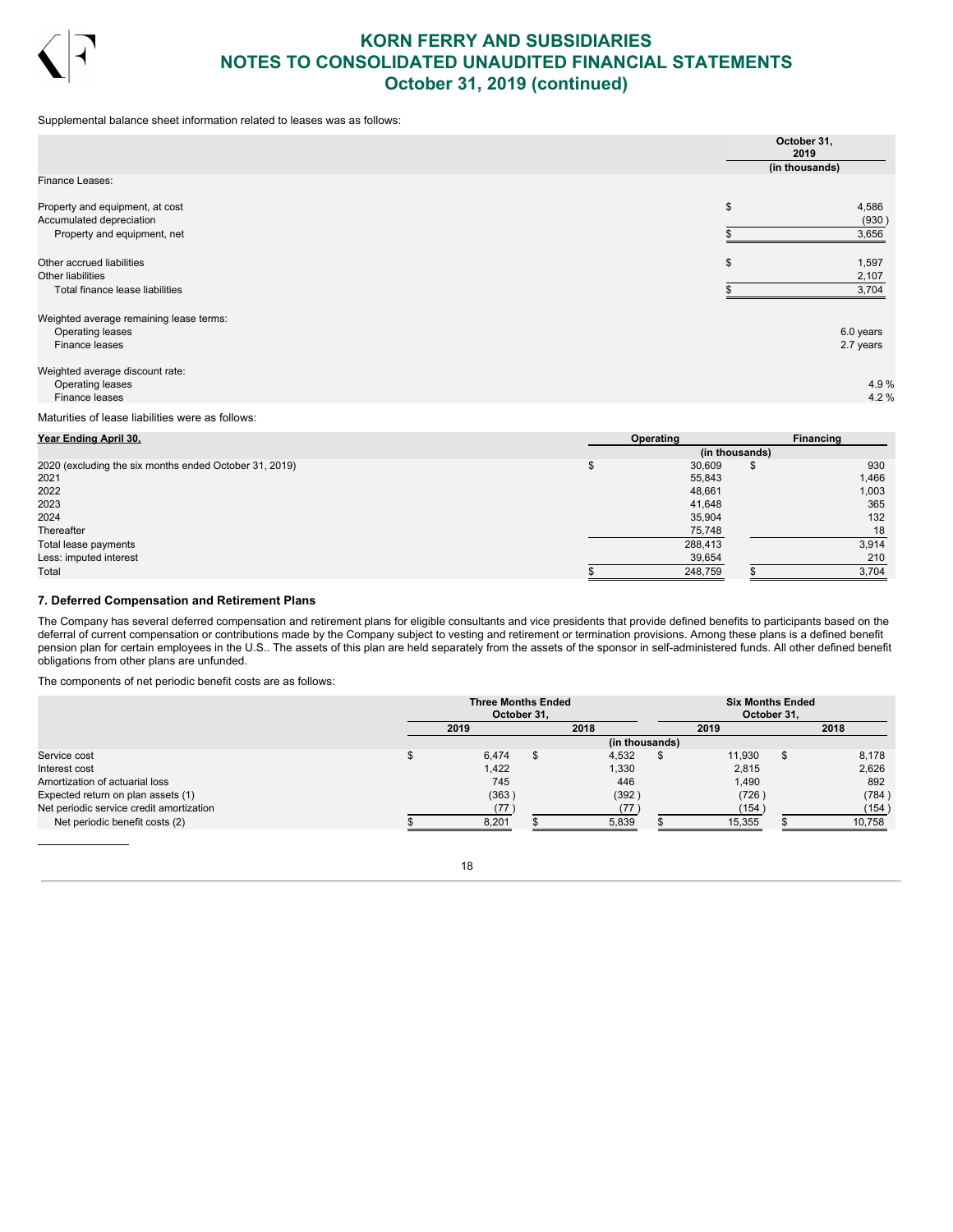

Supplemental balance sheet information related to leases was as follows:

|                                                                               | October 31,<br>2019 |                        |
|-------------------------------------------------------------------------------|---------------------|------------------------|
| Finance Leases:                                                               | (in thousands)      |                        |
| Property and equipment, at cost<br>Accumulated depreciation                   | \$                  | 4,586<br>(930)         |
| Property and equipment, net                                                   |                     | 3,656                  |
| Other accrued liabilities<br>Other liabilities                                | \$                  | 1,597<br>2,107         |
| Total finance lease liabilities                                               |                     | 3,704                  |
| Weighted average remaining lease terms:<br>Operating leases<br>Finance leases |                     | 6.0 years<br>2.7 years |
| Weighted average discount rate:                                               |                     |                        |
| Operating leases                                                              |                     | 4.9%                   |
| Finance leases                                                                |                     | 4.2%                   |

### Maturities of lease liabilities were as follows:

| Year Ending April 30,                                  | Operating |                |   | Financing |
|--------------------------------------------------------|-----------|----------------|---|-----------|
|                                                        |           | (in thousands) |   |           |
| 2020 (excluding the six months ended October 31, 2019) |           | 30,609         | S | 930       |
| 2021                                                   |           | 55,843         |   | 1,466     |
| 2022                                                   |           | 48,661         |   | 1,003     |
| 2023                                                   |           | 41,648         |   | 365       |
| 2024                                                   |           | 35,904         |   | 132       |
| Thereafter                                             |           | 75,748         |   | 18        |
| Total lease payments                                   |           | 288,413        |   | 3,914     |
| Less: imputed interest                                 |           | 39,654         |   | 210       |
| Total                                                  |           | 248,759        |   | 3,704     |

## **7. Deferred Compensation and Retirement Plans**

The Company has several deferred compensation and retirement plans for eligible consultants and vice presidents that provide defined benefits to participants based on the deferral of current compensation or contributions made by the Company subject to vesting and retirement or termination provisions. Among these plans is a defined benefit pension plan for certain employees in the U.S.. The assets of this plan are held separately from the assets of the sponsor in self-administered funds. All other defined benefit obligations from other plans are unfunded.

The components of net periodic benefit costs are as follows:

|                                          | <b>Three Months Ended</b><br>October 31, |     |                | <b>Six Months Ended</b><br>October 31. |     |        |
|------------------------------------------|------------------------------------------|-----|----------------|----------------------------------------|-----|--------|
|                                          | 2019                                     |     | 2018           | 2019                                   |     | 2018   |
|                                          |                                          |     | (in thousands) |                                        |     |        |
| Service cost                             | 6,474                                    | \$. | 4,532          | 11.930                                 | \$. | 8.178  |
| Interest cost                            | 1,422                                    |     | 1,330          | 2.815                                  |     | 2,626  |
| Amortization of actuarial loss           | 745                                      |     | 446            | 1.490                                  |     | 892    |
| Expected return on plan assets (1)       | (363)                                    |     | (392)          | (726)                                  |     | (784)  |
| Net periodic service credit amortization | (77)                                     |     | (77            | (154)                                  |     | (154)  |
| Net periodic benefit costs (2)           | 8,201                                    |     | 5,839          | 15,355                                 |     | 10.758 |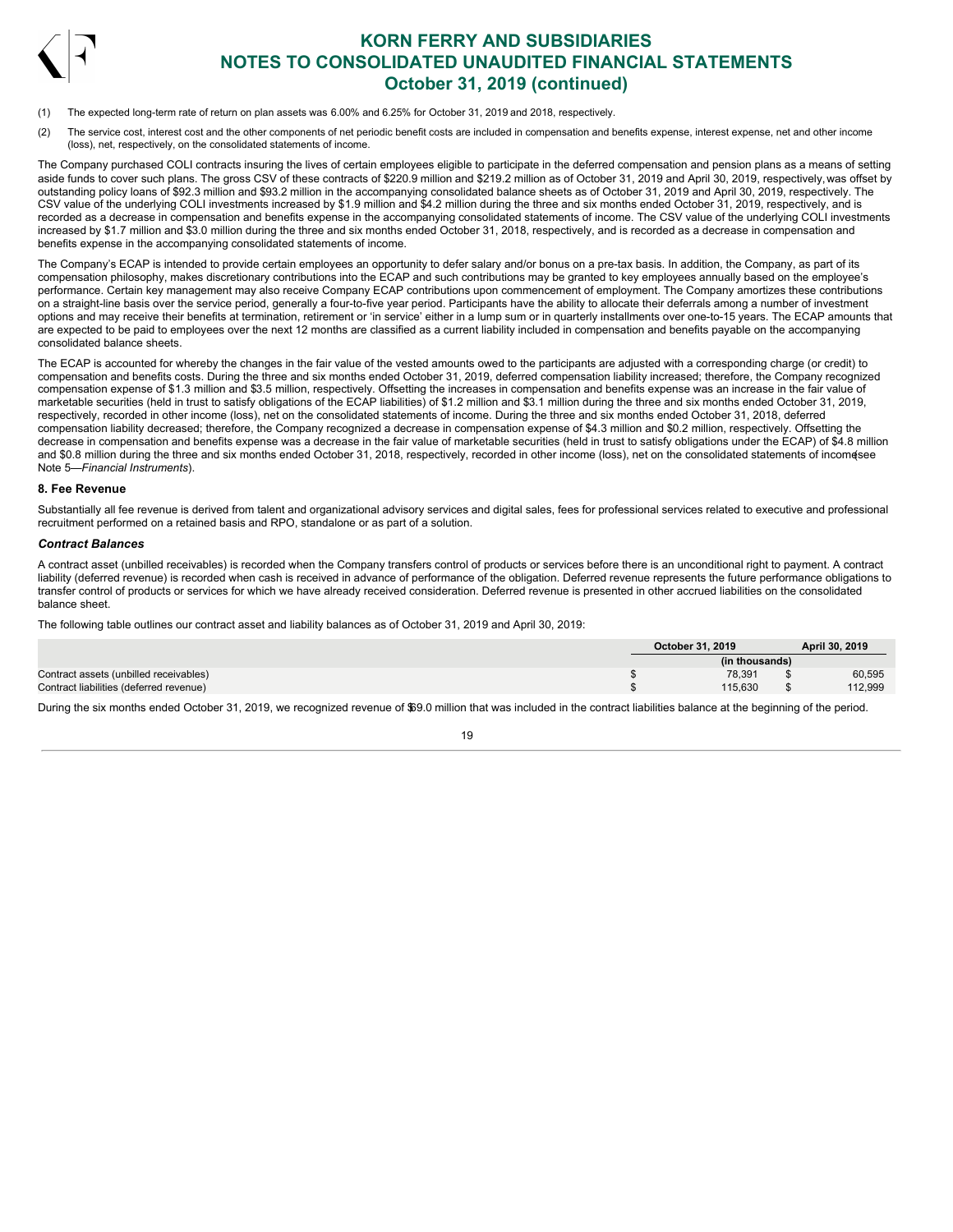

- (1) The expected long-term rate of return on plan assets was 6.00% and 6.25% for October 31, 2019 and 2018, respectively.
- (2) The service cost, interest cost and the other components of net periodic benefit costs are included in compensation and benefits expense, interest expense, net and other income (loss), net, respectively, on the consolidated statements of income.

The Company purchased COLI contracts insuring the lives of certain employees eligible to participate in the deferred compensation and pension plans as a means of setting aside funds to cover such plans. The gross CSV of these contracts of \$220.9 million and \$219.2 million as of October 31, 2019 and April 30, 2019, respectively,was offset by outstanding policy loans of \$92.3 million and \$93.2 million in the accompanying consolidated balance sheets as of October 31, 2019 and April 30, 2019, respectively. The CSV value of the underlying COLI investments increased by \$1.9 million and \$4.2 million during the three and six months ended October 31, 2019, respectively, and is recorded as a decrease in compensation and benefits expense in the accompanying consolidated statements of income. The CSV value of the underlying COLI investments increased by \$1.7 million and \$3.0 million during the three and six months ended October 31, 2018, respectively, and is recorded as a decrease in compensation and benefits expense in the accompanying consolidated statements of income.

The Company's ECAP is intended to provide certain employees an opportunity to defer salary and/or bonus on a pre-tax basis. In addition, the Company, as part of its compensation philosophy, makes discretionary contributions into the ECAP and such contributions may be granted to key employees annually based on the employee's performance. Certain key management may also receive Company ECAP contributions upon commencement of employment. The Company amortizes these contributions on a straight-line basis over the service period, generally a four-to-five year period. Participants have the ability to allocate their deferrals among a number of investment options and may receive their benefits at termination, retirement or 'in service' either in a lump sum or in quarterly installments over one-to-15 years. The ECAP amounts that are expected to be paid to employees over the next 12 months are classified as a current liability included in compensation and benefits payable on the accompanying consolidated balance sheets.

The ECAP is accounted for whereby the changes in the fair value of the vested amounts owed to the participants are adjusted with a corresponding charge (or credit) to compensation and benefits costs. During the three and six months ended October 31, 2019, deferred compensation liability increased; therefore, the Company recognized compensation expense of \$1.3 million and \$3.5 million, respectively. Offsetting the increases in compensation and benefits expense was an increase in the fair value of marketable securities (held in trust to satisfy obligations of the ECAP liabilities) of \$1.2 million and \$3.1 million during the three and six months ended October 31, 2019, respectively, recorded in other income (loss), net on the consolidated statements of income. During the three and six months ended October 31, 2018, deferred compensation liability decreased; therefore, the Company recognized a decrease in compensation expense of \$4.3 million and \$0.2 million, respectively. Offsetting the decrease in compensation and benefits expense was a decrease in the fair value of marketable securities (held in trust to satisfy obligations under the ECAP) of \$4.8 million and \$0.8 million during the three and six months ended October 31, 2018, respectively, recorded in other income (loss), net on the consolidated statements of incomesee Note 5—*Financial Instruments*).

### **8. Fee Revenue**

Substantially all fee revenue is derived from talent and organizational advisory services and digital sales, fees for professional services related to executive and professional recruitment performed on a retained basis and RPO, standalone or as part of a solution.

## *Contract Balances*

A contract asset (unbilled receivables) is recorded when the Company transfers control of products or services before there is an unconditional right to payment. A contract liability (deferred revenue) is recorded when cash is received in advance of performance of the obligation. Deferred revenue represents the future performance obligations to transfer control of products or services for which we have already received consideration. Deferred revenue is presented in other accrued liabilities on the consolidated balance sheet.

The following table outlines our contract asset and liability balances as of October 31, 2019 and April 30, 2019:

|                                         | October 31, 2019 | April 30, 2019 |
|-----------------------------------------|------------------|----------------|
|                                         | (in thousands)   |                |
| Contract assets (unbilled receivables)  | 78.391           | 60.595         |
| Contract liabilities (deferred revenue) | 115.630          | 112.999        |

During the six months ended October 31, 2019, we recognized revenue of \$69.0 million that was included in the contract liabilities balance at the beginning of the period.

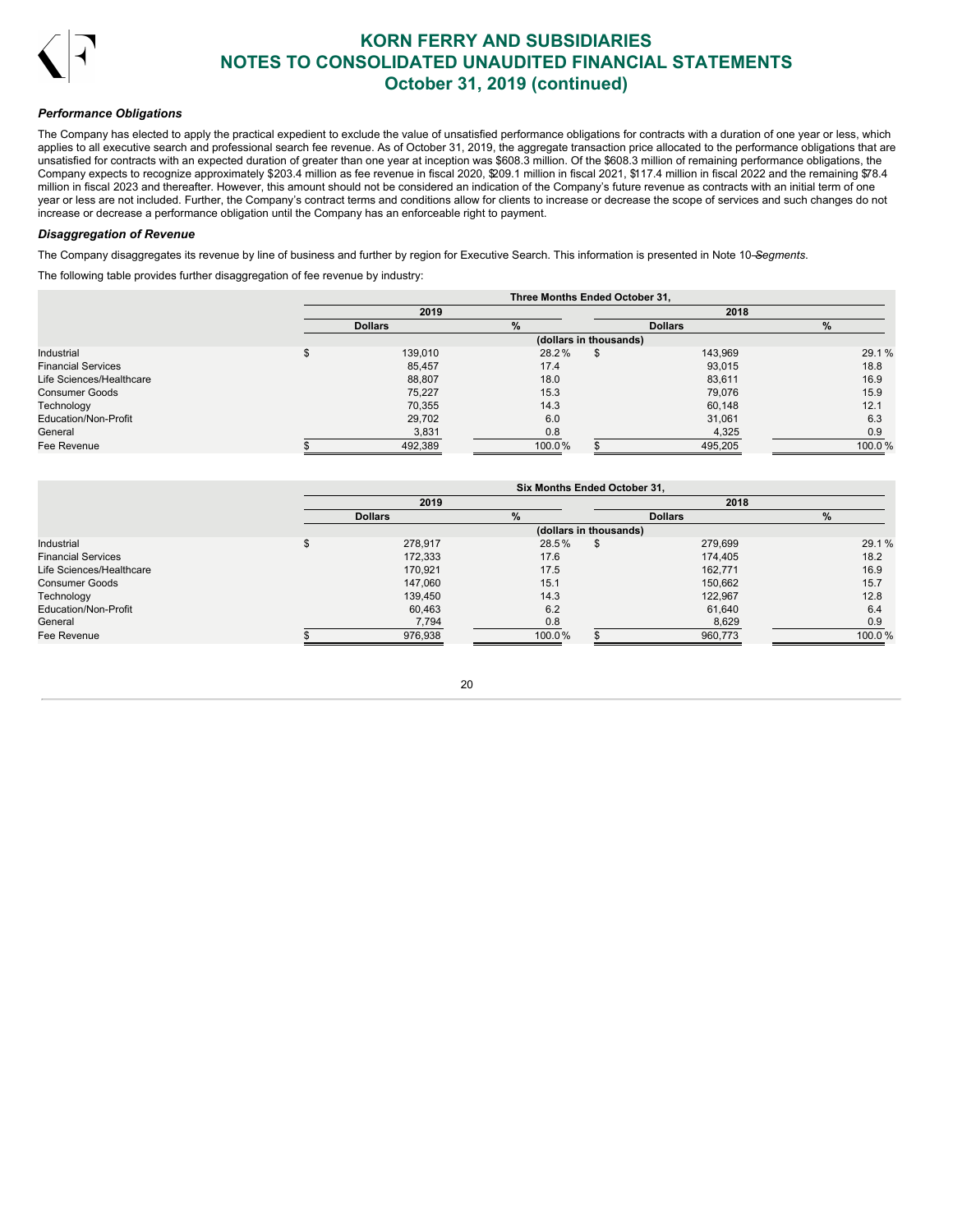

### *Performance Obligations*

The Company has elected to apply the practical expedient to exclude the value of unsatisfied performance obligations for contracts with a duration of one year or less, which applies to all executive search and professional search fee revenue. As of October 31, 2019, the aggregate transaction price allocated to the performance obligations that are unsatisfied for contracts with an expected duration of greater than one year at inception was \$608.3 million. Of the \$608.3 million of remaining performance obligations, the Company expects to recognize approximately \$203.4 million as fee revenue in fiscal 2020, \$209.1 million in fiscal 2021, \$117.4 million in fiscal 2022 and the remaining \$78.4 million in fiscal 2023 and thereafter. However, this amount should not be considered an indication of the Company's future revenue as contracts with an initial term of one year or less are not included. Further, the Company's contract terms and conditions allow for clients to increase or decrease the scope of services and such changes do not increase or decrease a performance obligation until the Company has an enforceable right to payment.

### *Disaggregation of Revenue*

The Company disaggregates its revenue by line of business and further by region for Executive Search. This information is presented in Note 10—*Segments*.

The following table provides further disaggregation of fee revenue by industry:

|                           | Three Months Ended October 31, |        |                        |                |        |  |  |  |  |  |  |  |  |  |
|---------------------------|--------------------------------|--------|------------------------|----------------|--------|--|--|--|--|--|--|--|--|--|
|                           | 2019<br>2018                   |        |                        |                |        |  |  |  |  |  |  |  |  |  |
|                           | <b>Dollars</b>                 | $\%$   |                        | <b>Dollars</b> | $\%$   |  |  |  |  |  |  |  |  |  |
|                           |                                |        | (dollars in thousands) |                |        |  |  |  |  |  |  |  |  |  |
| Industrial                | 139,010                        | 28.2%  |                        | 143,969        | 29.1%  |  |  |  |  |  |  |  |  |  |
| <b>Financial Services</b> | 85,457                         | 17.4   |                        | 93,015         | 18.8   |  |  |  |  |  |  |  |  |  |
| Life Sciences/Healthcare  | 88,807                         | 18.0   |                        | 83,611         | 16.9   |  |  |  |  |  |  |  |  |  |
| <b>Consumer Goods</b>     | 75,227                         | 15.3   |                        | 79,076         | 15.9   |  |  |  |  |  |  |  |  |  |
| Technology                | 70.355                         | 14.3   |                        | 60,148         | 12.1   |  |  |  |  |  |  |  |  |  |
| Education/Non-Profit      | 29,702                         | 6.0    |                        | 31,061         | 6.3    |  |  |  |  |  |  |  |  |  |
| General                   | 3,831                          | 0.8    |                        | 4,325          | 0.9    |  |  |  |  |  |  |  |  |  |
| Fee Revenue               | 492,389                        | 100.0% |                        | 495,205        | 100.0% |  |  |  |  |  |  |  |  |  |

|                           | Six Months Ended October 31, |        |                        |                |        |  |  |  |  |  |  |  |  |  |
|---------------------------|------------------------------|--------|------------------------|----------------|--------|--|--|--|--|--|--|--|--|--|
|                           | 2019                         |        |                        | 2018           |        |  |  |  |  |  |  |  |  |  |
|                           | <b>Dollars</b>               | $\%$   |                        | <b>Dollars</b> | $\%$   |  |  |  |  |  |  |  |  |  |
|                           |                              |        | (dollars in thousands) |                |        |  |  |  |  |  |  |  |  |  |
| Industrial                | 278,917                      | 28.5%  | £.                     | 279,699        | 29.1%  |  |  |  |  |  |  |  |  |  |
| <b>Financial Services</b> | 172.333                      | 17.6   |                        | 174.405        | 18.2   |  |  |  |  |  |  |  |  |  |
| Life Sciences/Healthcare  | 170.921                      | 17.5   |                        | 162,771        | 16.9   |  |  |  |  |  |  |  |  |  |
| <b>Consumer Goods</b>     | 147.060                      | 15.1   |                        | 150,662        | 15.7   |  |  |  |  |  |  |  |  |  |
| Technology                | 139,450                      | 14.3   |                        | 122,967        | 12.8   |  |  |  |  |  |  |  |  |  |
| Education/Non-Profit      | 60,463                       | 6.2    |                        | 61,640         | 6.4    |  |  |  |  |  |  |  |  |  |
| General                   | 7,794                        | 0.8    |                        | 8,629          | 0.9    |  |  |  |  |  |  |  |  |  |
| Fee Revenue               | 976,938                      | 100.0% |                        | 960,773        | 100.0% |  |  |  |  |  |  |  |  |  |

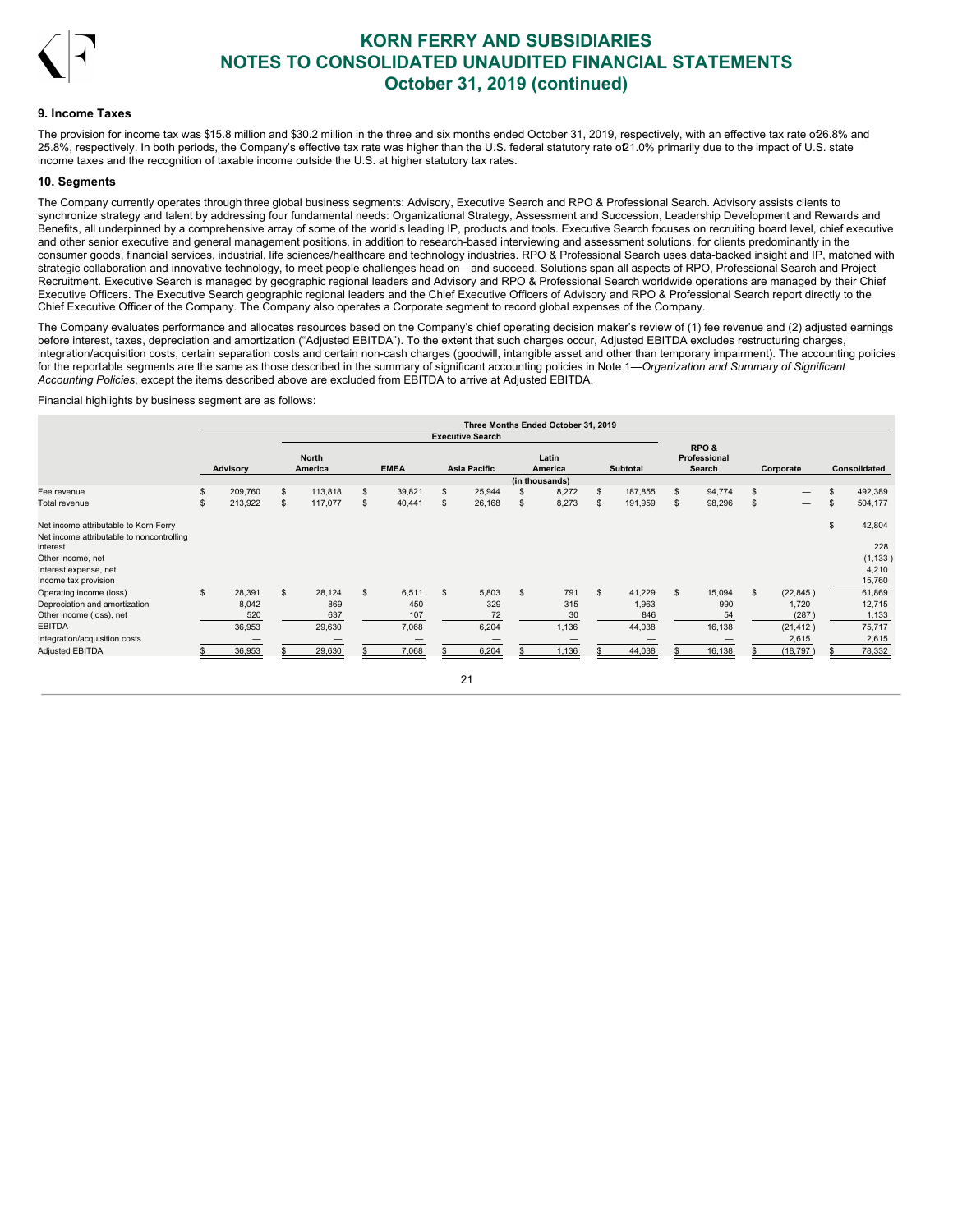

### **9. Income Taxes**

The provision for income tax was \$15.8 million and \$30.2 million in the three and six months ended October 31, 2019, respectively, with an effective tax rate oD6.8% and 25.8%, respectively. In both periods, the Company's effective tax rate was higher than the U.S. federal statutory rate of 21.0% primarily due to the impact of U.S. state income taxes and the recognition of taxable income outside the U.S. at higher statutory tax rates.

#### **10. Segments**

The Company currently operates through three global business segments: Advisory, Executive Search and RPO & Professional Search. Advisory assists clients to synchronize strategy and talent by addressing four fundamental needs: Organizational Strategy, Assessment and Succession, Leadership Development and Rewards and Benefits, all underpinned by a comprehensive array of some of the world's leading IP, products and tools. Executive Search focuses on recruiting board level, chief executive and other senior executive and general management positions, in addition to research-based interviewing and assessment solutions, for clients predominantly in the consumer goods, financial services, industrial, life sciences/healthcare and technology industries. RPO & Professional Search uses data-backed insight and IP, matched with strategic collaboration and innovative technology, to meet people challenges head on—and succeed. Solutions span all aspects of RPO, Professional Search and Project Recruitment. Executive Search is managed by geographic regional leaders and Advisory and RPO & Professional Search worldwide operations are managed by their Chief Executive Officers. The Executive Search geographic regional leaders and the Chief Executive Officers of Advisory and RPO & Professional Search report directly to the Chief Executive Officer of the Company. The Company also operates a Corporate segment to record global expenses of the Company.

The Company evaluates performance and allocates resources based on the Company's chief operating decision maker's review of (1) fee revenue and (2) adjusted earnings before interest, taxes, depreciation and amortization ("Adjusted EBITDA"). To the extent that such charges occur, Adjusted EBITDA excludes restructuring charges, integration/acquisition costs, certain separation costs and certain non-cash charges (goodwill, intangible asset and other than temporary impairment). The accounting policies for the reportable segments are the same as those described in the summary of significant accounting policies in Note 1—*Organization and Summary of Significant Accounting Policies*, except the items described above are excluded from EBITDA to arrive at Adjusted EBITDA.

Financial highlights by business segment are as follows:

|                                                       |               |     |                         |              |                |                         | Three Months Ended October 31, 2019 |    |                 |     |                                |                                       |    |              |
|-------------------------------------------------------|---------------|-----|-------------------------|--------------|----------------|-------------------------|-------------------------------------|----|-----------------|-----|--------------------------------|---------------------------------------|----|--------------|
|                                                       |               |     |                         |              |                | <b>Executive Search</b> |                                     |    |                 |     |                                |                                       |    |              |
|                                                       | Advisory      |     | <b>North</b><br>America | <b>EMEA</b>  |                | <b>Asia Pacific</b>     | Latin<br>America                    |    | <b>Subtotal</b> |     | RPO&<br>Professional<br>Search | Corporate                             |    | Consolidated |
| Fee revenue                                           | \$<br>209,760 | \$. | 113,818                 | \$<br>39,821 | \$             | 25,944                  | (in thousands)<br>8,272             | S  | 187,855         | \$. | 94,774                         | \$                                    | £. | 492,389      |
| Total revenue                                         | \$<br>213,922 | \$  | 117,077                 | \$<br>40,441 | \$.            | 26,168                  | \$<br>8,273                         | S  | 191,959         | s.  | 98,296                         | \$<br>$\hspace{0.1mm}-\hspace{0.1mm}$ | S. | 504,177      |
| Net income attributable to Korn Ferry                 |               |     |                         |              |                |                         |                                     |    |                 |     |                                |                                       | \$ | 42,804       |
| Net income attributable to noncontrolling<br>interest |               |     |                         |              |                |                         |                                     |    |                 |     |                                |                                       |    | 228          |
| Other income, net                                     |               |     |                         |              |                |                         |                                     |    |                 |     |                                |                                       |    | (1, 133)     |
| Interest expense, net                                 |               |     |                         |              |                |                         |                                     |    |                 |     |                                |                                       |    | 4,210        |
| Income tax provision                                  |               |     |                         |              |                |                         |                                     |    |                 |     |                                |                                       |    | 15,760       |
| Operating income (loss)                               | \$<br>28,391  | \$  | 28,124                  | \$<br>6,511  | $\mathfrak{L}$ | 5,803                   | \$<br>791                           | \$ | 41,229          | \$  | 15,094                         | \$<br>(22, 845)                       |    | 61,869       |
| Depreciation and amortization                         | 8,042         |     | 869                     | 450          |                | 329                     | 315                                 |    | 1,963           |     | 990                            | 1,720                                 |    | 12,715       |
| Other income (loss), net                              | 520           |     | 637                     | 107          |                | 72                      | 30                                  |    | 846             |     | 54                             | (287)                                 |    | 1,133        |
| <b>EBITDA</b>                                         | 36,953        |     | 29,630                  | 7,068        |                | 6,204                   | 1,136                               |    | 44,038          |     | 16,138                         | (21, 412)                             |    | 75,717       |
| Integration/acquisition costs                         |               |     |                         |              |                |                         |                                     |    |                 |     |                                | 2,615                                 |    | 2,615        |
| <b>Adjusted EBITDA</b>                                | 36,953        |     | 29,630                  | 7,068        |                | 6,204                   | 1,136                               |    | 44,038          |     | 16,138                         | (18, 797)                             |    | 78,332       |

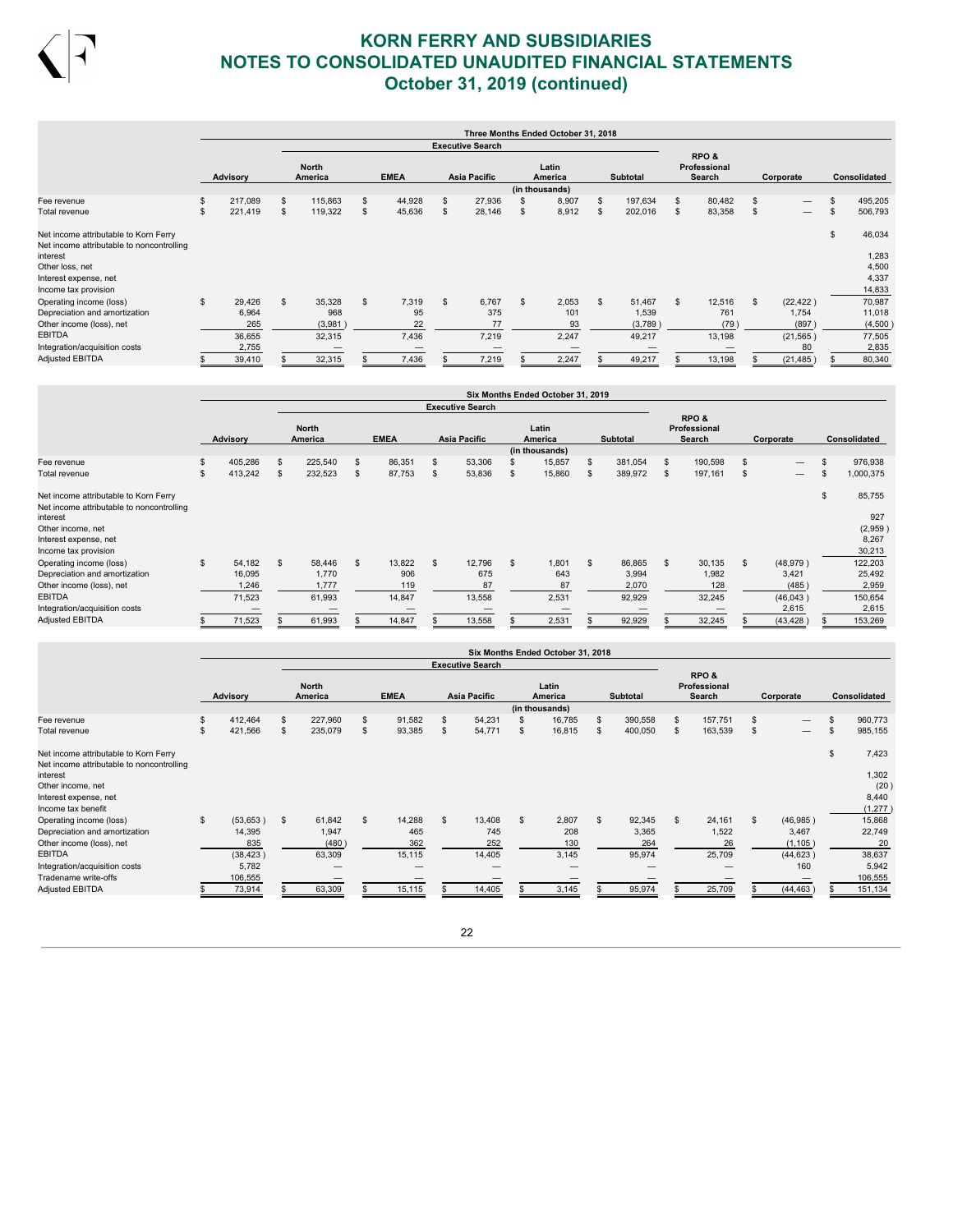

|                                                                                    |    |          |                |                         |                |             |                         |    | Three Months Ended October 31, 2018 |     |          |     |                                |                                |    |                |
|------------------------------------------------------------------------------------|----|----------|----------------|-------------------------|----------------|-------------|-------------------------|----|-------------------------------------|-----|----------|-----|--------------------------------|--------------------------------|----|----------------|
|                                                                                    |    |          |                |                         |                |             | <b>Executive Search</b> |    |                                     |     |          |     |                                |                                |    |                |
|                                                                                    |    | Advisory |                | <b>North</b><br>America |                | <b>EMEA</b> | Asia Pacific            |    | Latin<br>America<br>(in thousands)  |     | Subtotal |     | RPO&<br>Professional<br>Search | Corporate                      |    | Consolidated   |
| Fee revenue                                                                        | \$ | 217,089  | \$             | 115,863                 | \$             | 44,928      | \$<br>27,936            |    | 8,907                               | \$  | 197,634  | \$. | 80,482                         | \$<br>$\overline{\phantom{0}}$ | \$ | 495,205        |
| Total revenue                                                                      | \$ | 221,419  | \$             | 119,322                 | \$             | 45,636      | \$<br>28,146            | S  | 8,912                               | \$. | 202,016  | S   | 83,358                         | \$<br>$\overline{\phantom{0}}$ |    | 506,793        |
| Net income attributable to Korn Ferry<br>Net income attributable to noncontrolling |    |          |                |                         |                |             |                         |    |                                     |     |          |     |                                |                                | £. | 46,034         |
| interest                                                                           |    |          |                |                         |                |             |                         |    |                                     |     |          |     |                                |                                |    | 1,283          |
| Other loss, net<br>Interest expense, net                                           |    |          |                |                         |                |             |                         |    |                                     |     |          |     |                                |                                |    | 4,500<br>4,337 |
| Income tax provision                                                               |    |          |                |                         |                |             |                         |    |                                     |     |          |     |                                |                                |    | 14,833         |
| Operating income (loss)                                                            | s. | 29,426   | $\mathfrak{L}$ | 35,328                  | $\mathfrak{L}$ | 7,319       | \$<br>6,767             | \$ | 2,053                               | \$  | 51,467   | \$  | 12,516                         | \$<br>(22, 422)                |    | 70,987         |
| Depreciation and amortization                                                      |    | 6,964    |                | 968                     |                | 95          | 375                     |    | 101                                 |     | 1,539    |     | 761                            | 1,754                          |    | 11,018         |
| Other income (loss), net                                                           |    | 265      |                | (3,981)                 |                | 22          | 77                      |    | 93                                  |     | (3,789)  |     | (79)                           | (897)                          |    | (4,500)        |
| <b>EBITDA</b>                                                                      |    | 36,655   |                | 32,315                  |                | 7,436       | 7,219                   |    | 2,247                               |     | 49,217   |     | 13,198                         | (21, 565)                      |    | 77,505         |
| Integration/acquisition costs                                                      |    | 2,755    |                |                         |                |             |                         |    |                                     |     |          |     |                                | 80                             |    | 2,835          |
| <b>Adjusted EBITDA</b>                                                             |    | 39,410   |                | 32,315                  |                | 7,436       | 7,219                   |    | 2,247                               |     | 49,217   |     | 13,198                         | (21, 485)                      |    | 80,340         |

|                                                                                    |               |                         |    |             |                |                         |                | Six Months Ended October 31, 2019  |              |                 |     |                                 |                |           |              |
|------------------------------------------------------------------------------------|---------------|-------------------------|----|-------------|----------------|-------------------------|----------------|------------------------------------|--------------|-----------------|-----|---------------------------------|----------------|-----------|--------------|
|                                                                                    |               |                         |    |             |                | <b>Executive Search</b> |                |                                    |              |                 |     |                                 |                |           |              |
|                                                                                    | Advisory      | <b>North</b><br>America |    | <b>EMEA</b> |                | <b>Asia Pacific</b>     |                | Latin<br>America<br>(in thousands) |              | <b>Subtotal</b> |     | RPO &<br>Professional<br>Search |                | Corporate | Consolidated |
| Fee revenue                                                                        | \$<br>405,286 | \$<br>225,540           | \$ | 86,351      | \$.            | 53,306                  |                | 15,857                             | \$           | 381,054         | \$. | 190,598                         | $\mathfrak{s}$ |           | 976,938      |
| Total revenue                                                                      | \$<br>413,242 | \$<br>232,523           | \$ | 87,753      | \$.            | 53,836                  | -S             | 15,860                             | S            | 389,972         | \$  | 197,161                         | \$             |           | 1,000,375    |
| Net income attributable to Korn Ferry<br>Net income attributable to noncontrolling |               |                         |    |             |                |                         |                |                                    |              |                 |     |                                 |                |           | \$<br>85,755 |
| interest                                                                           |               |                         |    |             |                |                         |                |                                    |              |                 |     |                                 |                |           | 927          |
| Other income, net                                                                  |               |                         |    |             |                |                         |                |                                    |              |                 |     |                                 |                |           | (2,959)      |
| Interest expense, net                                                              |               |                         |    |             |                |                         |                |                                    |              |                 |     |                                 |                |           | 8,267        |
| Income tax provision                                                               |               |                         |    |             |                |                         |                |                                    |              |                 |     |                                 |                |           | 30,213       |
| Operating income (loss)                                                            | \$<br>54,182  | \$<br>58,446            | £. | 13,822      | $\mathfrak{s}$ | 12,796                  | $\mathfrak{s}$ | 1,801                              | $\mathbf{s}$ | 86,865          | \$  | 30,135                          | $\mathbf{s}$   | (48, 979) | 122,203      |
| Depreciation and amortization                                                      | 16,095        | 1.770                   |    | 906         |                | 675                     |                | 643                                |              | 3,994           |     | 1,982                           |                | 3,421     | 25,492       |
| Other income (loss), net                                                           | 1,246         | 1,777                   |    | 119         |                | 87                      |                | 87                                 |              | 2,070           |     | 128                             |                | (485)     | 2,959        |
| <b>EBITDA</b>                                                                      | 71,523        | 61,993                  |    | 14,847      |                | 13,558                  |                | 2,531                              |              | 92,929          |     | 32,245                          |                | (46,043)  | 150,654      |
| Integration/acquisition costs                                                      |               |                         |    |             |                |                         |                |                                    |              |                 |     |                                 |                | 2,615     | 2,615        |
| <b>Adjusted EBITDA</b>                                                             | 71,523        | 61,993                  |    | 14,847      |                | 13,558                  |                | 2,531                              |              | 92,929          |     | 32,245                          |                | (43, 428) | 153,269      |

|                                                                                                                                                                    |    |                                                            |                                          |                |                                |                |                                |                | Six Months Ended October 31, 2018  |   |                                  |     |                                 |                                                         |     |                                                      |
|--------------------------------------------------------------------------------------------------------------------------------------------------------------------|----|------------------------------------------------------------|------------------------------------------|----------------|--------------------------------|----------------|--------------------------------|----------------|------------------------------------|---|----------------------------------|-----|---------------------------------|---------------------------------------------------------|-----|------------------------------------------------------|
|                                                                                                                                                                    |    |                                                            |                                          |                |                                |                | <b>Executive Search</b>        |                |                                    |   |                                  |     |                                 |                                                         |     |                                                      |
|                                                                                                                                                                    |    | Advisory                                                   | <b>North</b><br>America                  |                | <b>EMEA</b>                    |                | <b>Asia Pacific</b>            |                | Latin<br>America<br>(in thousands) |   | <b>Subtotal</b>                  |     | RPO&<br>Professional<br>Search  | Corporate                                               |     | <b>Consolidated</b>                                  |
| Fee revenue                                                                                                                                                        | \$ | 412,464                                                    | \$<br>227,960                            | $\mathfrak{s}$ | 91,582                         | \$             | 54,231                         |                | 16,785                             | S | 390,558                          | S   | 157,751                         | \$<br>$\overline{\phantom{0}}$                          | \$  | 960,773                                              |
| Total revenue                                                                                                                                                      | s. | 421,566                                                    | \$<br>235,079                            | $\mathfrak{s}$ | 93,385                         | \$             | 54,771                         | \$.            | 16,815                             | S | 400,050                          | S   | 163,539                         | \$<br>$\overline{\phantom{0}}$                          | \$. | 985,155                                              |
| Net income attributable to Korn Ferry<br>Net income attributable to noncontrolling<br>interest<br>Other income, net<br>Interest expense, net<br>Income tax benefit |    |                                                            |                                          |                |                                |                |                                |                |                                    |   |                                  |     |                                 |                                                         | \$  | 7,423<br>1,302<br>(20)<br>8,440<br>(1, 277)          |
| Operating income (loss)<br>Depreciation and amortization<br>Other income (loss), net<br><b>EBITDA</b><br>Integration/acquisition costs<br>Tradename write-offs     | s. | (53,653)<br>14,395<br>835<br>(38, 423)<br>5,782<br>106,555 | \$<br>61,842<br>1,947<br>(480)<br>63,309 | $\mathfrak{L}$ | 14,288<br>465<br>362<br>15,115 | $\mathfrak{L}$ | 13,408<br>745<br>252<br>14,405 | $\mathfrak{L}$ | 2,807<br>208<br>130<br>3,145       | s | 92,345<br>3,365<br>264<br>95,974 | \$. | 24,161<br>1,522<br>26<br>25,709 | \$<br>(46,985)<br>3,467<br>(1, 105)<br>(44, 623)<br>160 |     | 15,868<br>22,749<br>20<br>38,637<br>5,942<br>106,555 |
| <b>Adjusted EBITDA</b>                                                                                                                                             |    | 73,914                                                     | 63,309                                   |                | 15,115                         |                | 14,405                         |                | 3,145                              |   | 95,974                           |     | 25,709                          | (44, 463)                                               |     | 151,134                                              |

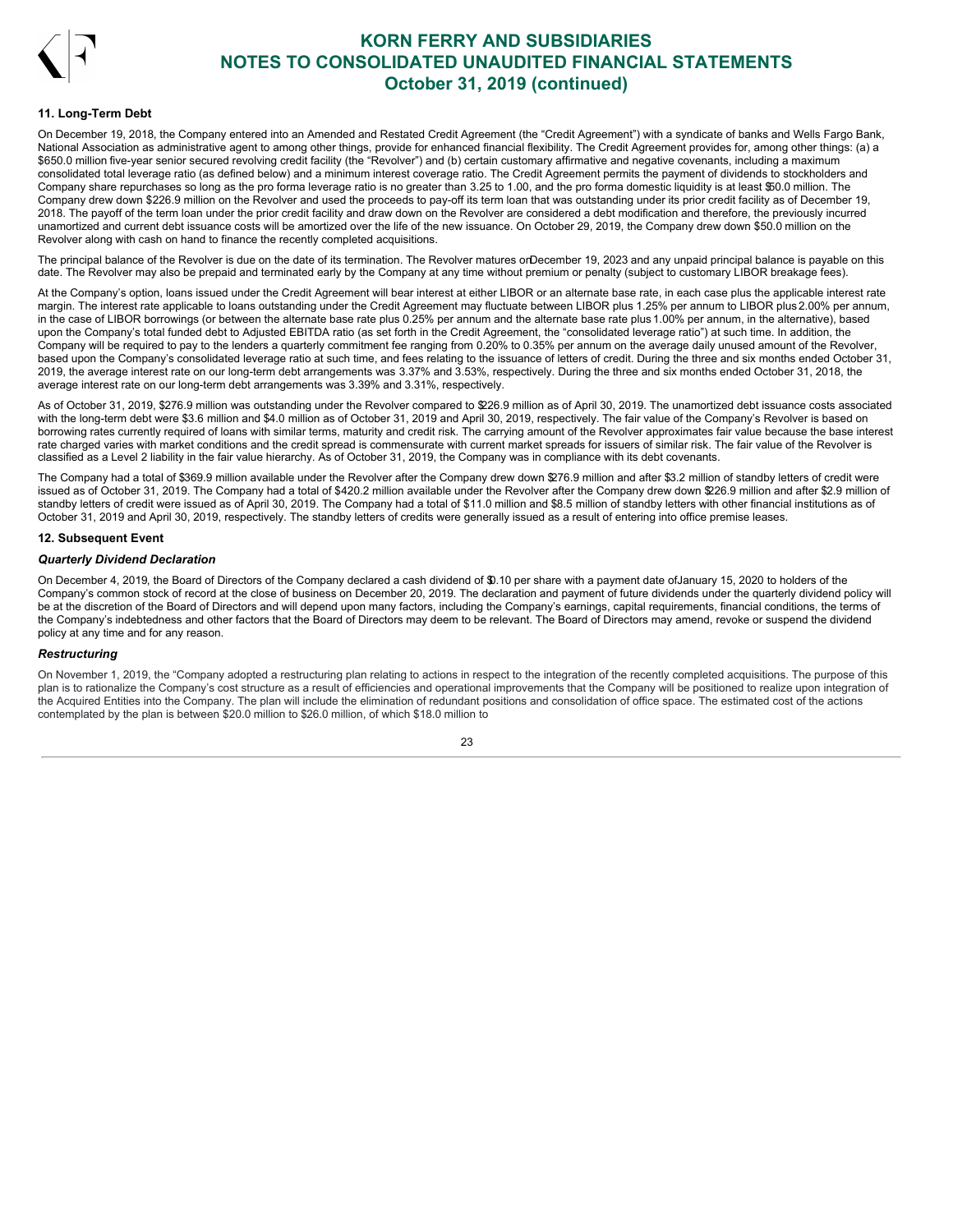

### **11. Long-Term Debt**

On December 19, 2018, the Company entered into an Amended and Restated Credit Agreement (the "Credit Agreement") with a syndicate of banks and Wells Fargo Bank, National Association as administrative agent to among other things, provide for enhanced financial flexibility. The Credit Agreement provides for, among other things: (a) a \$650.0 million five-year senior secured revolving credit facility (the "Revolver") and (b) certain customary affirmative and negative covenants, including a maximum consolidated total leverage ratio (as defined below) and a minimum interest coverage ratio. The Credit Agreement permits the payment of dividends to stockholders and Company share repurchases so long as the pro forma leverage ratio is no greater than 3.25 to 1.00, and the pro forma domestic liquidity is at least \$50.0 million. The Company drew down \$226.9 million on the Revolver and used the proceeds to pay-off its term loan that was outstanding under its prior credit facility as of December 19, 2018. The payoff of the term loan under the prior credit facility and draw down on the Revolver are considered a debt modification and therefore, the previously incurred unamortized and current debt issuance costs will be amortized over the life of the new issuance. On October 29, 2019, the Company drew down \$50.0 million on the Revolver along with cash on hand to finance the recently completed acquisitions.

The principal balance of the Revolver is due on the date of its termination. The Revolver matures orDecember 19, 2023 and any unpaid principal balance is payable on this date. The Revolver may also be prepaid and terminated early by the Company at any time without premium or penalty (subject to customary LIBOR breakage fees).

At the Company's option, loans issued under the Credit Agreement will bear interest at either LIBOR or an alternate base rate, in each case plus the applicable interest rate margin. The interest rate applicable to loans outstanding under the Credit Agreement may fluctuate between LIBOR plus 1.25% per annum to LIBOR plus 2.00% per annum, in the case of LIBOR borrowings (or between the alternate base rate plus 0.25% per annum and the alternate base rate plus 1.00% per annum, in the alternative), based upon the Company's total funded debt to Adjusted EBITDA ratio (as set forth in the Credit Agreement, the "consolidated leverage ratio") at such time. In addition, the Company will be required to pay to the lenders a quarterly commitment fee ranging from 0.20% to 0.35% per annum on the average daily unused amount of the Revolver, based upon the Company's consolidated leverage ratio at such time, and fees relating to the issuance of letters of credit. During the three and six months ended October 31, 2019, the average interest rate on our long-term debt arrangements was 3.37% and 3.53%, respectively. During the three and six months ended October 31, 2018, the average interest rate on our long-term debt arrangements was 3.39% and 3.31%, respectively.

As of October 31, 2019, \$276.9 million was outstanding under the Revolver compared to \$226.9 million as of April 30, 2019. The unamortized debt issuance costs associated with the long-term debt were \$3.6 million and \$4.0 million as of October 31, 2019 and April 30, 2019, respectively. The fair value of the Company's Revolver is based on borrowing rates currently required of loans with similar terms, maturity and credit risk. The carrying amount of the Revolver approximates fair value because the base interest rate charged varies with market conditions and the credit spread is commensurate with current market spreads for issuers of similar risk. The fair value of the Revolver is classified as a Level 2 liability in the fair value hierarchy. As of October 31, 2019, the Company was in compliance with its debt covenants.

The Company had a total of \$369.9 million available under the Revolver after the Company drew down \$276.9 million and after \$3.2 million of standby letters of credit were issued as of October 31, 2019. The Company had a total of \$420.2 million available under the Revolver after the Company drew down \$26.9 million and after \$2.9 million of standby letters of credit were issued as of April 30, 2019. The Company had a total of \$11.0 million and \$8.5 million of standby letters with other financial institutions as of October 31, 2019 and April 30, 2019, respectively. The standby letters of credits were generally issued as a result of entering into office premise leases.

## **12. Subsequent Event**

#### *Quarterly Dividend Declaration*

On December 4, 2019, the Board of Directors of the Company declared a cash dividend of \$0.10 per share with a payment date ofJanuary 15, 2020 to holders of the Company's common stock of record at the close of business on December 20, 2019. The declaration and payment of future dividends under the quarterly dividend policy will be at the discretion of the Board of Directors and will depend upon many factors, including the Company's earnings, capital requirements, financial conditions, the terms of the Company's indebtedness and other factors that the Board of Directors may deem to be relevant. The Board of Directors may amend, revoke or suspend the dividend policy at any time and for any reason.

### *Restructuring*

On November 1, 2019, the "Company adopted a restructuring plan relating to actions in respect to the integration of the recently completed acquisitions. The purpose of this plan is to rationalize the Company's cost structure as a result of efficiencies and operational improvements that the Company will be positioned to realize upon integration of the Acquired Entities into the Company. The plan will include the elimination of redundant positions and consolidation of office space. The estimated cost of the actions contemplated by the plan is between \$20.0 million to \$26.0 million, of which \$18.0 million to

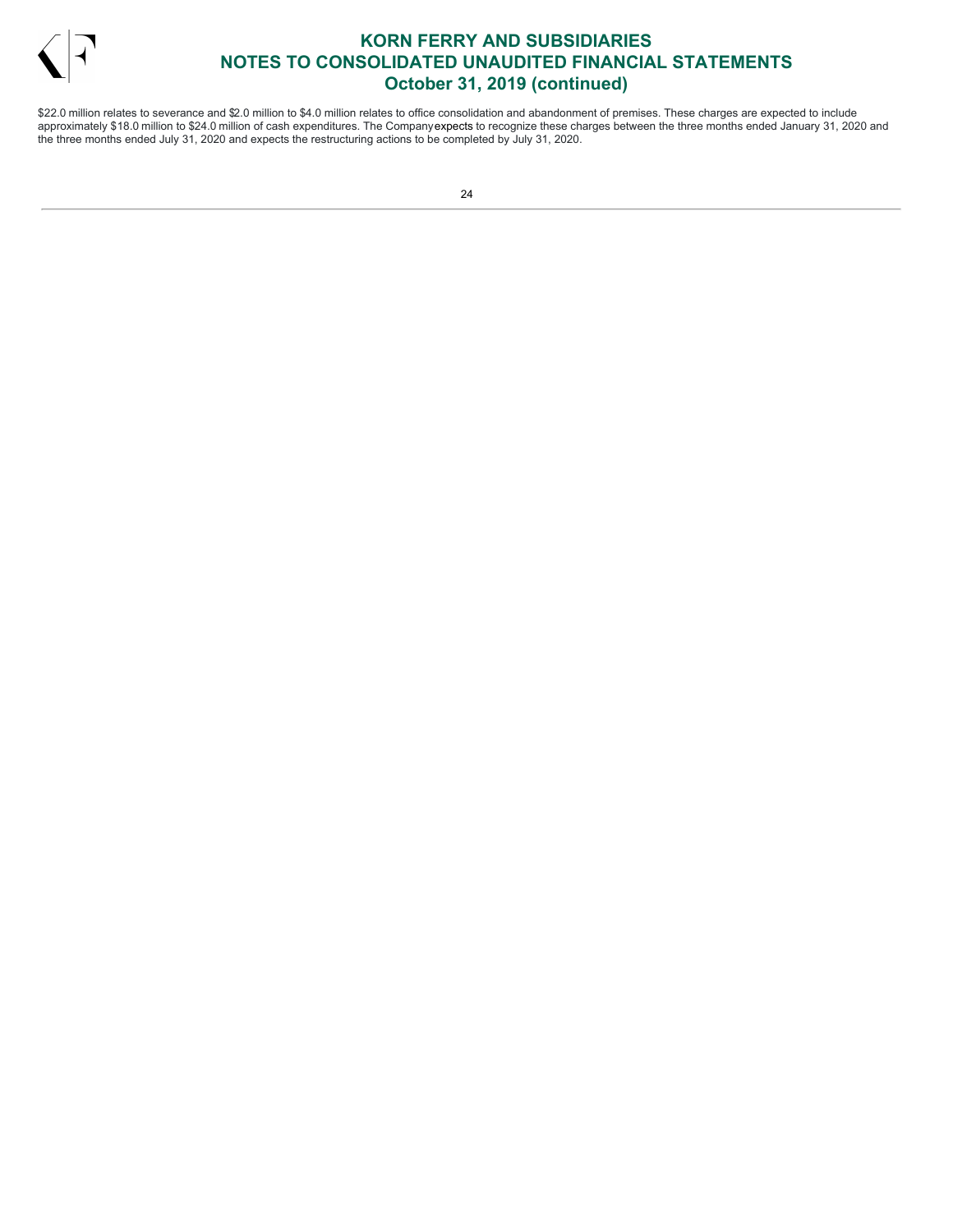

\$22.0 million relates to severance and \$2.0 million to \$4.0 million relates to office consolidation and abandonment of premises. These charges are expected to include approximately \$18.0 million to \$24.0 million of cash expenditures. The Companyexpects to recognize these charges between the three months ended January 31, 2020 and the three months ended July 31, 2020 and expects the restructuring actions to be completed by July 31, 2020.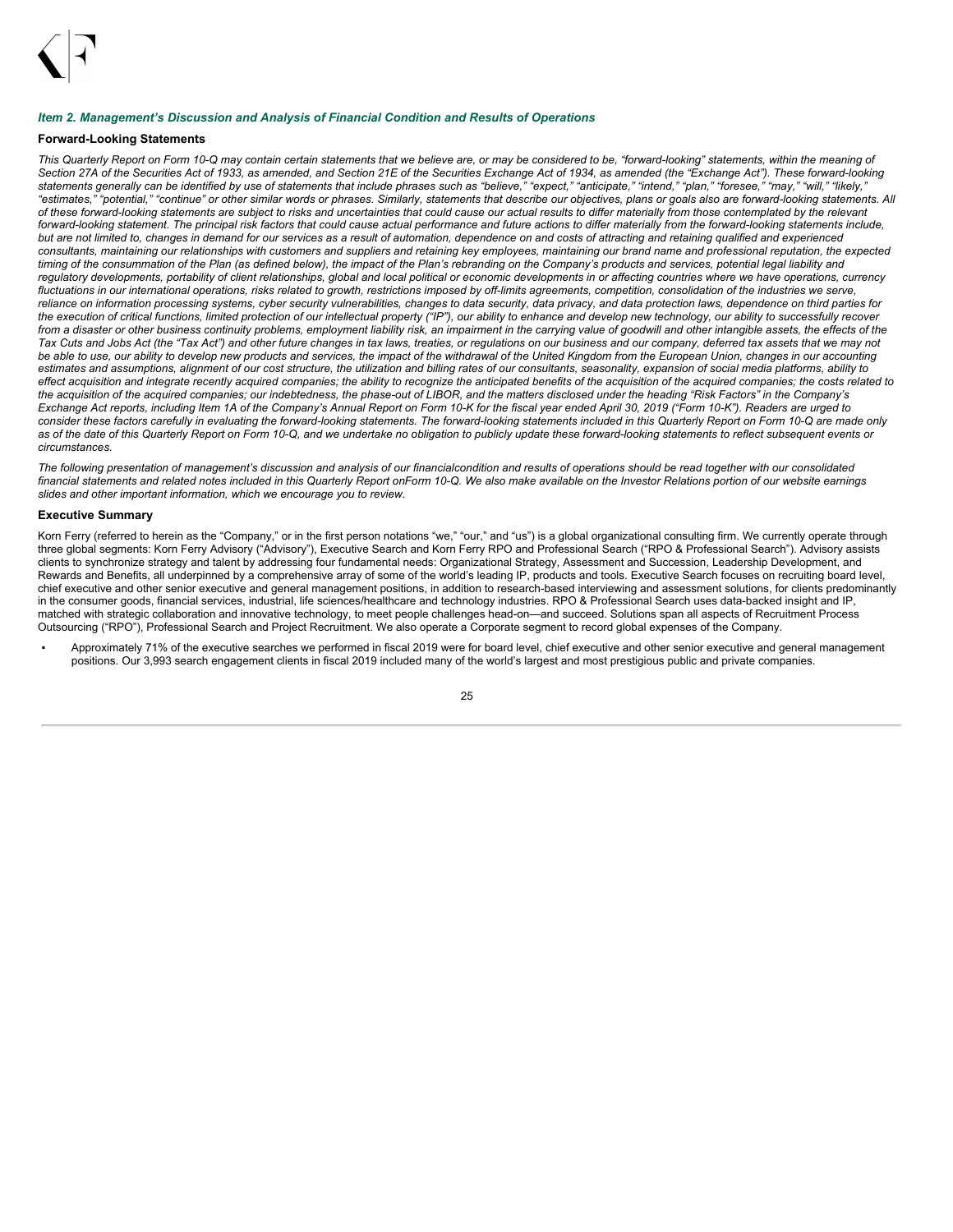

### <span id="page-26-0"></span>*Item 2. Management's Discussion and Analysis of Financial Condition and Results of Operations*

## **Forward-Looking Statements**

This Quarterly Report on Form 10-Q may contain certain statements that we believe are, or may be considered to be, "forward-looking" statements, within the meaning of Section 27A of the Securities Act of 1933, as amended, and Section 21E of the Securities Exchange Act of 1934, as amended (the "Exchange Act"). These forward-looking statements generally can be identified by use of statements that include phrases such as "believe," "expect," "anticipate," "intend," "plan," "foresee," "may," "will," "likely," "estimates," "potential," "continue" or other similar words or phrases. Similarly, statements that describe our objectives, plans or goals also are forward-looking statements. All of these forward-looking statements are subject to risks and uncertainties that could cause our actual results to differ materially from those contemplated by the relevant forward-looking statement. The principal risk factors that could cause actual performance and future actions to differ materially from the forward-looking statements include, but are not limited to, changes in demand for our services as a result of automation, dependence on and costs of attracting and retaining qualified and experienced consultants, maintaining our relationships with customers and suppliers and retaining key employees, maintaining our brand name and professional reputation, the expected timing of the consummation of the Plan (as defined below), the impact of the Plan's rebranding on the Company's products and services, potential legal liability and regulatory developments, portability of client relationships, global and local political or economic developments in or affecting countries where we have operations, currency fluctuations in our international operations, risks related to growth, restrictions imposed by off-limits agreements, competition, consolidation of the industries we serve, reliance on information processing systems, cyber security vulnerabilities, changes to data security, data privacy, and data protection laws, dependence on third parties for the execution of critical functions, limited protection of our intellectual property ("IP"), our ability to enhance and develop new technology, our ability to successfully recover from a disaster or other business continuity problems, employment liability risk, an impairment in the carrying value of goodwill and other intangible assets, the effects of the Tax Cuts and Jobs Act (the "Tax Act") and other future changes in tax laws, treaties, or regulations on our business and our company, deferred tax assets that we may not be able to use, our ability to develop new products and services, the impact of the withdrawal of the United Kingdom from the European Union, changes in our accounting estimates and assumptions, alignment of our cost structure, the utilization and billing rates of our consultants, seasonality, expansion of social media platforms, ability to effect acquisition and integrate recently acquired companies; the ability to recognize the anticipated benefits of the acquisition of the acquired companies; the costs related to the acquisition of the acquired companies; our indebtedness, the phase-out of LIBOR, and the matters disclosed under the heading "Risk Factors" in the Company's Exchange Act reports, including Item 1A of the Company's Annual Report on Form 10-K for the fiscal year ended April 30, 2019 ("Form 10-K"). Readers are urged to consider these factors carefully in evaluating the forward-looking statements. The forward-looking statements included in this Quarterly Report on Form 10-Q are made only as of the date of this Quarterly Report on Form 10-Q, and we undertake no obligation to publicly update these forward-looking statements to reflect subsequent events or *circumstances.*

The following presentation of management's discussion and analysis of our financialcondition and results of operations should be read together with our consolidated financial statements and related notes included in this Quarterly Report onForm 10-Q. We also make available on the Investor Relations portion of our website earnings *slides and other important information, which we encourage you to review.*

#### **Executive Summary**

Korn Ferry (referred to herein as the "Company," or in the first person notations "we," "our," and "us") is a global organizational consulting firm. We currently operate through three global segments: Korn Ferry Advisory ("Advisory"), Executive Search and Korn Ferry RPO and Professional Search ("RPO & Professional Search"). Advisory assists clients to synchronize strategy and talent by addressing four fundamental needs: Organizational Strategy, Assessment and Succession, Leadership Development, and Rewards and Benefits, all underpinned by a comprehensive array of some of the world's leading IP, products and tools. Executive Search focuses on recruiting board level, chief executive and other senior executive and general management positions, in addition to research-based interviewing and assessment solutions, for clients predominantly in the consumer goods, financial services, industrial, life sciences/healthcare and technology industries. RPO & Professional Search uses data-backed insight and IP, matched with strategic collaboration and innovative technology, to meet people challenges head-on—and succeed. Solutions span all aspects of Recruitment Process Outsourcing ("RPO"), Professional Search and Project Recruitment. We also operate a Corporate segment to record global expenses of the Company.

Approximately 71% of the executive searches we performed in fiscal 2019 were for board level, chief executive and other senior executive and general management positions. Our 3,993 search engagement clients in fiscal 2019 included many of the world's largest and most prestigious public and private companies.

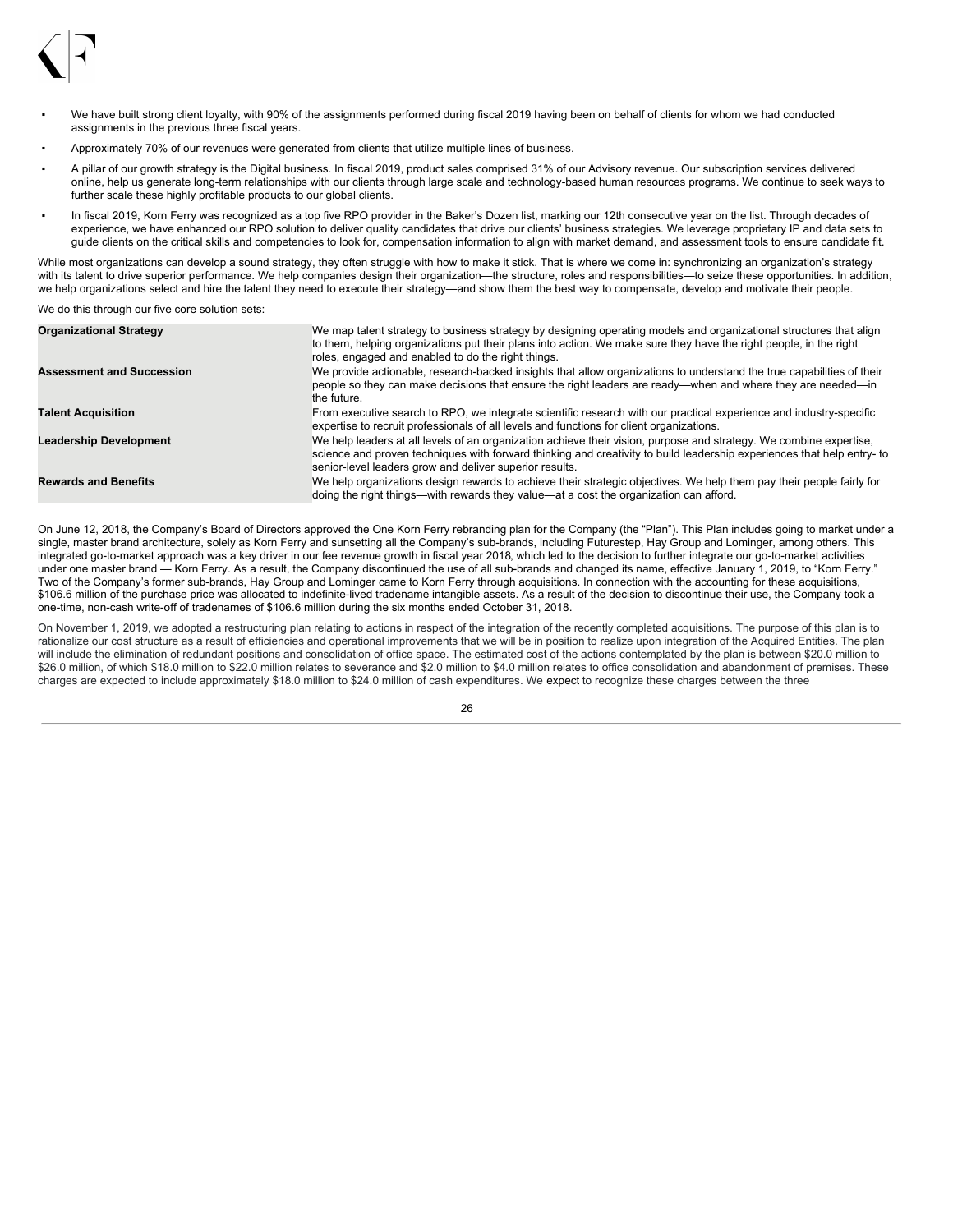

- We have built strong client loyalty, with 90% of the assignments performed during fiscal 2019 having been on behalf of clients for whom we had conducted assignments in the previous three fiscal years.
- Approximately 70% of our revenues were generated from clients that utilize multiple lines of business.
- A pillar of our growth strategy is the Digital business. In fiscal 2019, product sales comprised 31% of our Advisory revenue. Our subscription services delivered online, help us generate long-term relationships with our clients through large scale and technology-based human resources programs. We continue to seek ways to further scale these highly profitable products to our global clients.
- In fiscal 2019, Korn Ferry was recognized as a top five RPO provider in the Baker's Dozen list, marking our 12th consecutive year on the list. Through decades of experience, we have enhanced our RPO solution to deliver quality candidates that drive our clients' business strategies. We leverage proprietary IP and data sets to guide clients on the critical skills and competencies to look for, compensation information to align with market demand, and assessment tools to ensure candidate fit.

While most organizations can develop a sound strategy, they often struggle with how to make it stick. That is where we come in: synchronizing an organization's strategy with its talent to drive superior performance. We help companies design their organization—the structure, roles and responsibilities—to seize these opportunities. In addition, we help organizations select and hire the talent they need to execute their strategy—and show them the best way to compensate, develop and motivate their people.

We do this through our five core solution sets:

| <b>Organizational Strategy</b>   | We map talent strategy to business strategy by designing operating models and organizational structures that align<br>to them, helping organizations put their plans into action. We make sure they have the right people, in the right<br>roles, engaged and enabled to do the right things.          |
|----------------------------------|--------------------------------------------------------------------------------------------------------------------------------------------------------------------------------------------------------------------------------------------------------------------------------------------------------|
| <b>Assessment and Succession</b> | We provide actionable, research-backed insights that allow organizations to understand the true capabilities of their<br>people so they can make decisions that ensure the right leaders are ready—when and where they are needed—in<br>the future.                                                    |
| <b>Talent Acquisition</b>        | From executive search to RPO, we integrate scientific research with our practical experience and industry-specific<br>expertise to recruit professionals of all levels and functions for client organizations.                                                                                         |
| <b>Leadership Development</b>    | We help leaders at all levels of an organization achieve their vision, purpose and strategy. We combine expertise,<br>science and proven techniques with forward thinking and creativity to build leadership experiences that help entry-to<br>senior-level leaders grow and deliver superior results. |
| <b>Rewards and Benefits</b>      | We help organizations design rewards to achieve their strategic objectives. We help them pay their people fairly for<br>doing the right things—with rewards they value—at a cost the organization can afford.                                                                                          |

On June 12, 2018, the Company's Board of Directors approved the One Korn Ferry rebranding plan for the Company (the "Plan"). This Plan includes going to market under a single, master brand architecture, solely as Korn Ferry and sunsetting all the Company's sub-brands, including Futurestep, Hay Group and Lominger, among others. This integrated go-to-market approach was a key driver in our fee revenue growth in fiscal year 2018, which led to the decision to further integrate our go-to-market activities under one master brand — Korn Ferry. As a result, the Company discontinued the use of all sub-brands and changed its name, effective January 1, 2019, to "Korn Ferry." Two of the Company's former sub-brands, Hay Group and Lominger came to Korn Ferry through acquisitions. In connection with the accounting for these acquisitions, \$106.6 million of the purchase price was allocated to indefinite-lived tradename intangible assets. As a result of the decision to discontinue their use, the Company took a one-time, non-cash write-off of tradenames of \$106.6 million during the six months ended October 31, 2018.

On November 1, 2019, we adopted a restructuring plan relating to actions in respect of the integration of the recently completed acquisitions. The purpose of this plan is to rationalize our cost structure as a result of efficiencies and operational improvements that we will be in position to realize upon integration of the Acquired Entities. The plan will include the elimination of redundant positions and consolidation of office space. The estimated cost of the actions contemplated by the plan is between \$20.0 million to \$26.0 million, of which \$18.0 million to \$22.0 million relates to severance and \$2.0 million to \$4.0 million relates to office consolidation and abandonment of premises. These charges are expected to include approximately \$18.0 million to \$24.0 million of cash expenditures. We expect to recognize these charges between the three

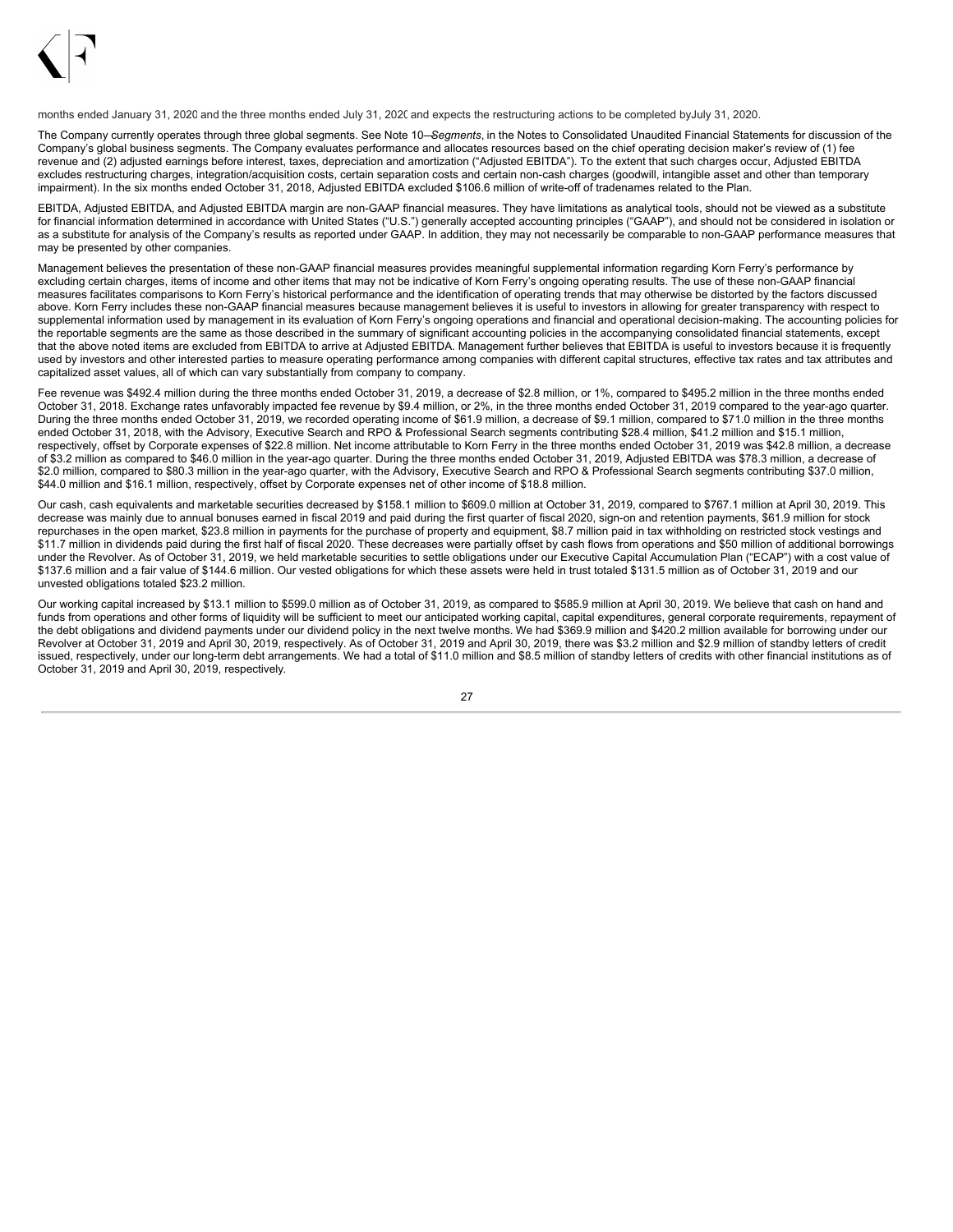

months ended January 31, 2020 and the three months ended July 31, 2020 and expects the restructuring actions to be completed byJuly 31, 2020.

The Company currently operates through three global segments. See Note 10—*Segments*, in the Notes to Consolidated Unaudited Financial Statements for discussion of the Company's global business segments. The Company evaluates performance and allocates resources based on the chief operating decision maker's review of (1) fee revenue and (2) adjusted earnings before interest, taxes, depreciation and amortization ("Adjusted EBITDA"). To the extent that such charges occur, Adjusted EBITDA excludes restructuring charges, integration/acquisition costs, certain separation costs and certain non-cash charges (goodwill, intangible asset and other than temporary impairment). In the six months ended October 31, 2018, Adjusted EBITDA excluded \$106.6 million of write-off of tradenames related to the Plan.

EBITDA, Adjusted EBITDA, and Adjusted EBITDA margin are non-GAAP financial measures. They have limitations as analytical tools, should not be viewed as a substitute for financial information determined in accordance with United States ("U.S.") generally accepted accounting principles ("GAAP"), and should not be considered in isolation or as a substitute for analysis of the Company's results as reported under GAAP. In addition, they may not necessarily be comparable to non-GAAP performance measures that may be presented by other companies.

Management believes the presentation of these non-GAAP financial measures provides meaningful supplemental information regarding Korn Ferry's performance by excluding certain charges, items of income and other items that may not be indicative of Korn Ferry's ongoing operating results. The use of these non-GAAP financial measures facilitates comparisons to Korn Ferry's historical performance and the identification of operating trends that may otherwise be distorted by the factors discussed above. Korn Ferry includes these non-GAAP financial measures because management believes it is useful to investors in allowing for greater transparency with respect to supplemental information used by management in its evaluation of Korn Ferry's ongoing operations and financial and operational decision-making. The accounting policies for the reportable segments are the same as those described in the summary of significant accounting policies in the accompanying consolidated financial statements, except that the above noted items are excluded from EBITDA to arrive at Adjusted EBITDA. Management further believes that EBITDA is useful to investors because it is frequently used by investors and other interested parties to measure operating performance among companies with different capital structures, effective tax rates and tax attributes and capitalized asset values, all of which can vary substantially from company to company.

Fee revenue was \$492.4 million during the three months ended October 31, 2019, a decrease of \$2.8 million, or 1%, compared to \$495.2 million in the three months ended October 31, 2018. Exchange rates unfavorably impacted fee revenue by \$9.4 million, or 2%, in the three months ended October 31, 2019 compared to the year-ago quarter. During the three months ended October 31, 2019, we recorded operating income of \$61.9 million, a decrease of \$9.1 million, compared to \$71.0 million in the three months ended October 31, 2018, with the Advisory, Executive Search and RPO & Professional Search segments contributing \$28.4 million, \$41.2 million and \$15.1 million, respectively, offset by Corporate expenses of \$22.8 million. Net income attributable to Korn Ferry in the three months ended October 31, 2019 was \$42.8 million, a decrease of \$3.2 million as compared to \$46.0 million in the year-ago quarter. During the three months ended October 31, 2019, Adjusted EBITDA was \$78.3 million, a decrease of \$2.0 million, compared to \$80.3 million in the year-ago quarter, with the Advisory, Executive Search and RPO & Professional Search segments contributing \$37.0 million, \$44.0 million and \$16.1 million, respectively, offset by Corporate expenses net of other income of \$18.8 million.

Our cash, cash equivalents and marketable securities decreased by \$158.1 million to \$609.0 million at October 31, 2019, compared to \$767.1 million at April 30, 2019. This decrease was mainly due to annual bonuses earned in fiscal 2019 and paid during the first quarter of fiscal 2020, sign-on and retention payments, \$61.9 million for stock repurchases in the open market, \$23.8 million in payments for the purchase of property and equipment, \$8.7 million paid in tax withholding on restricted stock vestings and \$11.7 million in dividends paid during the first half of fiscal 2020. These decreases were partially offset by cash flows from operations and \$50 million of additional borrowings under the Revolver. As of October 31, 2019, we held marketable securities to settle obligations under our Executive Capital Accumulation Plan ("ECAP") with a cost value of \$137.6 million and a fair value of \$144.6 million. Our vested obligations for which these assets were held in trust totaled \$131.5 million as of October 31, 2019 and our unvested obligations totaled \$23.2 million.

Our working capital increased by \$13.1 million to \$599.0 million as of October 31, 2019, as compared to \$585.9 million at April 30, 2019. We believe that cash on hand and funds from operations and other forms of liquidity will be sufficient to meet our anticipated working capital, capital expenditures, general corporate requirements, repayment of the debt obligations and dividend payments under our dividend policy in the next twelve months. We had \$369.9 million and \$420.2 million available for borrowing under our Revolver at October 31, 2019 and April 30, 2019, respectively. As of October 31, 2019 and April 30, 2019, there was \$3.2 million and \$2.9 million of standby letters of credit issued, respectively, under our long-term debt arrangements. We had a total of \$11.0 million and \$8.5 million of standby letters of credits with other financial institutions as of October 31, 2019 and April 30, 2019, respectively*.*

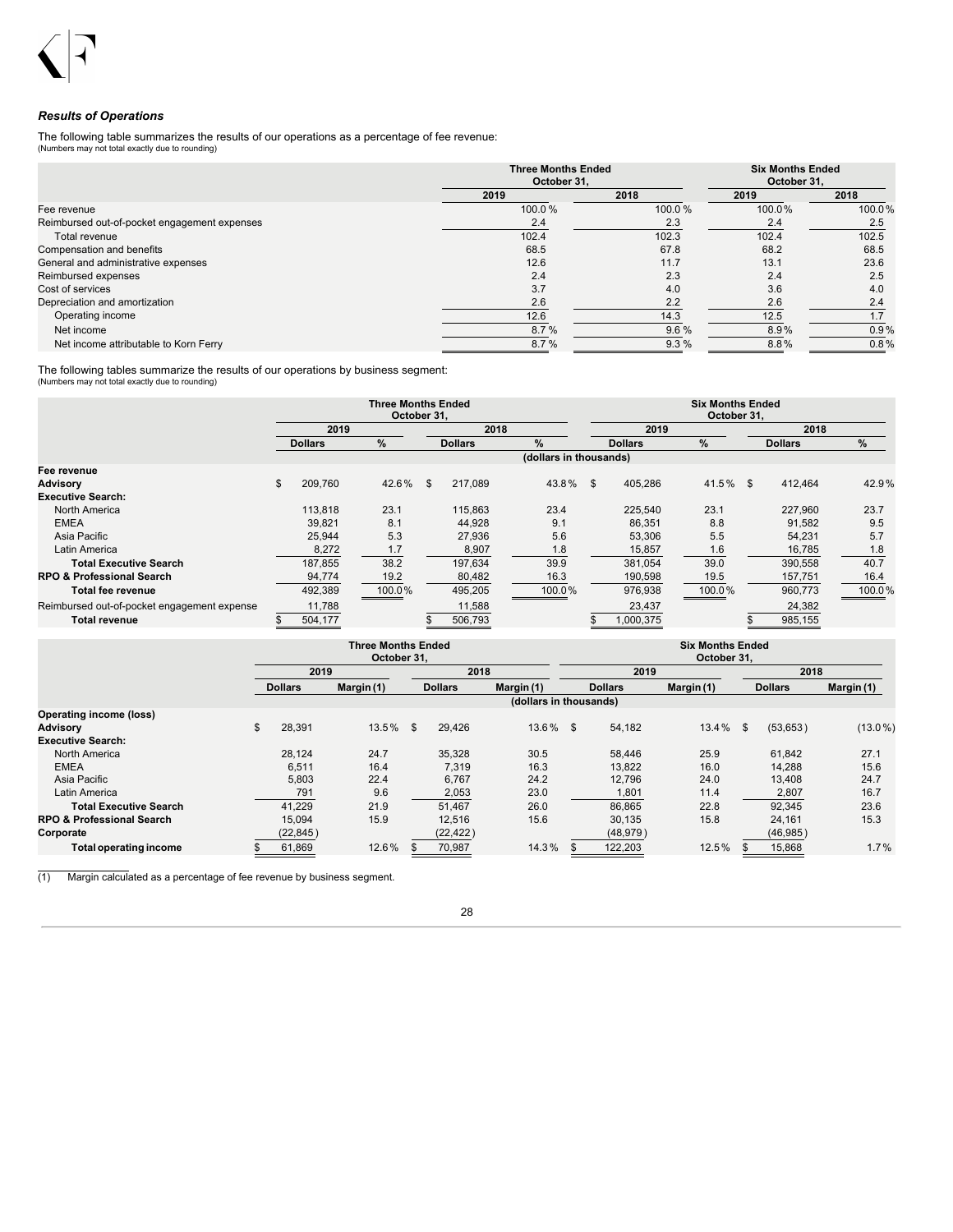## *Results of Operations*

The following table summarizes the results of our operations as a percentage of fee revenue: (Numbers may not total exactly due to rounding)

|                                              | <b>Three Months Ended</b><br>October 31. |        | <b>Six Months Ended</b><br>October 31. |        |  |
|----------------------------------------------|------------------------------------------|--------|----------------------------------------|--------|--|
|                                              | 2019                                     | 2018   | 2019                                   | 2018   |  |
| Fee revenue                                  | 100.0%                                   | 100.0% | 100.0%                                 | 100.0% |  |
| Reimbursed out-of-pocket engagement expenses | 2.4                                      | 2.3    | 2.4                                    | 2.5    |  |
| Total revenue                                | 102.4                                    | 102.3  | 102.4                                  | 102.5  |  |
| Compensation and benefits                    | 68.5                                     | 67.8   | 68.2                                   | 68.5   |  |
| General and administrative expenses          | 12.6                                     | 11.7   | 13.1                                   | 23.6   |  |
| Reimbursed expenses                          | 2.4                                      | 2.3    | 2.4                                    | 2.5    |  |
| Cost of services                             | 3.7                                      | 4.0    | 3.6                                    | 4.0    |  |
| Depreciation and amortization                | 2.6                                      | 2.2    | 2.6                                    | 2.4    |  |
| Operating income                             | 12.6                                     | 14.3   | 12.5                                   | 1.7    |  |
| Net income                                   | 8.7%                                     | 9.6%   | 8.9%                                   | 0.9%   |  |
| Net income attributable to Korn Ferry        | 8.7%                                     | 9.3%   | 8.8%                                   | 0.8%   |  |

The following tables summarize the results of our operations by business segment: (Numbers may not total exactly due to rounding)

|                                             |    |                | <b>Three Months Ended</b><br>October 31, |     |                |                        | <b>Six Months Ended</b><br>October 31. |             |  |                |        |  |  |  |
|---------------------------------------------|----|----------------|------------------------------------------|-----|----------------|------------------------|----------------------------------------|-------------|--|----------------|--------|--|--|--|
|                                             |    | 2019           |                                          |     | 2018           |                        | 2019                                   |             |  | 2018           |        |  |  |  |
|                                             |    | <b>Dollars</b> | $\%$                                     |     | <b>Dollars</b> | $\frac{9}{6}$          | <b>Dollars</b>                         | %           |  | <b>Dollars</b> | %      |  |  |  |
|                                             |    |                |                                          |     |                | (dollars in thousands) |                                        |             |  |                |        |  |  |  |
| Fee revenue                                 |    |                |                                          |     |                |                        |                                        |             |  |                |        |  |  |  |
| <b>Advisory</b>                             | \$ | 209,760        | 42.6%                                    | \$. | 217.089        | 43.8%                  | \$<br>405.286                          | $41.5\%$ \$ |  | 412.464        | 42.9%  |  |  |  |
| <b>Executive Search:</b>                    |    |                |                                          |     |                |                        |                                        |             |  |                |        |  |  |  |
| North America                               |    | 113,818        | 23.1                                     |     | 115,863        | 23.4                   | 225,540                                | 23.1        |  | 227,960        | 23.7   |  |  |  |
| <b>EMEA</b>                                 |    | 39,821         | 8.1                                      |     | 44,928         | 9.1                    | 86,351                                 | 8.8         |  | 91,582         | 9.5    |  |  |  |
| Asia Pacific                                |    | 25.944         | 5.3                                      |     | 27.936         | 5.6                    | 53,306                                 | 5.5         |  | 54.231         | 5.7    |  |  |  |
| Latin America                               |    | 8,272          | 1.7                                      |     | 8,907          | 1.8                    | 15,857                                 | 1.6         |  | 16,785         | 1.8    |  |  |  |
| <b>Total Executive Search</b>               |    | 187,855        | 38.2                                     |     | 197,634        | 39.9                   | 381.054                                | 39.0        |  | 390,558        | 40.7   |  |  |  |
| <b>RPO &amp; Professional Search</b>        |    | 94,774         | 19.2                                     |     | 80,482         | 16.3                   | 190,598                                | 19.5        |  | 157,751        | 16.4   |  |  |  |
| <b>Total fee revenue</b>                    |    | 492,389        | 100.0%                                   |     | 495,205        | 100.0%                 | 976,938                                | 100.0%      |  | 960,773        | 100.0% |  |  |  |
| Reimbursed out-of-pocket engagement expense |    | 11,788         |                                          |     | 11,588         |                        | 23,437                                 |             |  | 24,382         |        |  |  |  |
| <b>Total revenue</b>                        | S  | 504.177        |                                          |     | 506,793        |                        | \$<br>1,000,375                        |             |  | 985,155        |        |  |  |  |

|                                      |                | <b>Three Months Ended</b><br>October 31, |     |                |                        | <b>Six Months Ended</b><br>October 31. |                |            |    |           |            |  |  |  |
|--------------------------------------|----------------|------------------------------------------|-----|----------------|------------------------|----------------------------------------|----------------|------------|----|-----------|------------|--|--|--|
|                                      | 2019           |                                          |     | 2018           |                        |                                        | 2019           |            |    | 2018      |            |  |  |  |
|                                      | <b>Dollars</b> | Margin (1)                               |     | <b>Dollars</b> | Margin (1)             |                                        | <b>Dollars</b> | Margin (1) |    |           | Margin (1) |  |  |  |
|                                      |                |                                          |     |                | (dollars in thousands) |                                        |                |            |    |           |            |  |  |  |
| <b>Operating income (loss)</b>       |                |                                          |     |                |                        |                                        |                |            |    |           |            |  |  |  |
| <b>Advisory</b>                      | \$<br>28,391   | 13.5%                                    | \$. | 29,426         | $13.6\%$ \$            |                                        | 54,182         | 13.4%      | \$ | (53, 653) | $(13.0\%)$ |  |  |  |
| <b>Executive Search:</b>             |                |                                          |     |                |                        |                                        |                |            |    |           |            |  |  |  |
| North America                        | 28.124         | 24.7                                     |     | 35,328         | 30.5                   |                                        | 58.446         | 25.9       |    | 61.842    | 27.1       |  |  |  |
| <b>EMEA</b>                          | 6,511          | 16.4                                     |     | 7.319          | 16.3                   |                                        | 13.822         | 16.0       |    | 14.288    | 15.6       |  |  |  |
| Asia Pacific                         | 5,803          | 22.4                                     |     | 6,767          | 24.2                   |                                        | 12.796         | 24.0       |    | 13,408    | 24.7       |  |  |  |
| Latin America                        | 791            | 9.6                                      |     | 2,053          | 23.0                   |                                        | 1,801          | 11.4       |    | 2,807     | 16.7       |  |  |  |
| <b>Total Executive Search</b>        | 41.229         | 21.9                                     |     | 51.467         | 26.0                   |                                        | 86.865         | 22.8       |    | 92,345    | 23.6       |  |  |  |
| <b>RPO &amp; Professional Search</b> | 15.094         | 15.9                                     |     | 12.516         | 15.6                   |                                        | 30.135         | 15.8       |    | 24.161    | 15.3       |  |  |  |
| Corporate                            | (22, 845)      |                                          |     | (22, 422)      |                        |                                        | (48, 979)      |            |    | (46, 985) |            |  |  |  |
| Total operating income               | 61,869         | 12.6%                                    |     | 70,987         | 14.3%                  |                                        | 122,203        | 12.5%      |    | 15,868    | 1.7%       |  |  |  |

(1) Margin calculated as a percentage of fee revenue by business segment.

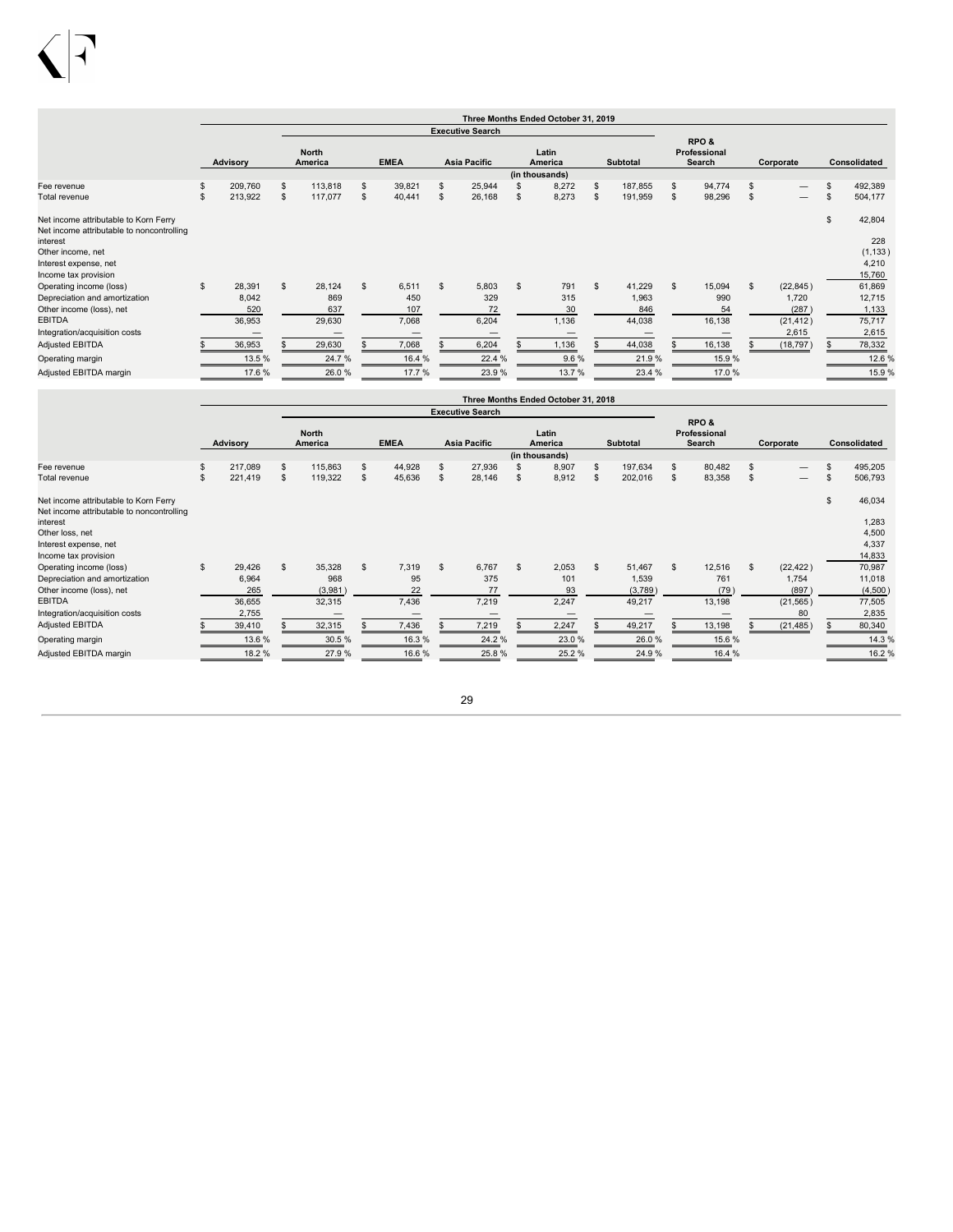|                                                                                                       |    |                                  |                |                                |    |                              |     |                             |              | Three Months Ended October 31, 2019 |                |                                  |    |                                |    |                                          |    |                                     |
|-------------------------------------------------------------------------------------------------------|----|----------------------------------|----------------|--------------------------------|----|------------------------------|-----|-----------------------------|--------------|-------------------------------------|----------------|----------------------------------|----|--------------------------------|----|------------------------------------------|----|-------------------------------------|
|                                                                                                       |    |                                  |                |                                |    |                              |     | <b>Executive Search</b>     |              |                                     |                |                                  |    |                                |    |                                          |    |                                     |
|                                                                                                       |    | Advisory                         |                | <b>North</b><br>America        |    | <b>EMEA</b>                  |     | Asia Pacific                |              | Latin<br>America<br>(in thousands)  |                | Subtotal                         |    | RPO&<br>Professional<br>Search |    | Corporate                                |    | Consolidated                        |
| Fee revenue                                                                                           | S  | 209,760                          | $\mathfrak{s}$ | 113,818                        | s  | 39,821                       | \$. | 25,944                      |              | 8,272                               | \$             | 187,855                          | \$ | 94,774                         | \$ |                                          |    | 492,389                             |
| Total revenue                                                                                         | S  | 213,922                          |                | 117,077                        |    | 40,441                       | \$  | 26,168                      | S            | 8,273                               | \$             | 191,959                          | S  | 98,296                         | S  |                                          | S. | 504,177                             |
| Net income attributable to Korn Ferry<br>Net income attributable to noncontrolling<br>interest        |    |                                  |                |                                |    |                              |     |                             |              |                                     |                |                                  |    |                                |    |                                          | \$ | 42,804<br>228                       |
| Other income, net<br>Interest expense, net<br>Income tax provision                                    |    |                                  |                |                                |    |                              |     |                             |              |                                     |                |                                  |    |                                |    |                                          |    | (1, 133)<br>4,210<br>15,760         |
| Operating income (loss)<br>Depreciation and amortization<br>Other income (loss), net<br><b>EBITDA</b> | \$ | 28,391<br>8,042<br>520<br>36,953 | $\mathfrak{L}$ | 28,124<br>869<br>637<br>29,630 | \$ | 6,511<br>450<br>107<br>7,068 | \$  | 5,803<br>329<br>72<br>6,204 | $\mathbf{s}$ | 791<br>315<br>30<br>1,136           | $\mathfrak{L}$ | 41,229<br>1,963<br>846<br>44,038 | \$ | 15,094<br>990<br>54<br>16,138  | \$ | (22, 845)<br>1,720<br>(287)<br>(21, 412) |    | 61,869<br>12,715<br>1,133<br>75,717 |
| Integration/acquisition costs                                                                         |    |                                  |                |                                |    |                              |     | $\hspace{0.05cm}$           |              |                                     |                |                                  |    |                                |    | 2,615                                    |    | 2,615                               |
| <b>Adjusted EBITDA</b>                                                                                |    | 36,953                           |                | 29,630                         |    | 7,068                        |     | 6,204                       |              | 1,136                               |                | 44,038                           |    | 16,138                         |    | (18, 797)                                |    | 78,332                              |
| Operating margin                                                                                      |    | 13.5 %                           |                | 24.7%                          |    | 16.4 %                       |     | 22.4 %                      |              | 9.6%                                |                | 21.9%                            |    | 15.9%                          |    |                                          |    | 12.6 %                              |
| Adjusted EBITDA margin                                                                                |    | 17.6 %                           |                | 26.0%                          |    | 17.7%                        |     | 23.9%                       |              | 13.7%                               |                | 23.4 %                           |    | 17.0%                          |    |                                          |    | 15.9%                               |

|                                                                                    |               |              |                         |    |             |     |                         |              | Three Months Ended October 31, 2018 |                |                 |    |                                |    |                          |               |                     |
|------------------------------------------------------------------------------------|---------------|--------------|-------------------------|----|-------------|-----|-------------------------|--------------|-------------------------------------|----------------|-----------------|----|--------------------------------|----|--------------------------|---------------|---------------------|
|                                                                                    |               |              |                         |    |             |     | <b>Executive Search</b> |              |                                     |                |                 |    |                                |    |                          |               |                     |
|                                                                                    | Advisory      |              | <b>North</b><br>America |    | <b>EMEA</b> |     | <b>Asia Pacific</b>     |              | Latin<br>America<br>(in thousands)  |                | <b>Subtotal</b> |    | RPO&<br>Professional<br>Search |    | Corporate                |               | <b>Consolidated</b> |
| Fee revenue                                                                        | \$<br>217,089 | \$           | 115,863                 | \$ | 44,928      | -S  | 27,936                  |              | 8,907                               | $\mathfrak{s}$ | 197,634         | s  | 80,482                         | S  |                          | £.            | 495,205             |
| Total revenue                                                                      | \$<br>221,419 | \$           | 119,322                 | S  | 45,636      | \$  | 28,146                  |              | 8,912                               | \$             | 202,016         | \$ | 83,358                         | \$ | $\overline{\phantom{m}}$ | \$            | 506,793             |
| Net income attributable to Korn Ferry<br>Net income attributable to noncontrolling |               |              |                         |    |             |     |                         |              |                                     |                |                 |    |                                |    |                          | $\mathsf{\$}$ | 46,034              |
| interest                                                                           |               |              |                         |    |             |     |                         |              |                                     |                |                 |    |                                |    |                          |               | 1,283               |
| Other loss, net                                                                    |               |              |                         |    |             |     |                         |              |                                     |                |                 |    |                                |    |                          |               | 4,500               |
| Interest expense, net                                                              |               |              |                         |    |             |     |                         |              |                                     |                |                 |    |                                |    |                          |               | 4,337               |
| Income tax provision                                                               |               |              |                         |    |             |     |                         |              |                                     |                |                 |    |                                |    |                          |               | 14,833              |
| Operating income (loss)                                                            | \$<br>29,426  | $\mathbf{s}$ | 35,328                  | \$ | 7,319       | \$. | 6,767                   | $\mathbf{s}$ | 2,053                               | $\mathfrak{L}$ | 51,467          | s. | 12,516                         | S. | (22, 422)                |               | 70,987              |
| Depreciation and amortization                                                      | 6,964         |              | 968                     |    | 95          |     | 375                     |              | 101                                 |                | 1,539           |    | 761                            |    | 1,754                    |               | 11,018              |
| Other income (loss), net                                                           | 265           |              | (3,981)                 |    | 22          |     | 77                      |              | 93                                  |                | (3,789)         |    | (79)                           |    | (897)                    |               | (4,500)             |
| <b>EBITDA</b>                                                                      | 36,655        |              | 32,315                  |    | 7,436       |     | 7,219                   |              | 2,247                               |                | 49,217          |    | 13,198                         |    | (21, 565)                |               | 77,505              |
| Integration/acquisition costs                                                      | 2,755         |              |                         |    | –           |     |                         |              |                                     |                |                 |    |                                |    | 80                       |               | 2,835               |
| <b>Adjusted EBITDA</b>                                                             | 39,410        |              | 32,315                  |    | 7,436       |     | 7,219                   |              | 2,247                               |                | 49,217          |    | 13,198                         |    | (21, 485)                |               | 80,340              |
| Operating margin                                                                   | 13.6%         |              | 30.5%                   |    | 16.3%       |     | 24.2%                   |              | 23.0%                               |                | 26.0%           |    | 15.6%                          |    |                          |               | 14.3 %              |
| Adjusted EBITDA margin                                                             | 18.2 %        |              | 27.9%                   |    | 16.6%       |     | 25.8%                   |              | 25.2%                               |                | 24.9%           |    | 16.4 %                         |    |                          |               | 16.2%               |

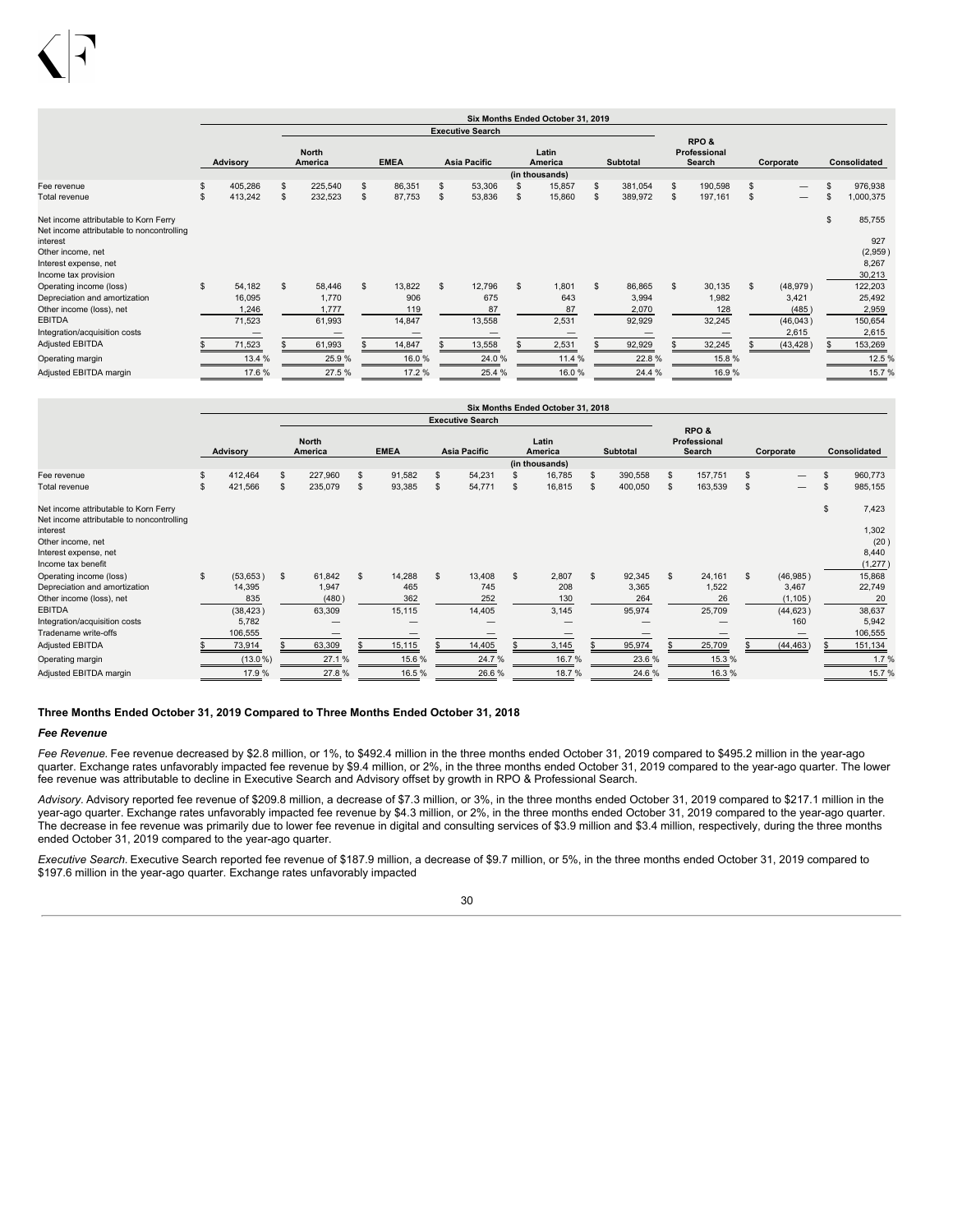|                                                                                                       |     |                                     |                                          |    |                                |                               |                | Six Months Ended October 31, 2019  |    |                                    |   |                                  |    |                                         |    |                                       |
|-------------------------------------------------------------------------------------------------------|-----|-------------------------------------|------------------------------------------|----|--------------------------------|-------------------------------|----------------|------------------------------------|----|------------------------------------|---|----------------------------------|----|-----------------------------------------|----|---------------------------------------|
|                                                                                                       |     |                                     |                                          |    |                                | <b>Executive Search</b>       |                |                                    |    |                                    |   |                                  |    |                                         |    |                                       |
|                                                                                                       |     | Advisory                            | <b>North</b><br>America                  |    | <b>EMEA</b>                    | <b>Asia Pacific</b>           |                | Latin<br>America<br>(in thousands) |    | <b>Subtotal</b>                    |   | RPO&<br>Professional<br>Search   |    | Corporate                               |    | <b>Consolidated</b>                   |
| Fee revenue                                                                                           | \$. | 405,286                             | \$<br>225,540                            | s  | 86,351                         | \$<br>53,306                  |                | 15,857                             | \$ | 381,054                            | S | 190,598                          | S  |                                         |    | 976,938                               |
| <b>Total revenue</b>                                                                                  | S   | 413,242                             | \$<br>232,523                            | S  | 87,753                         | 53,836                        | \$.            | 15,860                             | S  | 389,972                            | S | 197,161                          | \$ |                                         | S. | 1,000,375                             |
| Net income attributable to Korn Ferry<br>Net income attributable to noncontrolling<br>interest        |     |                                     |                                          |    |                                |                               |                |                                    |    |                                    |   |                                  |    |                                         | \$ | 85,755<br>927                         |
| Other income, net<br>Interest expense, net<br>Income tax provision                                    |     |                                     |                                          |    |                                |                               |                |                                    |    |                                    |   |                                  |    |                                         |    | (2,959)<br>8,267<br>30,213            |
| Operating income (loss)<br>Depreciation and amortization<br>Other income (loss), net<br><b>EBITDA</b> | s.  | 54,182<br>16,095<br>1,246<br>71,523 | \$<br>58,446<br>1.770<br>1,777<br>61,993 | \$ | 13,822<br>906<br>119<br>14,847 | 12,796<br>675<br>87<br>13,558 | $\mathfrak{s}$ | 1,801<br>643<br>87<br>2,531        | \$ | 86,865<br>3,994<br>2,070<br>92,929 | S | 30,135<br>1,982<br>128<br>32,245 | \$ | (48, 979)<br>3,421<br>(485)<br>(46,043) |    | 122,203<br>25,492<br>2,959<br>150,654 |
| Integration/acquisition costs                                                                         |     | –                                   |                                          |    |                                |                               |                |                                    |    | –                                  |   |                                  |    | 2,615                                   |    | 2,615                                 |
| <b>Adjusted EBITDA</b>                                                                                |     | 71,523                              | 61,993                                   |    | 14,847                         | 13,558                        |                | 2,531                              |    | 92,929                             |   | 32,245                           |    | (43, 428)                               |    | 153,269                               |
| Operating margin                                                                                      |     | 13.4 %                              | 25.9%                                    |    | 16.0%                          | 24.0%                         |                | 11.4 %                             |    | 22.8%                              |   | 15.8%                            |    |                                         |    | 12.5 %                                |
| Adjusted EBITDA margin                                                                                |     | 17.6%                               | 27.5%                                    |    | 17.2 %                         | 25.4 %                        |                | 16.0%                              |    | 24.4 %                             |   | 16.9%                            |    |                                         |    | 15.7%                                 |

|                                                                                    |                |                  |                |             |                         |              | Six Months Ended October 31, 2018  |              |                 |                                |                |                          |                     |
|------------------------------------------------------------------------------------|----------------|------------------|----------------|-------------|-------------------------|--------------|------------------------------------|--------------|-----------------|--------------------------------|----------------|--------------------------|---------------------|
|                                                                                    |                |                  |                |             | <b>Executive Search</b> |              |                                    |              |                 |                                |                |                          |                     |
|                                                                                    | Advisory       | North<br>America |                | <b>EMEA</b> | Asia Pacific            |              | Latin<br>America<br>(in thousands) |              | <b>Subtotal</b> | RPO&<br>Professional<br>Search |                | Corporate                | <b>Consolidated</b> |
| Fee revenue                                                                        | \$<br>412,464  | \$<br>227,960    | $\mathfrak{s}$ | 91,582      | \$<br>54,231            |              | 16,785                             | S            | 390,558         | \$<br>157,751                  | S.             | $\overline{\phantom{0}}$ | \$<br>960,773       |
| Total revenue                                                                      | \$<br>421,566  | \$<br>235,079    | $\mathfrak{s}$ | 93,385      | \$<br>54,771            | s            | 16,815                             | £.           | 400,050         | \$<br>163,539                  | $\mathfrak{L}$ | $\overline{\phantom{0}}$ | \$<br>985,155       |
| Net income attributable to Korn Ferry<br>Net income attributable to noncontrolling |                |                  |                |             |                         |              |                                    |              |                 |                                |                |                          | \$<br>7,423         |
| interest                                                                           |                |                  |                |             |                         |              |                                    |              |                 |                                |                |                          | 1,302               |
| Other income, net                                                                  |                |                  |                |             |                         |              |                                    |              |                 |                                |                |                          | (20)                |
| Interest expense, net                                                              |                |                  |                |             |                         |              |                                    |              |                 |                                |                |                          | 8,440               |
| Income tax benefit                                                                 |                |                  |                |             |                         |              |                                    |              |                 |                                |                |                          | (1, 277)            |
| Operating income (loss)                                                            | \$<br>(53,653) | \$<br>61,842     | $\mathfrak{L}$ | 14,288      | \$<br>13,408            | $\mathbf{s}$ | 2,807                              | $\mathbf{s}$ | 92,345          | \$<br>24,161                   | $\mathfrak{s}$ | (46,985)                 | 15,868              |
| Depreciation and amortization                                                      | 14,395         | 1,947            |                | 465         | 745                     |              | 208                                |              | 3,365           | 1,522                          |                | 3,467                    | 22,749              |
| Other income (loss), net                                                           | 835            | (480)            |                | 362         | 252                     |              | 130                                |              | 264             | 26                             |                | (1, 105)                 | 20                  |
| <b>EBITDA</b>                                                                      | (38, 423)      | 63,309           |                | 15,115      | 14,405                  |              | 3,145                              |              | 95,974          | 25,709                         |                | (44, 623)                | 38,637              |
| Integration/acquisition costs                                                      | 5,782          |                  |                |             |                         |              |                                    |              |                 |                                |                | 160                      | 5,942               |
| Tradename write-offs                                                               | 106,555        |                  |                |             |                         |              | –                                  |              |                 |                                |                |                          | 106,555             |
| Adjusted EBITDA                                                                    | 73,914         | 63,309           |                | 15,115      | 14,405                  |              | 3,145                              |              | 95,974          | 25,709                         |                | (44, 463)                | 151,134             |
| Operating margin                                                                   | $(13.0\%)$     | 27.1%            |                | 15.6%       | 24.7%                   |              | 16.7%                              |              | 23.6%           | 15.3 %                         |                |                          | 1.7%                |
| Adjusted EBITDA margin                                                             | 17.9%          | 27.8%            |                | 16.5%       | 26.6%                   |              | 18.7%                              |              | 24.6%           | 16.3%                          |                |                          | 15.7%               |

### **Three Months Ended October 31, 2019 Compared to Three Months Ended October 31, 2018**

#### *Fee Revenue*

Fee Revenue. Fee revenue decreased by \$2.8 million, or 1%, to \$492.4 million in the three months ended October 31, 2019 compared to \$495.2 million in the year-ago quarter. Exchange rates unfavorably impacted fee revenue by \$9.4 million, or 2%, in the three months ended October 31, 2019 compared to the year-ago quarter. The lower fee revenue was attributable to decline in Executive Search and Advisory offset by growth in RPO & Professional Search.

*Advisory.* Advisory reported fee revenue of \$209.8 million, a decrease of \$7.3 million, or 3%, in the three months ended October 31, 2019 compared to \$217.1 million in the year-ago quarter. Exchange rates unfavorably impacted fee revenue by \$4.3 million, or 2%, in the three months ended October 31, 2019 compared to the year-ago quarter. The decrease in fee revenue was primarily due to lower fee revenue in digital and consulting services of \$3.9 million and \$3.4 million, respectively, during the three months ended October 31, 2019 compared to the year-ago quarter.

*Executive Search.* Executive Search reported fee revenue of \$187.9 million, a decrease of \$9.7 million, or 5%, in the three months ended October 31, 2019 compared to \$197.6 million in the year-ago quarter. Exchange rates unfavorably impacted

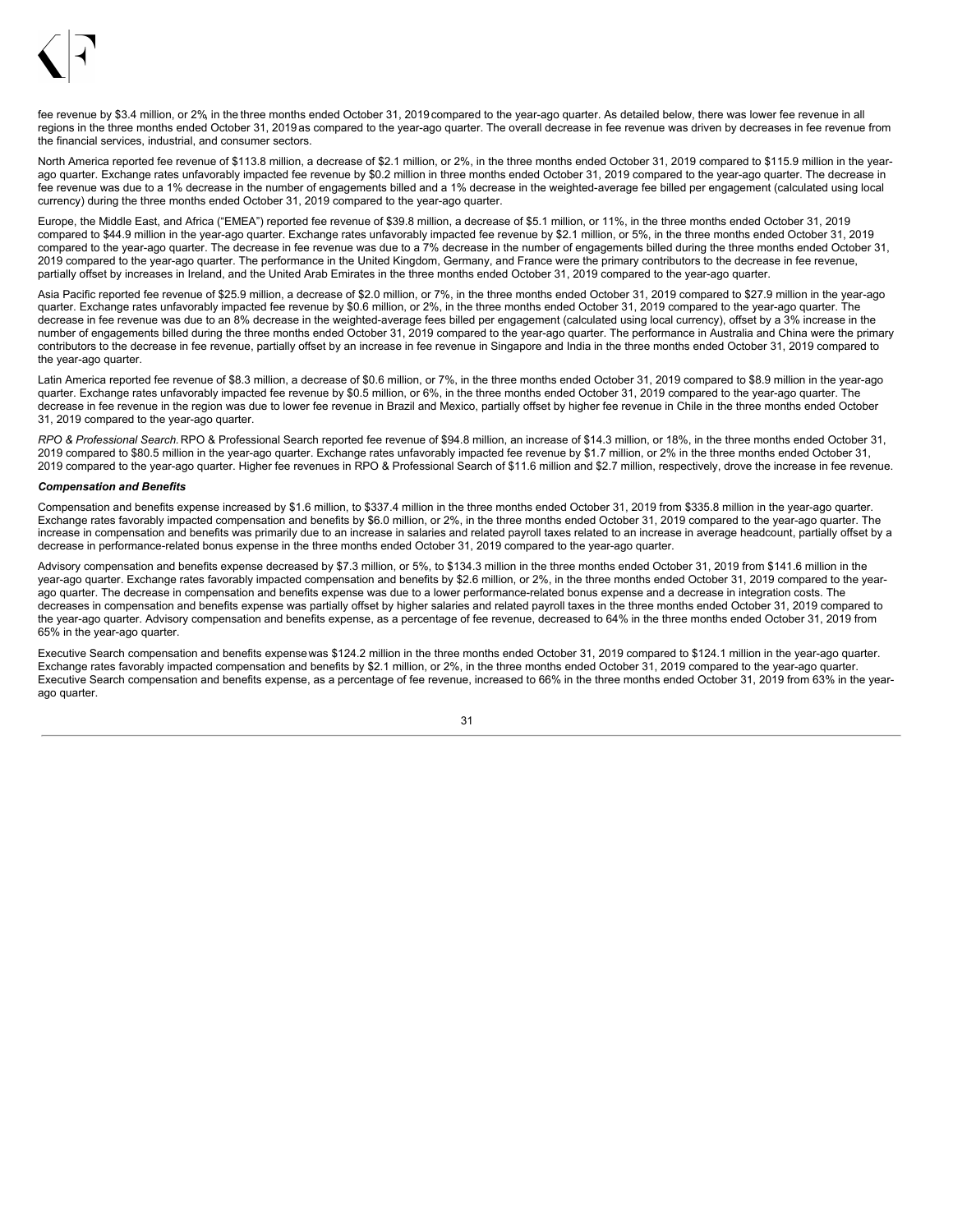

fee revenue by \$3.4 million, or 2% in the three months ended October 31, 2019 compared to the year-ago quarter. As detailed below, there was lower fee revenue in all regions in the three months ended October 31, 2019 as compared to the year-ago quarter. The overall decrease in fee revenue was driven by decreases in fee revenue from the financial services, industrial, and consumer sectors.

North America reported fee revenue of \$113.8 million, a decrease of \$2.1 million, or 2%, in the three months ended October 31, 2019 compared to \$115.9 million in the vearago quarter. Exchange rates unfavorably impacted fee revenue by \$0.2 million in three months ended October 31, 2019 compared to the year-ago quarter. The decrease in fee revenue was due to a 1% decrease in the number of engagements billed and a 1% decrease in the weighted-average fee billed per engagement (calculated using local currency) during the three months ended October 31, 2019 compared to the year-ago quarter.

Europe, the Middle East, and Africa ("EMEA") reported fee revenue of \$39.8 million, a decrease of \$5.1 million, or 11%, in the three months ended October 31, 2019 compared to \$44.9 million in the year-ago quarter. Exchange rates unfavorably impacted fee revenue by \$2.1 million, or 5%, in the three months ended October 31, 2019 compared to the year-ago quarter. The decrease in fee revenue was due to a 7% decrease in the number of engagements billed during the three months ended October 31, 2019 compared to the year-ago quarter. The performance in the United Kingdom, Germany, and France were the primary contributors to the decrease in fee revenue, partially offset by increases in Ireland, and the United Arab Emirates in the three months ended October 31, 2019 compared to the year-ago quarter.

Asia Pacific reported fee revenue of \$25.9 million, a decrease of \$2.0 million, or 7%, in the three months ended October 31, 2019 compared to \$27.9 million in the year-ago quarter. Exchange rates unfavorably impacted fee revenue by \$0.6 million, or 2%, in the three months ended October 31, 2019 compared to the year-ago quarter. The decrease in fee revenue was due to an 8% decrease in the weighted-average fees billed per engagement (calculated using local currency), offset by a 3% increase in the number of engagements billed during the three months ended October 31, 2019 compared to the year-ago quarter. The performance in Australia and China were the primary contributors to the decrease in fee revenue, partially offset by an increase in fee revenue in Singapore and India in the three months ended October 31, 2019 compared to the year-ago quarter.

Latin America reported fee revenue of \$8.3 million, a decrease of \$0.6 million, or 7%, in the three months ended October 31, 2019 compared to \$8.9 million in the year-ago quarter. Exchange rates unfavorably impacted fee revenue by \$0.5 million, or 6%, in the three months ended October 31, 2019 compared to the year-ago quarter. The decrease in fee revenue in the region was due to lower fee revenue in Brazil and Mexico, partially offset by higher fee revenue in Chile in the three months ended October 31, 2019 compared to the year-ago quarter.

*RPO & Professional Search.* RPO & Professional Search reported fee revenue of \$94.8 million, an increase of \$14.3 million, or 18%, in the three months ended October 31, 2019 compared to \$80.5 million in the year-ago quarter. Exchange rates unfavorably impacted fee revenue by \$1.7 million, or 2% in the three months ended October 31, 2019 compared to the year-ago quarter. Higher fee revenues in RPO & Professional Search of \$11.6 million and \$2.7 million, respectively, drove the increase in fee revenue.

#### *Compensation and Benefits*

Compensation and benefits expense increased by \$1.6 million, to \$337.4 million in the three months ended October 31, 2019 from \$335.8 million in the year-ago quarter. Exchange rates favorably impacted compensation and benefits by \$6.0 million, or 2%, in the three months ended October 31, 2019 compared to the year-ago quarter. The increase in compensation and benefits was primarily due to an increase in salaries and related payroll taxes related to an increase in average headcount, partially offset by a decrease in performance-related bonus expense in the three months ended October 31, 2019 compared to the year-ago quarter.

Advisory compensation and benefits expense decreased by \$7.3 million, or 5%, to \$134.3 million in the three months ended October 31, 2019 from \$141.6 million in the year-ago quarter. Exchange rates favorably impacted compensation and benefits by \$2.6 million, or 2%, in the three months ended October 31, 2019 compared to the yearago quarter. The decrease in compensation and benefits expense was due to a lower performance-related bonus expense and a decrease in integration costs. The decreases in compensation and benefits expense was partially offset by higher salaries and related payroll taxes in the three months ended October 31, 2019 compared to the year-ago quarter. Advisory compensation and benefits expense, as a percentage of fee revenue, decreased to 64% in the three months ended October 31, 2019 from 65% in the year-ago quarter.

Executive Search compensation and benefits expensewas \$124.2 million in the three months ended October 31, 2019 compared to \$124.1 million in the year-ago quarter. Exchange rates favorably impacted compensation and benefits by \$2.1 million, or 2%, in the three months ended October 31, 2019 compared to the year-ago quarter. Executive Search compensation and benefits expense, as a percentage of fee revenue, increased to 66% in the three months ended October 31, 2019 from 63% in the yearago quarter.

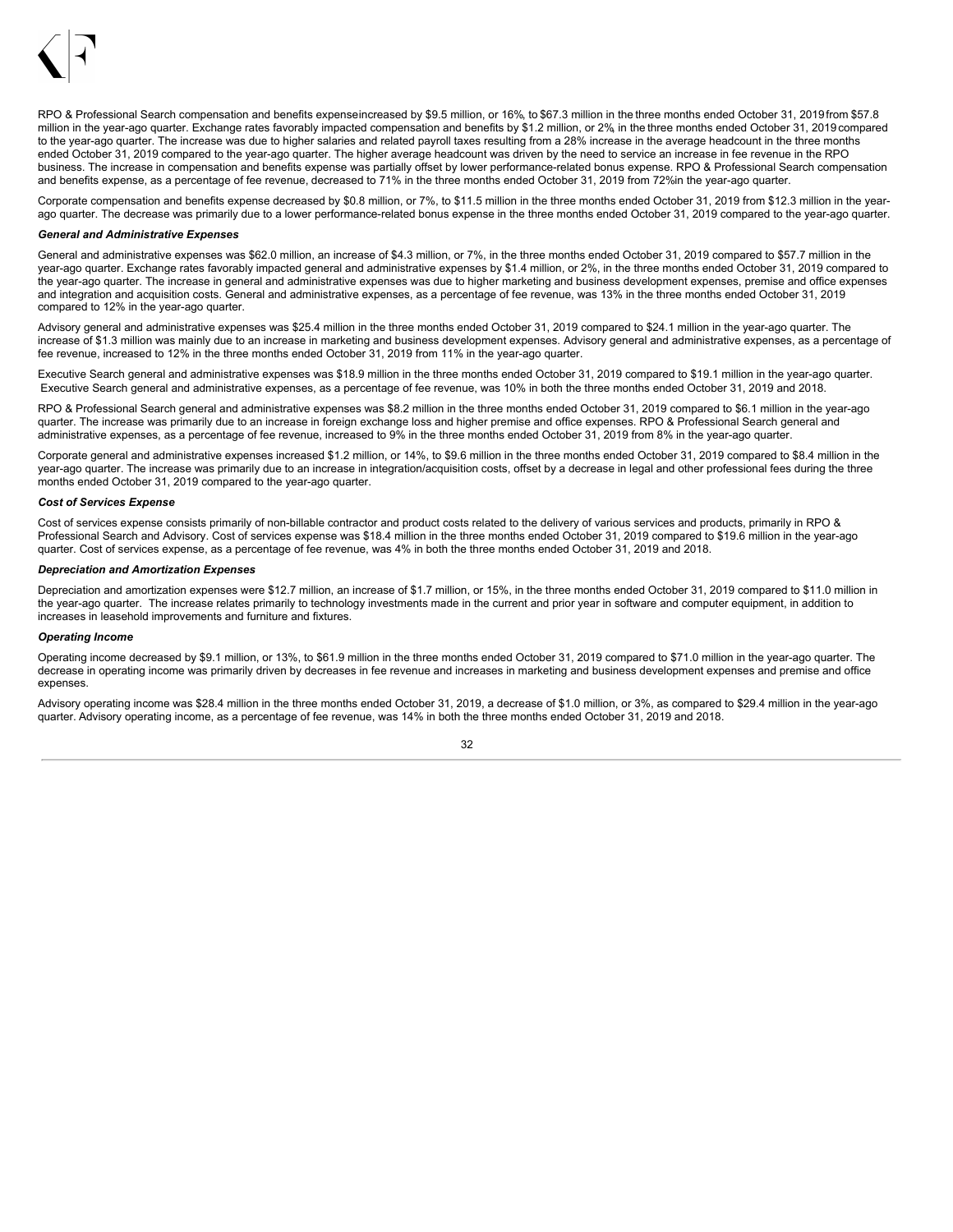

RPO & Professional Search compensation and benefits expenseincreased by \$9.5 million, or 16%, to \$67.3 million in the three months ended October 31, 2019 from \$57.8 million in the year-ago quarter. Exchange rates favorably impacted compensation and benefits by \$1.2 million, or 2%, in the three months ended October 31, 2019 compared to the year-ago quarter. The increase was due to higher salaries and related payroll taxes resulting from a 28% increase in the average headcount in the three months ended October 31, 2019 compared to the year-ago quarter. The higher average headcount was driven by the need to service an increase in fee revenue in the RPO business. The increase in compensation and benefits expense was partially offset by lower performance-related bonus expense. RPO & Professional Search compensation and benefits expense, as a percentage of fee revenue, decreased to 71% in the three months ended October 31, 2019 from 72%in the year-ago quarter.

Corporate compensation and benefits expense decreased by \$0.8 million, or 7%, to \$11.5 million in the three months ended October 31, 2019 from \$12.3 million in the yearago quarter. The decrease was primarily due to a lower performance-related bonus expense in the three months ended October 31, 2019 compared to the year-ago quarter.

#### *General and Administrative Expenses*

General and administrative expenses was \$62.0 million, an increase of \$4.3 million, or 7%, in the three months ended October 31, 2019 compared to \$57.7 million in the year-ago quarter. Exchange rates favorably impacted general and administrative expenses by \$1.4 million, or 2%, in the three months ended October 31, 2019 compared to the year-ago quarter. The increase in general and administrative expenses was due to higher marketing and business development expenses, premise and office expenses and integration and acquisition costs. General and administrative expenses, as a percentage of fee revenue, was 13% in the three months ended October 31, 2019 compared to 12% in the year-ago quarter.

Advisory general and administrative expenses was \$25.4 million in the three months ended October 31, 2019 compared to \$24.1 million in the year-ago quarter. The increase of \$1.3 million was mainly due to an increase in marketing and business development expenses. Advisory general and administrative expenses, as a percentage of fee revenue, increased to 12% in the three months ended October 31, 2019 from 11% in the year-ago quarter.

Executive Search general and administrative expenses was \$18.9 million in the three months ended October 31, 2019 compared to \$19.1 million in the year-ago quarter. Executive Search general and administrative expenses, as a percentage of fee revenue, was 10% in both the three months ended October 31, 2019 and 2018.

RPO & Professional Search general and administrative expenses was \$8.2 million in the three months ended October 31, 2019 compared to \$6.1 million in the year-ago quarter. The increase was primarily due to an increase in foreign exchange loss and higher premise and office expenses. RPO & Professional Search general and administrative expenses, as a percentage of fee revenue, increased to 9% in the three months ended October 31, 2019 from 8% in the year-ago quarter.

Corporate general and administrative expenses increased \$1.2 million, or 14%, to \$9.6 million in the three months ended October 31, 2019 compared to \$8.4 million in the year-ago quarter. The increase was primarily due to an increase in integration/acquisition costs, offset by a decrease in legal and other professional fees during the three months ended October 31, 2019 compared to the year-ago quarter.

#### *Cost of Services Expense*

Cost of services expense consists primarily of non-billable contractor and product costs related to the delivery of various services and products, primarily in RPO & Professional Search and Advisory. Cost of services expense was \$18.4 million in the three months ended October 31, 2019 compared to \$19.6 million in the year-ago quarter. Cost of services expense, as a percentage of fee revenue, was 4% in both the three months ended October 31, 2019 and 2018.

### *Depreciation and Amortization Expenses*

Depreciation and amortization expenses were \$12.7 million, an increase of \$1.7 million, or 15%, in the three months ended October 31, 2019 compared to \$11.0 million in the year-ago quarter. The increase relates primarily to technology investments made in the current and prior year in software and computer equipment, in addition to increases in leasehold improvements and furniture and fixtures.

#### *Operating Income*

Operating income decreased by \$9.1 million, or 13%, to \$61.9 million in the three months ended October 31, 2019 compared to \$71.0 million in the year-ago quarter. The decrease in operating income was primarily driven by decreases in fee revenue and increases in marketing and business development expenses and premise and office expenses.

Advisory operating income was \$28.4 million in the three months ended October 31, 2019, a decrease of \$1.0 million, or 3%, as compared to \$29.4 million in the year-ago quarter. Advisory operating income, as a percentage of fee revenue, was 14% in both the three months ended October 31, 2019 and 2018.

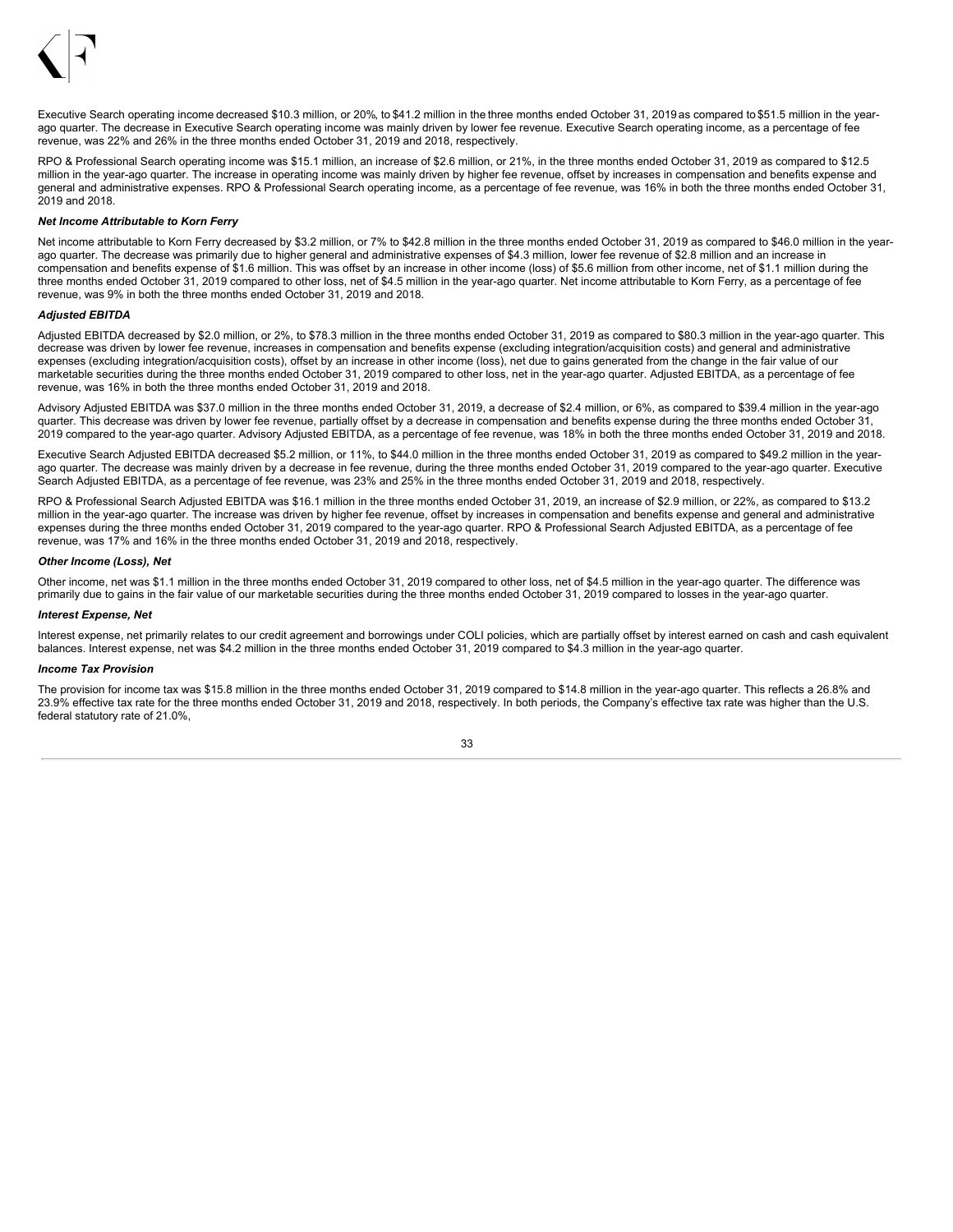

Executive Search operating income decreased \$10.3 million, or 20%, to \$41.2 million in the three months ended October 31, 2019 as compared to \$51.5 million in the yearago quarter. The decrease in Executive Search operating income was mainly driven by lower fee revenue. Executive Search operating income, as a percentage of fee revenue, was 22% and 26% in the three months ended October 31, 2019 and 2018, respectively.

RPO & Professional Search operating income was \$15.1 million, an increase of \$2.6 million, or 21%, in the three months ended October 31, 2019 as compared to \$12.5 million in the year-ago quarter. The increase in operating income was mainly driven by higher fee revenue, offset by increases in compensation and benefits expense and general and administrative expenses. RPO & Professional Search operating income, as a percentage of fee revenue, was 16% in both the three months ended October 31, 2019 and 2018.

#### *Net Income Attributable to Korn Ferry*

Net income attributable to Korn Ferry decreased by \$3.2 million, or 7% to \$42.8 million in the three months ended October 31, 2019 as compared to \$46.0 million in the yearago quarter. The decrease was primarily due to higher general and administrative expenses of \$4.3 million, lower fee revenue of \$2.8 million and an increase in compensation and benefits expense of \$1.6 million. This was offset by an increase in other income (loss) of \$5.6 million from other income, net of \$1.1 million during the three months ended October 31, 2019 compared to other loss, net of \$4.5 million in the year-ago quarter. Net income attributable to Korn Ferry, as a percentage of fee revenue, was 9% in both the three months ended October 31, 2019 and 2018.

### *Adjusted EBITDA*

Adjusted EBITDA decreased by \$2.0 million, or 2%, to \$78.3 million in the three months ended October 31, 2019 as compared to \$80.3 million in the year-ago quarter. This decrease was driven by lower fee revenue, increases in compensation and benefits expense (excluding integration/acquisition costs) and general and administrative expenses (excluding integration/acquisition costs), offset by an increase in other income (loss), net due to gains generated from the change in the fair value of our marketable securities during the three months ended October 31, 2019 compared to other loss, net in the year-ago quarter. Adjusted EBITDA, as a percentage of fee revenue, was 16% in both the three months ended October 31, 2019 and 2018.

Advisory Adjusted EBITDA was \$37.0 million in the three months ended October 31, 2019, a decrease of \$2.4 million, or 6%, as compared to \$39.4 million in the year-ago quarter. This decrease was driven by lower fee revenue, partially offset by a decrease in compensation and benefits expense during the three months ended October 31, 2019 compared to the year-ago quarter. Advisory Adjusted EBITDA, as a percentage of fee revenue, was 18% in both the three months ended October 31, 2019 and 2018.

Executive Search Adjusted EBITDA decreased \$5.2 million, or 11%, to \$44.0 million in the three months ended October 31, 2019 as compared to \$49.2 million in the yearago quarter. The decrease was mainly driven by a decrease in fee revenue, during the three months ended October 31, 2019 compared to the year-ago quarter. Executive Search Adjusted EBITDA, as a percentage of fee revenue, was 23% and 25% in the three months ended October 31, 2019 and 2018, respectively.

RPO & Professional Search Adjusted EBITDA was \$16.1 million in the three months ended October 31, 2019, an increase of \$2.9 million, or 22%, as compared to \$13.2 million in the year-ago quarter. The increase was driven by higher fee revenue, offset by increases in compensation and benefits expense and general and administrative expenses during the three months ended October 31, 2019 compared to the year-ago quarter. RPO & Professional Search Adjusted EBITDA, as a percentage of fee revenue, was 17% and 16% in the three months ended October 31, 2019 and 2018, respectively.

#### *Other Income (Loss), Net*

Other income, net was \$1.1 million in the three months ended October 31, 2019 compared to other loss, net of \$4.5 million in the year-ago quarter. The difference was primarily due to gains in the fair value of our marketable securities during the three months ended October 31, 2019 compared to losses in the year-ago quarter.

#### *Interest Expense, Net*

Interest expense, net primarily relates to our credit agreement and borrowings under COLI policies, which are partially offset by interest earned on cash and cash equivalent balances. Interest expense, net was \$4.2 million in the three months ended October 31, 2019 compared to \$4.3 million in the year-ago quarter.

#### *Income Tax Provision*

The provision for income tax was \$15.8 million in the three months ended October 31, 2019 compared to \$14.8 million in the year-ago quarter. This reflects a 26.8% and 23.9% effective tax rate for the three months ended October 31, 2019 and 2018, respectively. In both periods, the Company's effective tax rate was higher than the U.S. federal statutory rate of 21.0%,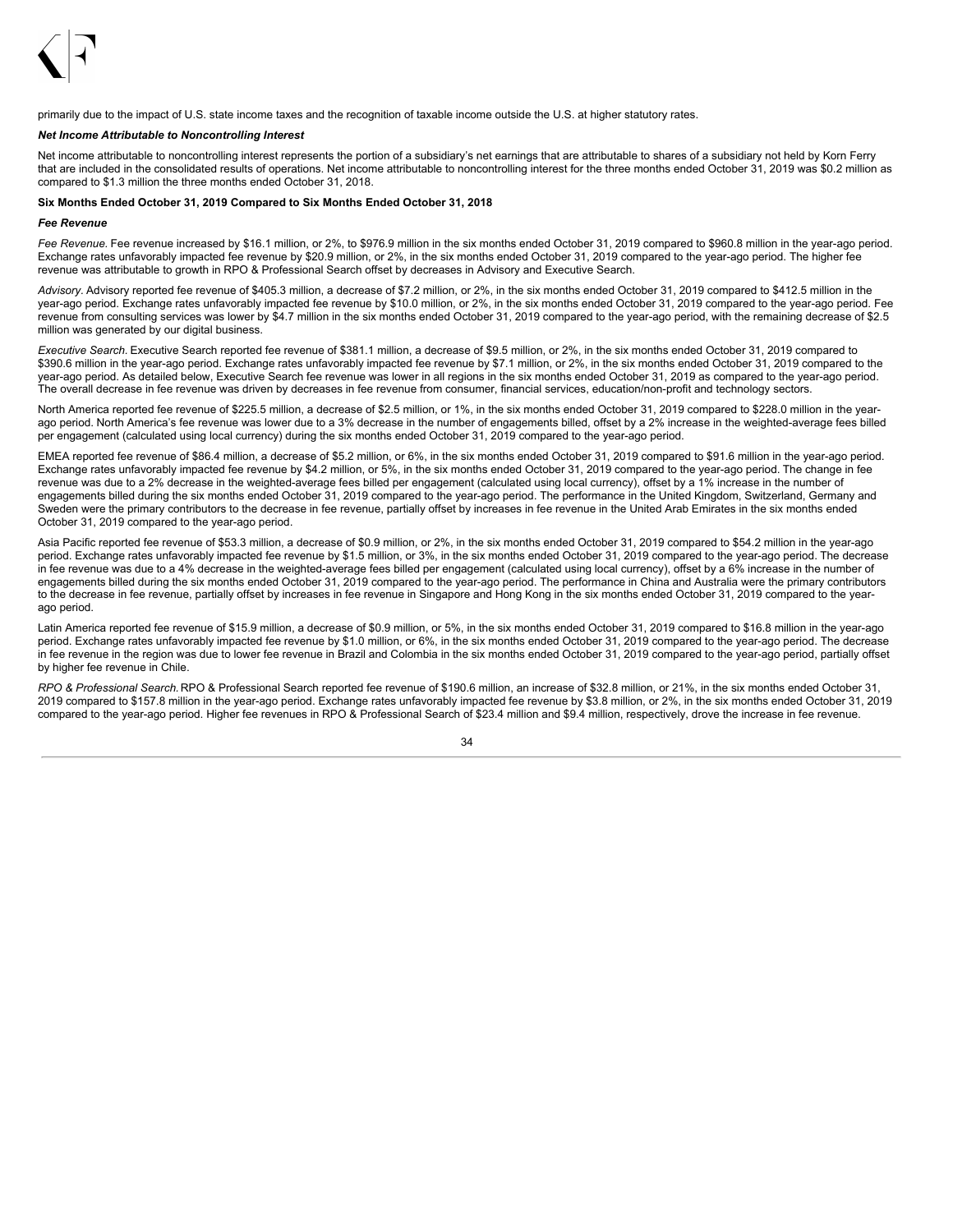

primarily due to the impact of U.S. state income taxes and the recognition of taxable income outside the U.S. at higher statutory rates.

### *Net Income Attributable to Noncontrolling Interest*

Net income attributable to noncontrolling interest represents the portion of a subsidiary's net earnings that are attributable to shares of a subsidiary not held by Korn Ferry that are included in the consolidated results of operations. Net income attributable to noncontrolling interest for the three months ended October 31, 2019 was \$0.2 million as compared to \$1.3 million the three months ended October 31, 2018.

### **Six Months Ended October 31, 2019 Compared to Six Months Ended October 31, 2018**

#### *Fee Revenue*

*Fee Revenue.* Fee revenue increased by \$16.1 million, or 2%, to \$976.9 million in the six months ended October 31, 2019 compared to \$960.8 million in the year-ago period. Exchange rates unfavorably impacted fee revenue by \$20.9 million, or 2%, in the six months ended October 31, 2019 compared to the year-ago period. The higher fee revenue was attributable to growth in RPO & Professional Search offset by decreases in Advisory and Executive Search.

*Advisory.* Advisory reported fee revenue of \$405.3 million, a decrease of \$7.2 million, or 2%, in the six months ended October 31, 2019 compared to \$412.5 million in the year-ago period. Exchange rates unfavorably impacted fee revenue by \$10.0 million, or 2%, in the six months ended October 31, 2019 compared to the year-ago period. Fee revenue from consulting services was lower by \$4.7 million in the six months ended October 31, 2019 compared to the year-ago period, with the remaining decrease of \$2.5 million was generated by our digital business.

*Executive Search.* Executive Search reported fee revenue of \$381.1 million, a decrease of \$9.5 million, or 2%, in the six months ended October 31, 2019 compared to \$390.6 million in the year-ago period. Exchange rates unfavorably impacted fee revenue by \$7.1 million, or 2%, in the six months ended October 31, 2019 compared to the year-ago period. As detailed below, Executive Search fee revenue was lower in all regions in the six months ended October 31, 2019 as compared to the year-ago period. The overall decrease in fee revenue was driven by decreases in fee revenue from consumer, financial services, education/non-profit and technology sectors.

North America reported fee revenue of \$225.5 million, a decrease of \$2.5 million, or 1%, in the six months ended October 31, 2019 compared to \$228.0 million in the yearago period. North America's fee revenue was lower due to a 3% decrease in the number of engagements billed, offset by a 2% increase in the weighted-average fees billed per engagement (calculated using local currency) during the six months ended October 31, 2019 compared to the year-ago period.

EMEA reported fee revenue of \$86.4 million, a decrease of \$5.2 million, or 6%, in the six months ended October 31, 2019 compared to \$91.6 million in the year-ago period. Exchange rates unfavorably impacted fee revenue by \$4.2 million, or 5%, in the six months ended October 31, 2019 compared to the year-ago period. The change in fee revenue was due to a 2% decrease in the weighted-average fees billed per engagement (calculated using local currency), offset by a 1% increase in the number of engagements billed during the six months ended October 31, 2019 compared to the year-ago period. The performance in the United Kingdom, Switzerland, Germany and Sweden were the primary contributors to the decrease in fee revenue, partially offset by increases in fee revenue in the United Arab Emirates in the six months ended October 31, 2019 compared to the year-ago period.

Asia Pacific reported fee revenue of \$53.3 million, a decrease of \$0.9 million, or 2%, in the six months ended October 31, 2019 compared to \$54.2 million in the year-ago period. Exchange rates unfavorably impacted fee revenue by \$1.5 million, or 3%, in the six months ended October 31, 2019 compared to the year-ago period. The decrease in fee revenue was due to a 4% decrease in the weighted-average fees billed per engagement (calculated using local currency), offset by a 6% increase in the number of engagements billed during the six months ended October 31, 2019 compared to the year-ago period. The performance in China and Australia were the primary contributors to the decrease in fee revenue, partially offset by increases in fee revenue in Singapore and Hong Kong in the six months ended October 31, 2019 compared to the yearago period.

Latin America reported fee revenue of \$15.9 million, a decrease of \$0.9 million, or 5%, in the six months ended October 31, 2019 compared to \$16.8 million in the year-ago period. Exchange rates unfavorably impacted fee revenue by \$1.0 million, or 6%, in the six months ended October 31, 2019 compared to the year-ago period. The decrease in fee revenue in the region was due to lower fee revenue in Brazil and Colombia in the six months ended October 31, 2019 compared to the year-ago period, partially offset by higher fee revenue in Chile.

*RPO & Professional Search.* RPO & Professional Search reported fee revenue of \$190.6 million, an increase of \$32.8 million, or 21%, in the six months ended October 31, 2019 compared to \$157.8 million in the year-ago period. Exchange rates unfavorably impacted fee revenue by \$3.8 million, or 2%, in the six months ended October 31, 2019 compared to the year-ago period. Higher fee revenues in RPO & Professional Search of \$23.4 million and \$9.4 million, respectively, drove the increase in fee revenue.

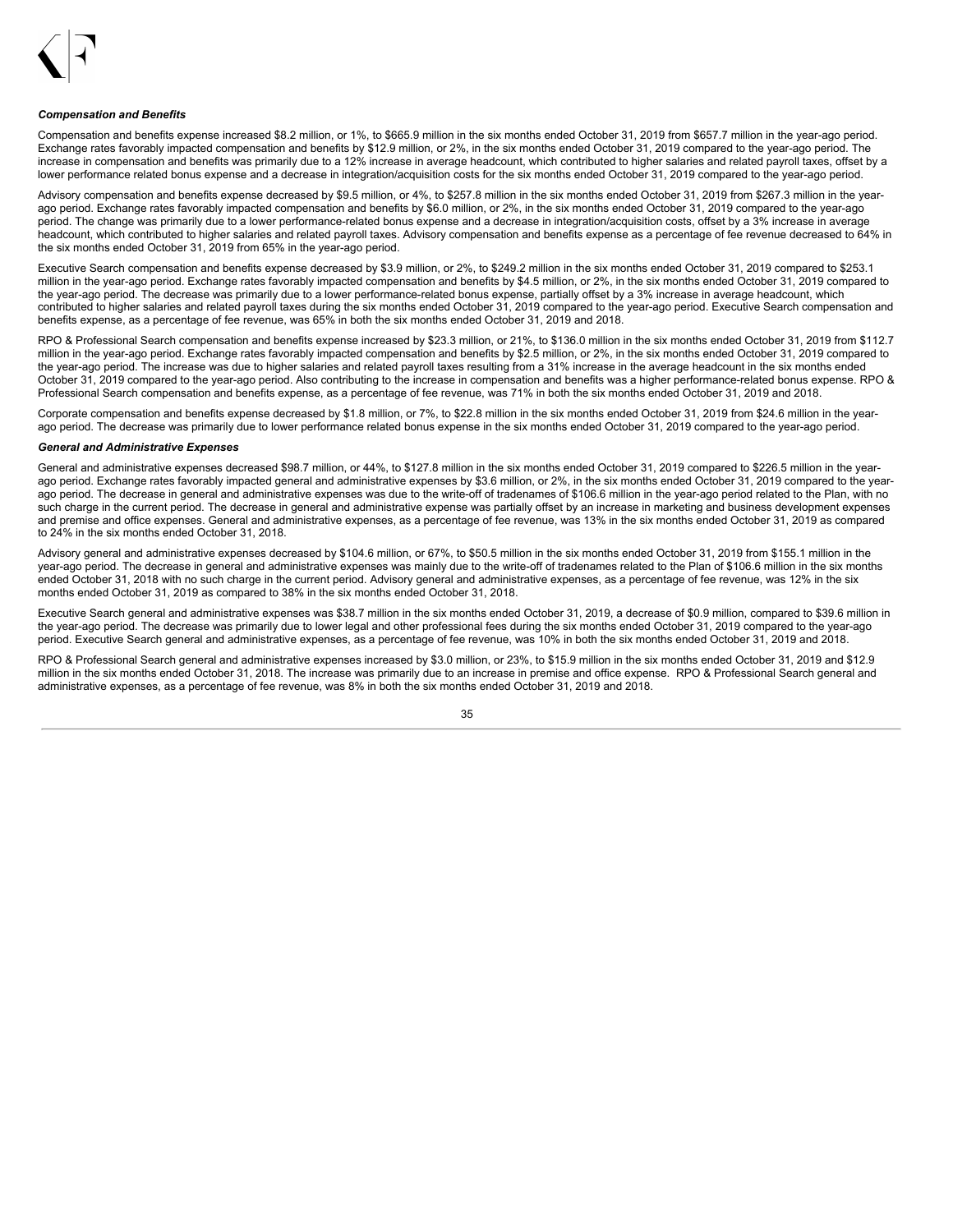

#### *Compensation and Benefits*

Compensation and benefits expense increased \$8.2 million, or 1%, to \$665.9 million in the six months ended October 31, 2019 from \$657.7 million in the year-ago period. Exchange rates favorably impacted compensation and benefits by \$12.9 million, or 2%, in the six months ended October 31, 2019 compared to the year-ago period. The increase in compensation and benefits was primarily due to a 12% increase in average headcount, which contributed to higher salaries and related payroll taxes, offset by a lower performance related bonus expense and a decrease in integration/acquisition costs for the six months ended October 31, 2019 compared to the year-ago period.

Advisory compensation and benefits expense decreased by \$9.5 million, or 4%, to \$257.8 million in the six months ended October 31, 2019 from \$267.3 million in the yearago period. Exchange rates favorably impacted compensation and benefits by \$6.0 million, or 2%, in the six months ended October 31, 2019 compared to the year-ago period. The change was primarily due to a lower performance-related bonus expense and a decrease in integration/acquisition costs, offset by a 3% increase in average headcount, which contributed to higher salaries and related payroll taxes. Advisory compensation and benefits expense as a percentage of fee revenue decreased to 64% in the six months ended October 31, 2019 from 65% in the year-ago period.

Executive Search compensation and benefits expense decreased by \$3.9 million, or 2%, to \$249.2 million in the six months ended October 31, 2019 compared to \$253.1 million in the year-ago period. Exchange rates favorably impacted compensation and benefits by \$4.5 million, or 2%, in the six months ended October 31, 2019 compared to the year-ago period. The decrease was primarily due to a lower performance-related bonus expense, partially offset by a 3% increase in average headcount, which contributed to higher salaries and related payroll taxes during the six months ended October 31, 2019 compared to the year-ago period. Executive Search compensation and benefits expense, as a percentage of fee revenue, was 65% in both the six months ended October 31, 2019 and 2018.

RPO & Professional Search compensation and benefits expense increased by \$23.3 million, or 21%, to \$136.0 million in the six months ended October 31, 2019 from \$112.7 million in the year-ago period. Exchange rates favorably impacted compensation and benefits by \$2.5 million, or 2%, in the six months ended October 31, 2019 compared to the year-ago period. The increase was due to higher salaries and related payroll taxes resulting from a 31% increase in the average headcount in the six months ended October 31, 2019 compared to the year-ago period. Also contributing to the increase in compensation and benefits was a higher performance-related bonus expense. RPO & Professional Search compensation and benefits expense, as a percentage of fee revenue, was 71% in both the six months ended October 31, 2019 and 2018.

Corporate compensation and benefits expense decreased by \$1.8 million, or 7%, to \$22.8 million in the six months ended October 31, 2019 from \$24.6 million in the yearago period. The decrease was primarily due to lower performance related bonus expense in the six months ended October 31, 2019 compared to the year-ago period.

#### *General and Administrative Expenses*

General and administrative expenses decreased \$98.7 million, or 44%, to \$127.8 million in the six months ended October 31, 2019 compared to \$226.5 million in the yearago period. Exchange rates favorably impacted general and administrative expenses by \$3.6 million, or 2%, in the six months ended October 31, 2019 compared to the yearago period. The decrease in general and administrative expenses was due to the write-off of tradenames of \$106.6 million in the year-ago period related to the Plan, with no such charge in the current period. The decrease in general and administrative expense was partially offset by an increase in marketing and business development expenses and premise and office expenses. General and administrative expenses, as a percentage of fee revenue, was 13% in the six months ended October 31, 2019 as compared to 24% in the six months ended October 31, 2018.

Advisory general and administrative expenses decreased by \$104.6 million, or 67%, to \$50.5 million in the six months ended October 31, 2019 from \$155.1 million in the year-ago period. The decrease in general and administrative expenses was mainly due to the write-off of tradenames related to the Plan of \$106.6 million in the six months ended October 31, 2018 with no such charge in the current period. Advisory general and administrative expenses, as a percentage of fee revenue, was 12% in the six months ended October 31, 2019 as compared to 38% in the six months ended October 31, 2018.

Executive Search general and administrative expenses was \$38.7 million in the six months ended October 31, 2019, a decrease of \$0.9 million, compared to \$39.6 million in the year-ago period. The decrease was primarily due to lower legal and other professional fees during the six months ended October 31, 2019 compared to the year-ago period. Executive Search general and administrative expenses, as a percentage of fee revenue, was 10% in both the six months ended October 31, 2019 and 2018.

RPO & Professional Search general and administrative expenses increased by \$3.0 million, or 23%, to \$15.9 million in the six months ended October 31, 2019 and \$12.9 million in the six months ended October 31, 2018. The increase was primarily due to an increase in premise and office expense. RPO & Professional Search general and administrative expenses, as a percentage of fee revenue, was 8% in both the six months ended October 31, 2019 and 2018.

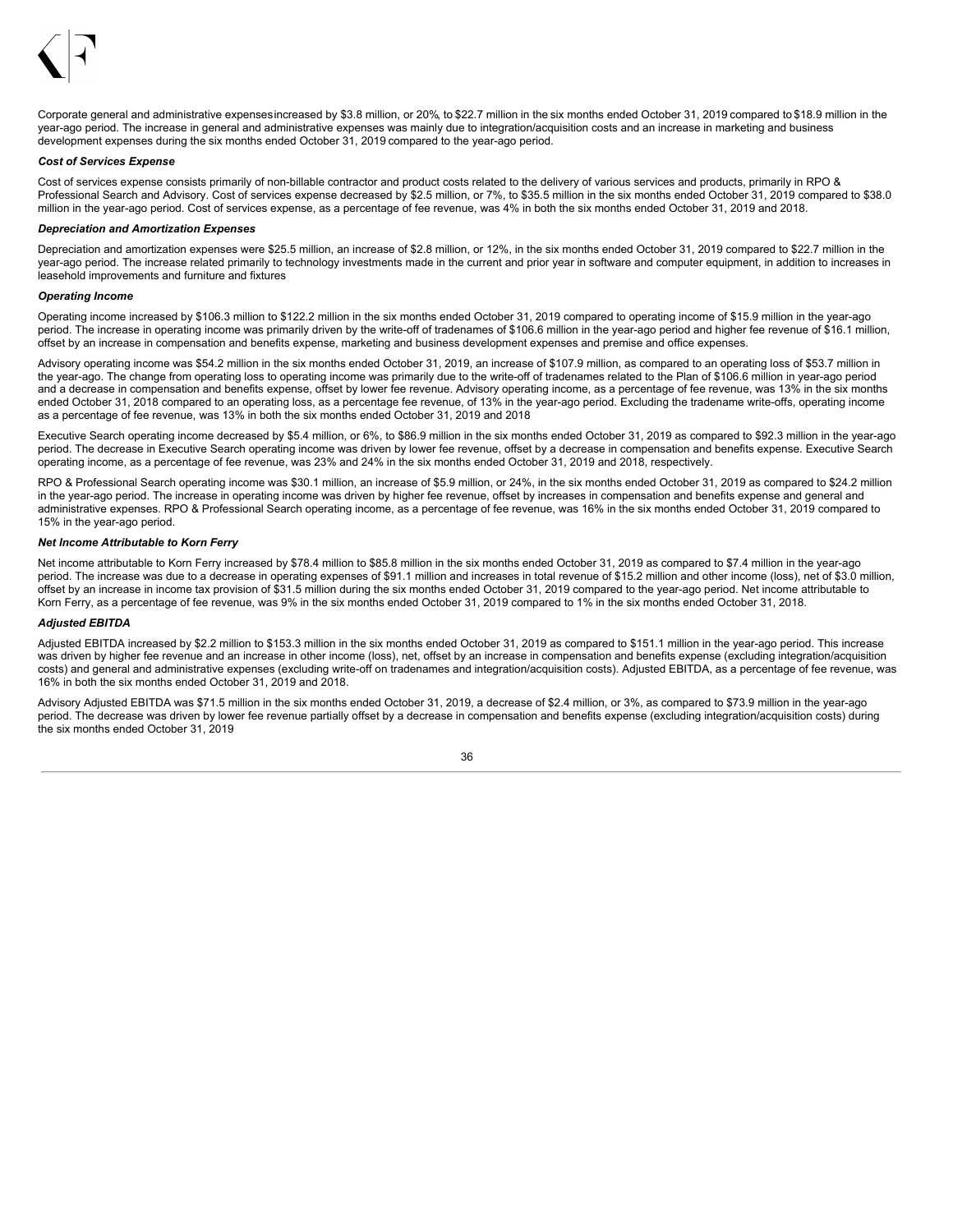

Corporate general and administrative expensesincreased by \$3.8 million, or 20%, to \$22.7 million in the six months ended October 31, 2019 compared to \$18.9 million in the year-ago period. The increase in general and administrative expenses was mainly due to integration/acquisition costs and an increase in marketing and business development expenses during the six months ended October 31, 2019 compared to the year-ago period.

#### *Cost of Services Expense*

Cost of services expense consists primarily of non-billable contractor and product costs related to the delivery of various services and products, primarily in RPO & Professional Search and Advisory. Cost of services expense decreased by \$2.5 million, or 7%, to \$35.5 million in the six months ended October 31, 2019 compared to \$38.0 million in the year-ago period. Cost of services expense, as a percentage of fee revenue, was 4% in both the six months ended October 31, 2019 and 2018.

#### *Depreciation and Amortization Expenses*

Depreciation and amortization expenses were \$25.5 million, an increase of \$2.8 million, or 12%, in the six months ended October 31, 2019 compared to \$22.7 million in the year-ago period. The increase related primarily to technology investments made in the current and prior year in software and computer equipment, in addition to increases in leasehold improvements and furniture and fixtures

#### *Operating Income*

Operating income increased by \$106.3 million to \$122.2 million in the six months ended October 31, 2019 compared to operating income of \$15.9 million in the year-ago period. The increase in operating income was primarily driven by the write-off of tradenames of \$106.6 million in the year-ago period and higher fee revenue of \$16.1 million, offset by an increase in compensation and benefits expense, marketing and business development expenses and premise and office expenses.

Advisory operating income was \$54.2 million in the six months ended October 31, 2019, an increase of \$107.9 million, as compared to an operating loss of \$53.7 million in the year-ago. The change from operating loss to operating income was primarily due to the write-off of tradenames related to the Plan of \$106.6 million in year-ago period and a decrease in compensation and benefits expense, offset by lower fee revenue. Advisory operating income, as a percentage of fee revenue, was 13% in the six months ended October 31, 2018 compared to an operating loss, as a percentage fee revenue, of 13% in the year-ago period. Excluding the tradename write-offs, operating income as a percentage of fee revenue, was 13% in both the six months ended October 31, 2019 and 2018.

Executive Search operating income decreased by \$5.4 million, or 6%, to \$86.9 million in the six months ended October 31, 2019 as compared to \$92.3 million in the year-ago period. The decrease in Executive Search operating income was driven by lower fee revenue, offset by a decrease in compensation and benefits expense. Executive Search operating income, as a percentage of fee revenue, was 23% and 24% in the six months ended October 31, 2019 and 2018, respectively.

RPO & Professional Search operating income was \$30.1 million, an increase of \$5.9 million, or 24%, in the six months ended October 31, 2019 as compared to \$24.2 million in the year-ago period. The increase in operating income was driven by higher fee revenue, offset by increases in compensation and benefits expense and general and administrative expenses. RPO & Professional Search operating income, as a percentage of fee revenue, was 16% in the six months ended October 31, 2019 compared to 15% in the year-ago period.

### *Net Income Attributable to Korn Ferry*

Net income attributable to Korn Ferry increased by \$78.4 million to \$85.8 million in the six months ended October 31, 2019 as compared to \$7.4 million in the year-ago period. The increase was due to a decrease in operating expenses of \$91.1 million and increases in total revenue of \$15.2 million and other income (loss), net of \$3.0 million, offset by an increase in income tax provision of \$31.5 million during the six months ended October 31, 2019 compared to the year-ago period. Net income attributable to Korn Ferry, as a percentage of fee revenue, was 9% in the six months ended October 31, 2019 compared to 1% in the six months ended October 31, 2018.

#### *Adjusted EBITDA*

Adjusted EBITDA increased by \$2.2 million to \$153.3 million in the six months ended October 31, 2019 as compared to \$151.1 million in the year-ago period. This increase was driven by higher fee revenue and an increase in other income (loss), net, offset by an increase in compensation and benefits expense (excluding integration/acquisition costs) and general and administrative expenses (excluding write-off on tradenames and integration/acquisition costs). Adjusted EBITDA, as a percentage of fee revenue, was 16% in both the six months ended October 31, 2019 and 2018.

Advisory Adjusted EBITDA was \$71.5 million in the six months ended October 31, 2019, a decrease of \$2.4 million, or 3%, as compared to \$73.9 million in the year-ago period. The decrease was driven by lower fee revenue partially offset by a decrease in compensation and benefits expense (excluding integration/acquisition costs) during the six months ended October 31, 2019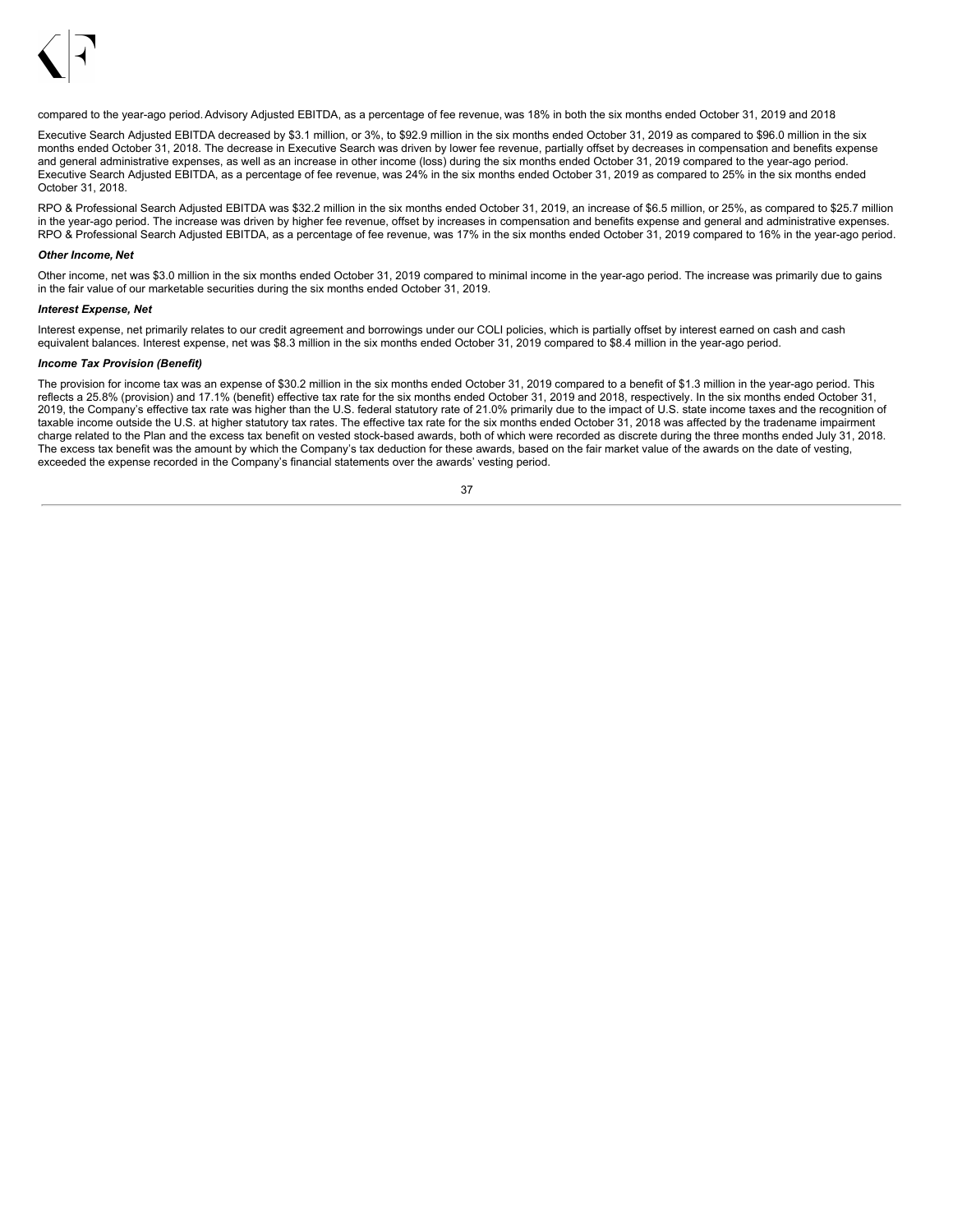

compared to the year-ago period.Advisory Adjusted EBITDA, as a percentage of fee revenue, was 18% in both the six months ended October 31, 2019 and 2018.

Executive Search Adjusted EBITDA decreased by \$3.1 million, or 3%, to \$92.9 million in the six months ended October 31, 2019 as compared to \$96.0 million in the six months ended October 31, 2018. The decrease in Executive Search was driven by lower fee revenue, partially offset by decreases in compensation and benefits expense and general administrative expenses, as well as an increase in other income (loss) during the six months ended October 31, 2019 compared to the year-ago period. Executive Search Adjusted EBITDA, as a percentage of fee revenue, was 24% in the six months ended October 31, 2019 as compared to 25% in the six months ended October 31, 2018.

RPO & Professional Search Adjusted EBITDA was \$32.2 million in the six months ended October 31, 2019, an increase of \$6.5 million, or 25%, as compared to \$25.7 million in the year-ago period. The increase was driven by higher fee revenue, offset by increases in compensation and benefits expense and general and administrative expenses. RPO & Professional Search Adjusted EBITDA, as a percentage of fee revenue, was 17% in the six months ended October 31, 2019 compared to 16% in the year-ago period.

#### *Other Income, Net*

Other income, net was \$3.0 million in the six months ended October 31, 2019 compared to minimal income in the year-ago period. The increase was primarily due to gains in the fair value of our marketable securities during the six months ended October 31, 2019.

### *Interest Expense, Net*

Interest expense, net primarily relates to our credit agreement and borrowings under our COLI policies, which is partially offset by interest earned on cash and cash equivalent balances. Interest expense, net was \$8.3 million in the six months ended October 31, 2019 compared to \$8.4 million in the year-ago period.

#### *Income Tax Provision (Benefit)*

The provision for income tax was an expense of \$30.2 million in the six months ended October 31, 2019 compared to a benefit of \$1.3 million in the year-ago period. This reflects a 25.8% (provision) and 17.1% (benefit) effective tax rate for the six months ended October 31, 2019 and 2018, respectively. In the six months ended October 31, 2019, the Company's effective tax rate was higher than the U.S. federal statutory rate of 21.0% primarily due to the impact of U.S. state income taxes and the recognition of taxable income outside the U.S. at higher statutory tax rates. The effective tax rate for the six months ended October 31, 2018 was affected by the tradename impairment charge related to the Plan and the excess tax benefit on vested stock-based awards, both of which were recorded as discrete during the three months ended July 31, 2018. The excess tax benefit was the amount by which the Company's tax deduction for these awards, based on the fair market value of the awards on the date of vesting, exceeded the expense recorded in the Company's financial statements over the awards' vesting period.

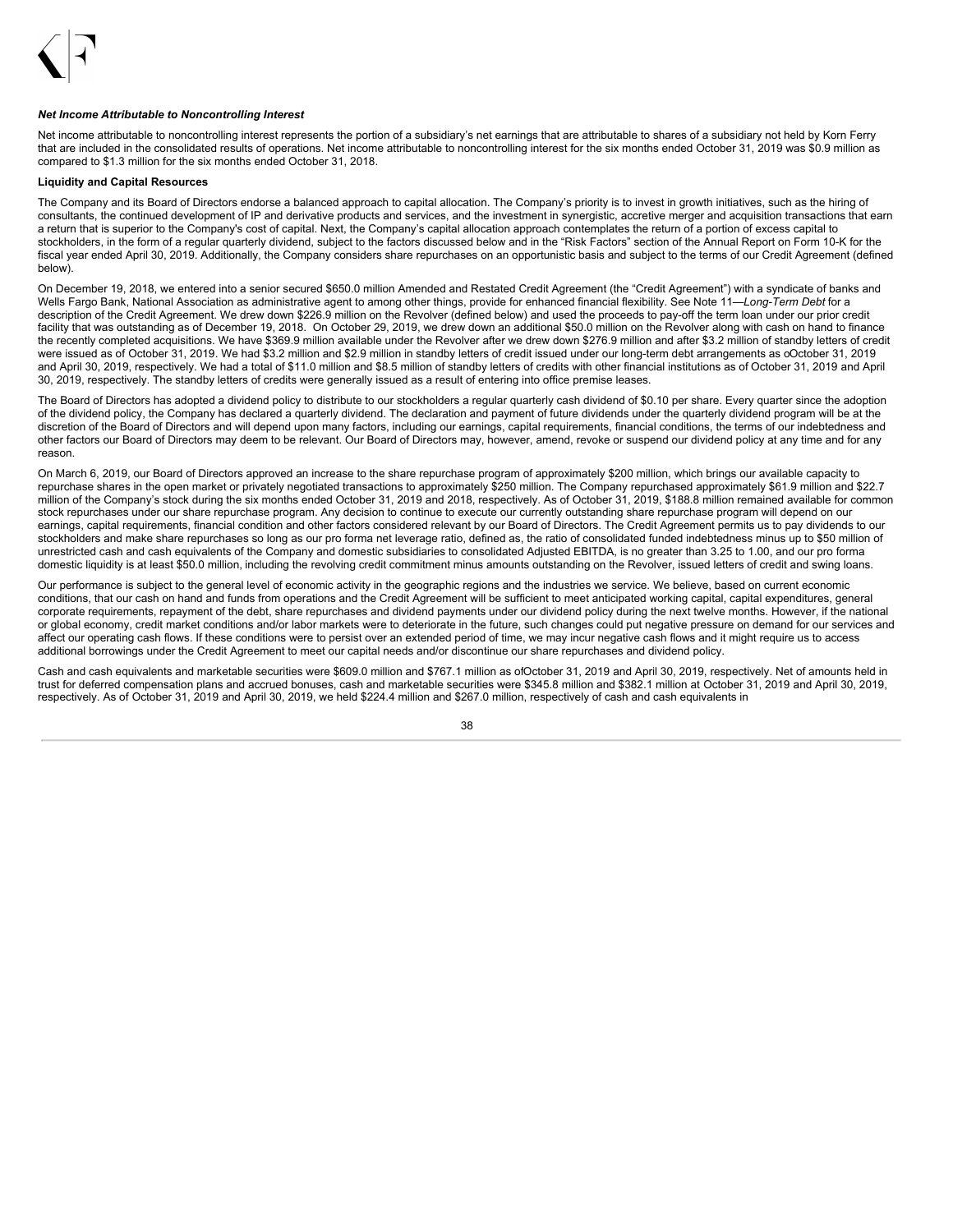

#### *Net Income Attributable to Noncontrolling Interest*

Net income attributable to noncontrolling interest represents the portion of a subsidiary's net earnings that are attributable to shares of a subsidiary not held by Korn Ferry that are included in the consolidated results of operations. Net income attributable to noncontrolling interest for the six months ended October 31, 2019 was \$0.9 million as compared to \$1.3 million for the six months ended October 31, 2018.

## **Liquidity and Capital Resources**

The Company and its Board of Directors endorse a balanced approach to capital allocation. The Company's priority is to invest in growth initiatives, such as the hiring of consultants, the continued development of IP and derivative products and services, and the investment in synergistic, accretive merger and acquisition transactions that earn a return that is superior to the Company's cost of capital. Next, the Company's capital allocation approach contemplates the return of a portion of excess capital to stockholders, in the form of a regular quarterly dividend, subject to the factors discussed below and in the "Risk Factors" section of the Annual Report on Form 10-K for the fiscal year ended April 30, 2019. Additionally, the Company considers share repurchases on an opportunistic basis and subject to the terms of our Credit Agreement (defined below).

On December 19, 2018, we entered into a senior secured \$650.0 million Amended and Restated Credit Agreement (the "Credit Agreement") with a syndicate of banks and Wells Fargo Bank, National Association as administrative agent to among other things, provide for enhanced financial flexibility. See Note 11—*Long-Term Debt* for a description of the Credit Agreement. We drew down \$226.9 million on the Revolver (defined below) and used the proceeds to pay-off the term loan under our prior credit facility that was outstanding as of December 19, 2018. On October 29, 2019, we drew down an additional \$50.0 million on the Revolver along with cash on hand to finance the recently completed acquisitions. We have \$369.9 million available under the Revolver after we drew down \$276.9 million and after \$3.2 million of standby letters of credit were issued as of October 31, 2019. We had \$3.2 million and \$2.9 million in standby letters of credit issued under our long-term debt arrangements as oOctober 31, 2019 and April 30, 2019, respectively. We had a total of \$11.0 million and \$8.5 million of standby letters of credits with other financial institutions as of October 31, 2019 and April 30, 2019, respectively. The standby letters of credits were generally issued as a result of entering into office premise leases.

The Board of Directors has adopted a dividend policy to distribute to our stockholders a regular quarterly cash dividend of \$0.10 per share. Every quarter since the adoption of the dividend policy, the Company has declared a quarterly dividend. The declaration and payment of future dividends under the quarterly dividend program will be at the discretion of the Board of Directors and will depend upon many factors, including our earnings, capital requirements, financial conditions, the terms of our indebtedness and other factors our Board of Directors may deem to be relevant. Our Board of Directors may, however, amend, revoke or suspend our dividend policy at any time and for any reason.

On March 6, 2019, our Board of Directors approved an increase to the share repurchase program of approximately \$200 million, which brings our available capacity to repurchase shares in the open market or privately negotiated transactions to approximately \$250 million. The Company repurchased approximately \$61.9 million and \$22.7 million of the Company's stock during the six months ended October 31, 2019 and 2018, respectively. As of October 31, 2019, \$188.8 million remained available for common stock repurchases under our share repurchase program. Any decision to continue to execute our currently outstanding share repurchase program will depend on our earnings, capital requirements, financial condition and other factors considered relevant by our Board of Directors. The Credit Agreement permits us to pay dividends to our stockholders and make share repurchases so long as our pro forma net leverage ratio, defined as, the ratio of consolidated funded indebtedness minus up to \$50 million of unrestricted cash and cash equivalents of the Company and domestic subsidiaries to consolidated Adjusted EBITDA, is no greater than 3.25 to 1.00, and our pro forma domestic liquidity is at least \$50.0 million, including the revolving credit commitment minus amounts outstanding on the Revolver, issued letters of credit and swing loans.

Our performance is subject to the general level of economic activity in the geographic regions and the industries we service. We believe, based on current economic conditions, that our cash on hand and funds from operations and the Credit Agreement will be sufficient to meet anticipated working capital, capital expenditures, general corporate requirements, repayment of the debt, share repurchases and dividend payments under our dividend policy during the next twelve months. However, if the national or global economy, credit market conditions and/or labor markets were to deteriorate in the future, such changes could put negative pressure on demand for our services and affect our operating cash flows. If these conditions were to persist over an extended period of time, we may incur negative cash flows and it might require us to access additional borrowings under the Credit Agreement to meet our capital needs and/or discontinue our share repurchases and dividend policy.

Cash and cash equivalents and marketable securities were \$609.0 million and \$767.1 million as ofOctober 31, 2019 and April 30, 2019, respectively. Net of amounts held in trust for deferred compensation plans and accrued bonuses, cash and marketable securities were \$345.8 million and \$382.1 million at October 31, 2019 and April 30, 2019, respectively. As of October 31, 2019 and April 30, 2019, we held \$224.4 million and \$267.0 million, respectively of cash and cash equivalents in

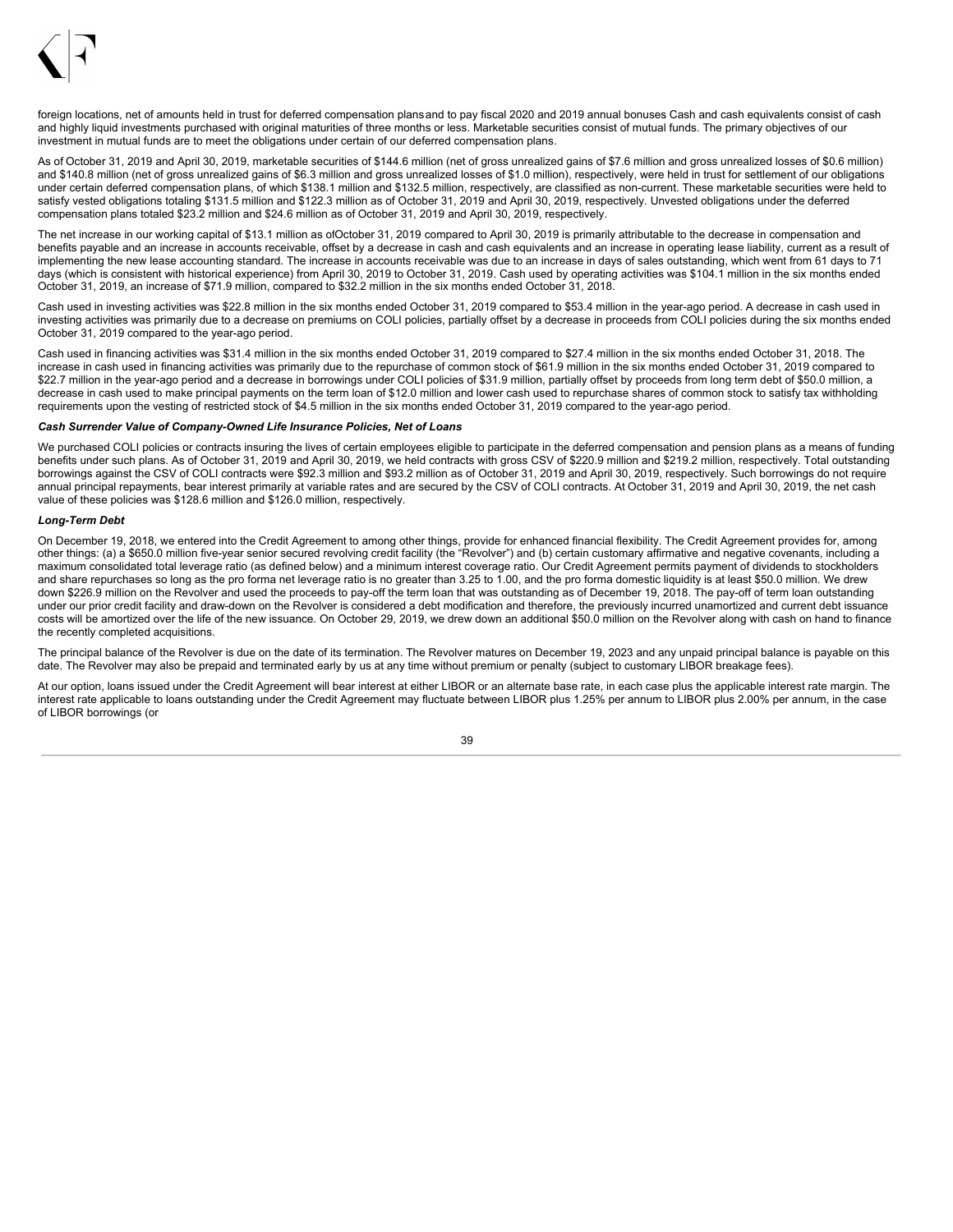

foreign locations, net of amounts held in trust for deferred compensation plans and to pay fiscal 2020 and 2019 annual bonuses Cash and cash equivalents consist of cash and highly liquid investments purchased with original maturities of three months or less. Marketable securities consist of mutual funds. The primary objectives of our investment in mutual funds are to meet the obligations under certain of our deferred compensation plans.

As of October 31, 2019 and April 30, 2019, marketable securities of \$144.6 million (net of gross unrealized gains of \$7.6 million and gross unrealized losses of \$0.6 million) and \$140.8 million (net of gross unrealized gains of \$6.3 million and gross unrealized losses of \$1.0 million), respectively, were held in trust for settlement of our obligations under certain deferred compensation plans, of which \$138.1 million and \$132.5 million, respectively, are classified as non-current. These marketable securities were held to satisfy vested obligations totaling \$131.5 million and \$122.3 million as of October 31, 2019 and April 30, 2019, respectively. Unvested obligations under the deferred compensation plans totaled \$23.2 million and \$24.6 million as of October 31, 2019 and April 30, 2019, respectively.

The net increase in our working capital of \$13.1 million as ofOctober 31, 2019 compared to April 30, 2019 is primarily attributable to the decrease in compensation and benefits payable and an increase in accounts receivable, offset by a decrease in cash and cash equivalents and an increase in operating lease liability, current as a result of implementing the new lease accounting standard. The increase in accounts receivable was due to an increase in days of sales outstanding, which went from 61 days to 71 days (which is consistent with historical experience) from April 30, 2019 to October 31, 2019. Cash used by operating activities was \$104.1 million in the six months ended October 31, 2019, an increase of \$71.9 million, compared to \$32.2 million in the six months ended October 31, 2018.

Cash used in investing activities was \$22.8 million in the six months ended October 31, 2019 compared to \$53.4 million in the year-ago period. A decrease in cash used in investing activities was primarily due to a decrease on premiums on COLI policies, partially offset by a decrease in proceeds from COLI policies during the six months ended October 31, 2019 compared to the year-ago period.

Cash used in financing activities was \$31.4 million in the six months ended October 31, 2019 compared to \$27.4 million in the six months ended October 31, 2018. The increase in cash used in financing activities was primarily due to the repurchase of common stock of \$61.9 million in the six months ended October 31, 2019 compared to \$22.7 million in the year-ago period and a decrease in borrowings under COLI policies of \$31.9 million, partially offset by proceeds from long term debt of \$50.0 million, a decrease in cash used to make principal payments on the term loan of \$12.0 million and lower cash used to repurchase shares of common stock to satisfy tax withholding requirements upon the vesting of restricted stock of \$4.5 million in the six months ended October 31, 2019 compared to the year-ago period.

### *Cash Surrender Value of Company-Owned Life Insurance Policies, Net of Loans*

We purchased COLI policies or contracts insuring the lives of certain employees eligible to participate in the deferred compensation and pension plans as a means of funding benefits under such plans. As of October 31, 2019 and April 30, 2019, we held contracts with gross CSV of \$220.9 million and \$219.2 million, respectively. Total outstanding borrowings against the CSV of COLI contracts were \$92.3 million and \$93.2 million as of October 31, 2019 and April 30, 2019, respectively. Such borrowings do not require annual principal repayments, bear interest primarily at variable rates and are secured by the CSV of COLI contracts. At October 31, 2019 and April 30, 2019, the net cash value of these policies was \$128.6 million and \$126.0 million, respectively.

### *Long-Term Debt*

On December 19, 2018, we entered into the Credit Agreement to among other things, provide for enhanced financial flexibility. The Credit Agreement provides for, among other things: (a) a \$650.0 million five-year senior secured revolving credit facility (the "Revolver") and (b) certain customary affirmative and negative covenants, including a maximum consolidated total leverage ratio (as defined below) and a minimum interest coverage ratio. Our Credit Agreement permits payment of dividends to stockholders and share repurchases so long as the pro forma net leverage ratio is no greater than 3.25 to 1.00, and the pro forma domestic liquidity is at least \$50.0 million. We drew down \$226.9 million on the Revolver and used the proceeds to pay-off the term loan that was outstanding as of December 19, 2018. The pay-off of term loan outstanding under our prior credit facility and draw-down on the Revolver is considered a debt modification and therefore, the previously incurred unamortized and current debt issuance costs will be amortized over the life of the new issuance. On October 29, 2019, we drew down an additional \$50.0 million on the Revolver along with cash on hand to finance the recently completed acquisitions.

The principal balance of the Revolver is due on the date of its termination. The Revolver matures on December 19, 2023 and any unpaid principal balance is payable on this date. The Revolver may also be prepaid and terminated early by us at any time without premium or penalty (subject to customary LIBOR breakage fees).

At our option, loans issued under the Credit Agreement will bear interest at either LIBOR or an alternate base rate, in each case plus the applicable interest rate margin. The interest rate applicable to loans outstanding under the Credit Agreement may fluctuate between LIBOR plus 1.25% per annum to LIBOR plus 2.00% per annum, in the case of LIBOR borrowings (or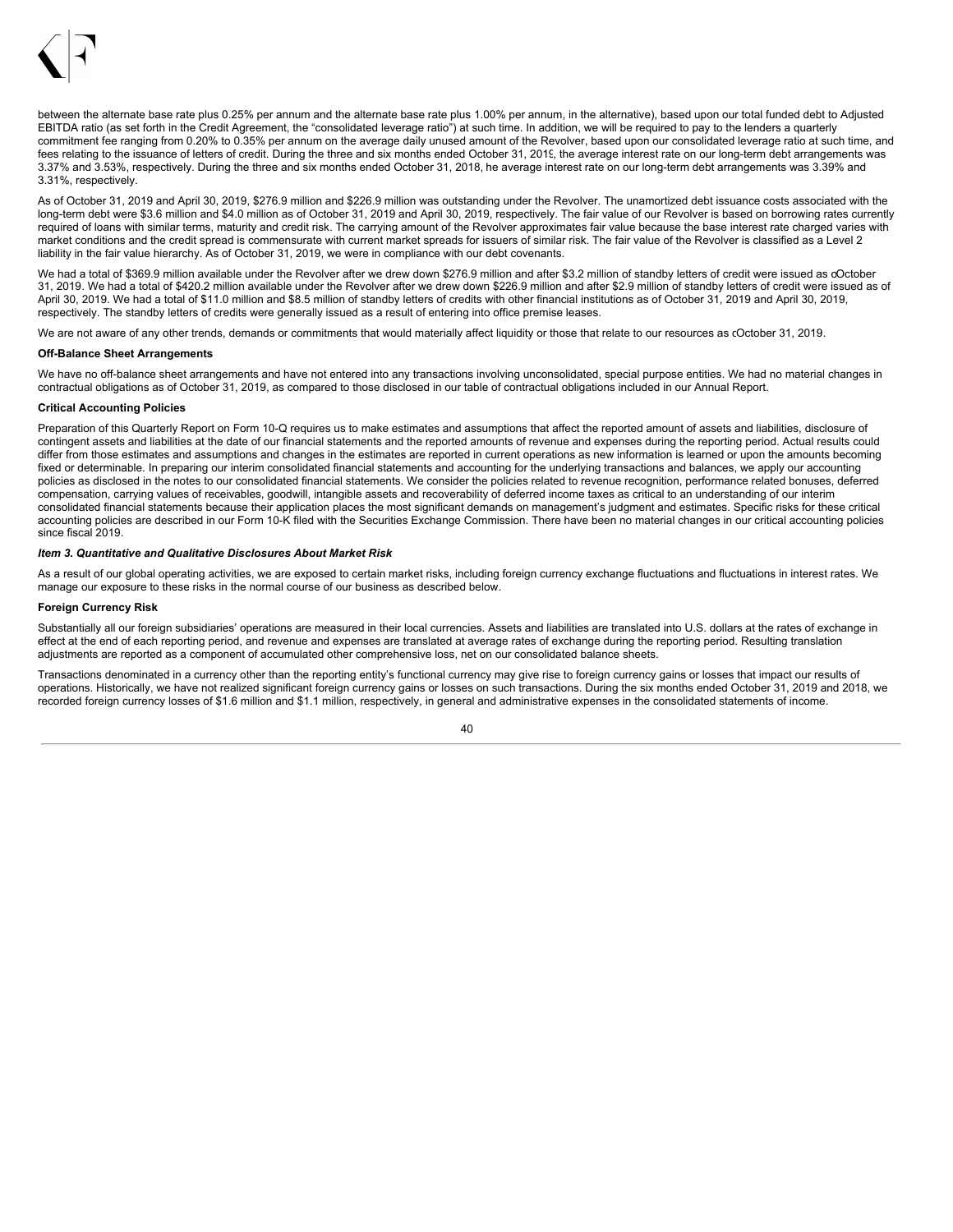

between the alternate base rate plus 0.25% per annum and the alternate base rate plus 1.00% per annum, in the alternative), based upon our total funded debt to Adjusted EBITDA ratio (as set forth in the Credit Agreement, the "consolidated leverage ratio") at such time. In addition, we will be required to pay to the lenders a quarterly commitment fee ranging from 0.20% to 0.35% per annum on the average daily unused amount of the Revolver, based upon our consolidated leverage ratio at such time, and fees relating to the issuance of letters of credit. During the three and six months ended October 31, 2019, the average interest rate on our long-term debt arrangements was 3.37% and 3.53%, respectively. During the three and six months ended October 31, 2018, he average interest rate on our long-term debt arrangements was 3.39% and 3.31%, respectively.

As of October 31, 2019 and April 30, 2019, \$276.9 million and \$226.9 million was outstanding under the Revolver. The unamortized debt issuance costs associated with the long-term debt were \$3.6 million and \$4.0 million as of October 31, 2019 and April 30, 2019, respectively. The fair value of our Revolver is based on borrowing rates currently required of loans with similar terms, maturity and credit risk. The carrying amount of the Revolver approximates fair value because the base interest rate charged varies with market conditions and the credit spread is commensurate with current market spreads for issuers of similar risk. The fair value of the Revolver is classified as a Level 2 liability in the fair value hierarchy. As of October 31, 2019, we were in compliance with our debt covenants.

We had a total of \$369.9 million available under the Revolver after we drew down \$276.9 million and after \$3.2 million of standby letters of credit were issued as oOctober 31, 2019. We had a total of \$420.2 million available under the Revolver after we drew down \$226.9 million and after \$2.9 million of standby letters of credit were issued as of April 30, 2019. We had a total of \$11.0 million and \$8.5 million of standby letters of credits with other financial institutions as of October 31, 2019 and April 30, 2019, respectively. The standby letters of credits were generally issued as a result of entering into office premise leases.

We are not aware of any other trends, demands or commitments that would materially affect liquidity or those that relate to our resources as cOctober 31, 2019.

#### **Off-Balance Sheet Arrangements**

We have no off-balance sheet arrangements and have not entered into any transactions involving unconsolidated, special purpose entities. We had no material changes in contractual obligations as of October 31, 2019, as compared to those disclosed in our table of contractual obligations included in our Annual Report.

### **Critical Accounting Policies**

Preparation of this Quarterly Report on Form 10-Q requires us to make estimates and assumptions that affect the reported amount of assets and liabilities, disclosure of contingent assets and liabilities at the date of our financial statements and the reported amounts of revenue and expenses during the reporting period. Actual results could differ from those estimates and assumptions and changes in the estimates are reported in current operations as new information is learned or upon the amounts becoming fixed or determinable. In preparing our interim consolidated financial statements and accounting for the underlying transactions and balances, we apply our accounting policies as disclosed in the notes to our consolidated financial statements. We consider the policies related to revenue recognition, performance related bonuses, deferred compensation, carrying values of receivables, goodwill, intangible assets and recoverability of deferred income taxes as critical to an understanding of our interim consolidated financial statements because their application places the most significant demands on management's judgment and estimates. Specific risks for these critical accounting policies are described in our Form 10-K filed with the Securities Exchange Commission. There have been no material changes in our critical accounting policies since fiscal 2019.

#### <span id="page-41-0"></span>*Item 3. Quantitative and Qualitative Disclosures About Market Risk*

As a result of our global operating activities, we are exposed to certain market risks, including foreign currency exchange fluctuations and fluctuations in interest rates. We manage our exposure to these risks in the normal course of our business as described below.

#### **Foreign Currency Risk**

Substantially all our foreign subsidiaries' operations are measured in their local currencies. Assets and liabilities are translated into U.S. dollars at the rates of exchange in effect at the end of each reporting period, and revenue and expenses are translated at average rates of exchange during the reporting period. Resulting translation adjustments are reported as a component of accumulated other comprehensive loss, net on our consolidated balance sheets.

Transactions denominated in a currency other than the reporting entity's functional currency may give rise to foreign currency gains or losses that impact our results of operations. Historically, we have not realized significant foreign currency gains or losses on such transactions. During the six months ended October 31, 2019 and 2018, we recorded foreign currency losses of \$1.6 million and \$1.1 million, respectively, in general and administrative expenses in the consolidated statements of income.

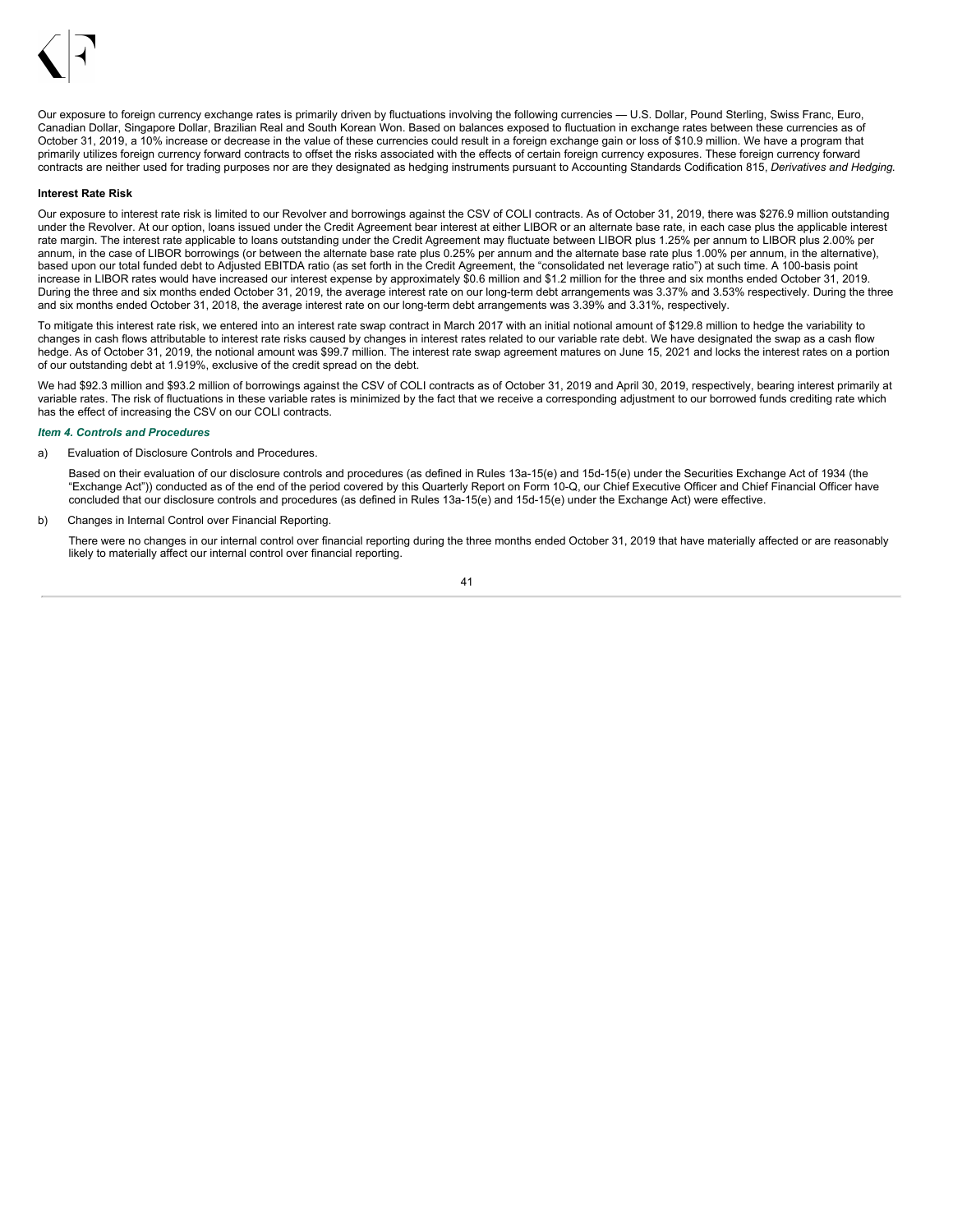

Our exposure to foreign currency exchange rates is primarily driven by fluctuations involving the following currencies — U.S. Dollar, Pound Sterling, Swiss Franc, Euro, Canadian Dollar, Singapore Dollar, Brazilian Real and South Korean Won. Based on balances exposed to fluctuation in exchange rates between these currencies as of October 31, 2019, a 10% increase or decrease in the value of these currencies could result in a foreign exchange gain or loss of \$10.9 million. We have a program that primarily utilizes foreign currency forward contracts to offset the risks associated with the effects of certain foreign currency exposures. These foreign currency forward contracts are neither used for trading purposes nor are they designated as hedging instruments pursuant to Accounting Standards Codification 815, *Derivatives and Hedging*.

#### **Interest Rate Risk**

Our exposure to interest rate risk is limited to our Revolver and borrowings against the CSV of COLI contracts. As of October 31, 2019, there was \$276.9 million outstanding under the Revolver. At our option, loans issued under the Credit Agreement bear interest at either LIBOR or an alternate base rate, in each case plus the applicable interest rate margin. The interest rate applicable to loans outstanding under the Credit Agreement may fluctuate between LIBOR plus 1.25% per annum to LIBOR plus 2.00% per annum, in the case of LIBOR borrowings (or between the alternate base rate plus 0.25% per annum and the alternate base rate plus 1.00% per annum, in the alternative), based upon our total funded debt to Adjusted EBITDA ratio (as set forth in the Credit Agreement, the "consolidated net leverage ratio") at such time. A 100-basis point increase in LIBOR rates would have increased our interest expense by approximately \$0.6 million and \$1.2 million for the three and six months ended October 31, 2019. During the three and six months ended October 31, 2019, the average interest rate on our long-term debt arrangements was 3.37% and 3.53% respectively. During the three and six months ended October 31, 2018, the average interest rate on our long-term debt arrangements was 3.39% and 3.31%, respectively.

To mitigate this interest rate risk, we entered into an interest rate swap contract in March 2017 with an initial notional amount of \$129.8 million to hedge the variability to changes in cash flows attributable to interest rate risks caused by changes in interest rates related to our variable rate debt. We have designated the swap as a cash flow hedge. As of October 31, 2019, the notional amount was \$99.7 million. The interest rate swap agreement matures on June 15, 2021 and locks the interest rates on a portion of our outstanding debt at 1.919%, exclusive of the credit spread on the debt.

We had \$92.3 million and \$93.2 million of borrowings against the CSV of COLI contracts as of October 31, 2019 and April 30, 2019, respectively, bearing interest primarily at variable rates. The risk of fluctuations in these variable rates is minimized by the fact that we receive a corresponding adjustment to our borrowed funds crediting rate which has the effect of increasing the CSV on our COLI contracts.

#### <span id="page-42-0"></span>*Item 4. Controls and Procedures*

a) Evaluation of Disclosure Controls and Procedures.

Based on their evaluation of our disclosure controls and procedures (as defined in Rules 13a-15(e) and 15d-15(e) under the Securities Exchange Act of 1934 (the "Exchange Act")) conducted as of the end of the period covered by this Quarterly Report on Form 10-Q, our Chief Executive Officer and Chief Financial Officer have concluded that our disclosure controls and procedures (as defined in Rules 13a-15(e) and 15d-15(e) under the Exchange Act) were effective.

b) Changes in Internal Control over Financial Reporting.

There were no changes in our internal control over financial reporting during the three months ended October 31, 2019 that have materially affected or are reasonably likely to materially affect our internal control over financial reporting.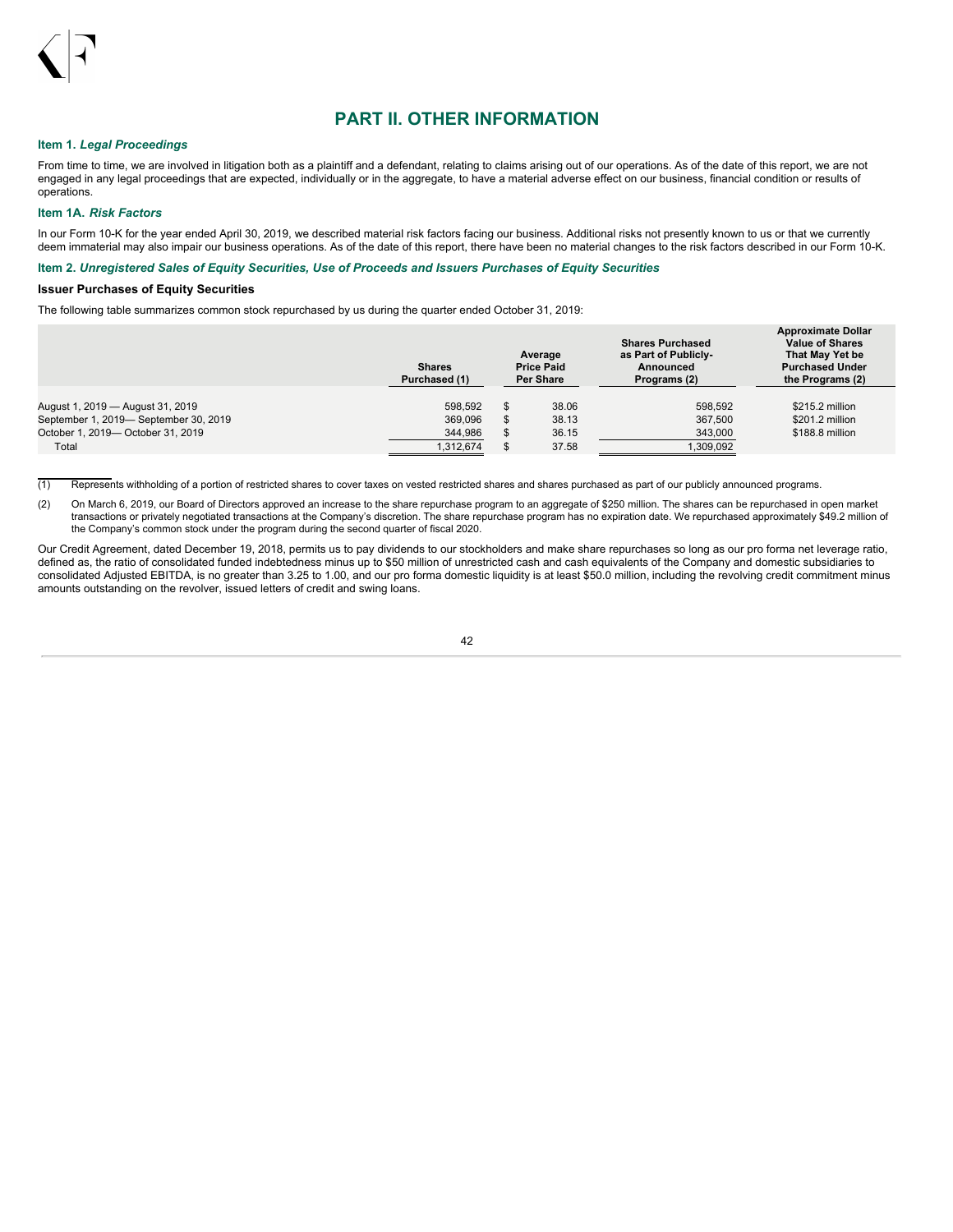

## **PART II. OTHER INFORMATION**

## <span id="page-43-0"></span>**Item 1.** *Legal Proceedings*

From time to time, we are involved in litigation both as a plaintiff and a defendant, relating to claims arising out of our operations. As of the date of this report, we are not engaged in any legal proceedings that are expected, individually or in the aggregate, to have a material adverse effect on our business, financial condition or results of operations.

#### <span id="page-43-1"></span>**Item 1A.** *Risk Factors*

In our Form 10-K for the year ended April 30, 2019, we described material risk factors facing our business. Additional risks not presently known to us or that we currently deem immaterial may also impair our business operations. As of the date of this report, there have been no material changes to the risk factors described in our Form 10-K.

## <span id="page-43-2"></span>**Item 2.** *Unregistered Sales of Equity Securities, Use of Proceeds and Issuers Purchases of Equity Securities*

### **Issuer Purchases of Equity Securities**

The following table summarizes common stock repurchased by us during the quarter ended October 31, 2019:

|                                                                            | <b>Shares</b><br>Purchased (1) | Average<br><b>Price Paid</b><br><b>Per Share</b> | <b>Shares Purchased</b><br>as Part of Publicly-<br>Announced<br>Programs (2) | <b>Approximate Dollar</b><br><b>Value of Shares</b><br>That May Yet be<br><b>Purchased Under</b><br>the Programs (2) |
|----------------------------------------------------------------------------|--------------------------------|--------------------------------------------------|------------------------------------------------------------------------------|----------------------------------------------------------------------------------------------------------------------|
| August 1, 2019 — August 31, 2019                                           | 598.592                        | 38.06                                            | 598.592                                                                      | \$215.2 million                                                                                                      |
| September 1, 2019- September 30, 2019<br>October 1, 2019- October 31, 2019 | 369.096                        | 38.13                                            | 367.500                                                                      | \$201.2 million<br>\$188.8 million                                                                                   |
| Total                                                                      | 344.986<br>1.312.674           | 36.15<br>37.58                                   | 343.000<br>1.309.092                                                         |                                                                                                                      |

 $(1)$  Represents withholding of a portion of restricted shares to cover taxes on vested restricted shares and shares purchased as part of our publicly announced programs.

(2) On March 6, 2019, our Board of Directors approved an increase to the share repurchase program to an aggregate of \$250 million. The shares can be repurchased in open market transactions or privately negotiated transactions at the Company's discretion. The share repurchase program has no expiration date. We repurchased approximately \$49.2 million of the Company's common stock under the program during the second quarter of fiscal 2020.

Our Credit Agreement, dated December 19, 2018, permits us to pay dividends to our stockholders and make share repurchases so long as our pro forma net leverage ratio, defined as, the ratio of consolidated funded indebtedness minus up to \$50 million of unrestricted cash and cash equivalents of the Company and domestic subsidiaries to consolidated Adjusted EBITDA, is no greater than 3.25 to 1.00, and our pro forma domestic liquidity is at least \$50.0 million, including the revolving credit commitment minus amounts outstanding on the revolver, issued letters of credit and swing loans.

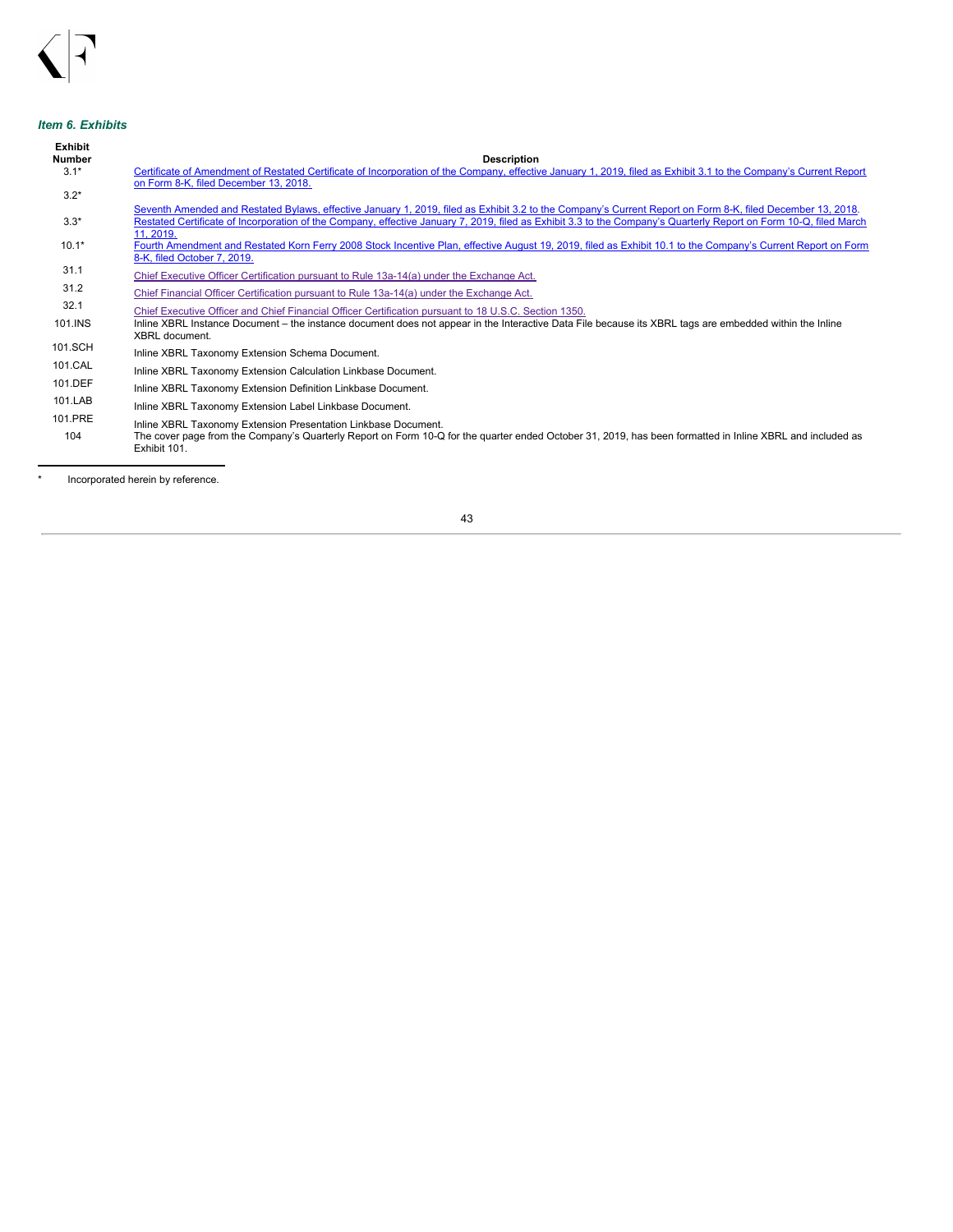## <span id="page-44-0"></span>*Item 6. Exhibits*

| Exhibit<br><b>Number</b> | <b>Description</b>                                                                                                                                                                                                                                                                                                              |
|--------------------------|---------------------------------------------------------------------------------------------------------------------------------------------------------------------------------------------------------------------------------------------------------------------------------------------------------------------------------|
| $3.1*$                   | Certificate of Amendment of Restated Certificate of Incorporation of the Company, effective January 1, 2019, filed as Exhibit 3.1 to the Company's Current Report                                                                                                                                                               |
|                          | on Form 8-K, filed December 13, 2018.                                                                                                                                                                                                                                                                                           |
| $3.2*$                   |                                                                                                                                                                                                                                                                                                                                 |
| $3.3*$                   | Seventh Amended and Restated Bylaws, effective January 1, 2019, filed as Exhibit 3.2 to the Company's Current Report on Form 8-K, filed December 13, 2018.<br>Restated Certificate of Incorporation of the Company, effective January 7, 2019, filed as Exhibit 3.3 to the Company's Quarterly Report on Form 10-Q, filed March |
|                          | 11, 2019.                                                                                                                                                                                                                                                                                                                       |
| $10.1*$                  | Fourth Amendment and Restated Korn Ferry 2008 Stock Incentive Plan, effective August 19, 2019, filed as Exhibit 10.1 to the Company's Current Report on Form                                                                                                                                                                    |
|                          | 8-K, filed October 7, 2019.                                                                                                                                                                                                                                                                                                     |
| 31.1                     | Chief Executive Officer Certification pursuant to Rule 13a-14(a) under the Exchange Act.                                                                                                                                                                                                                                        |
| 31.2                     | Chief Financial Officer Certification pursuant to Rule 13a-14(a) under the Exchange Act.                                                                                                                                                                                                                                        |
| 32.1                     | Chief Executive Officer and Chief Financial Officer Certification pursuant to 18 U.S.C. Section 1350.                                                                                                                                                                                                                           |
| 101.INS                  | Inline XBRL Instance Document – the instance document does not appear in the Interactive Data File because its XBRL tags are embedded within the Inline<br>XBRL document.                                                                                                                                                       |
| 101.SCH                  | Inline XBRL Taxonomy Extension Schema Document.                                                                                                                                                                                                                                                                                 |
| 101.CAL                  | Inline XBRL Taxonomy Extension Calculation Linkbase Document.                                                                                                                                                                                                                                                                   |
| 101.DEF                  | Inline XBRL Taxonomy Extension Definition Linkbase Document.                                                                                                                                                                                                                                                                    |
| 101.LAB                  | Inline XBRL Taxonomy Extension Label Linkbase Document.                                                                                                                                                                                                                                                                         |
| 101.PRE<br>104           | Inline XBRL Taxonomy Extension Presentation Linkbase Document.<br>The cover page from the Company's Quarterly Report on Form 10-Q for the guarter ended October 31, 2019, has been formatted in Inline XBRL and included as<br>Exhibit 101.                                                                                     |

\* Incorporated herein by reference.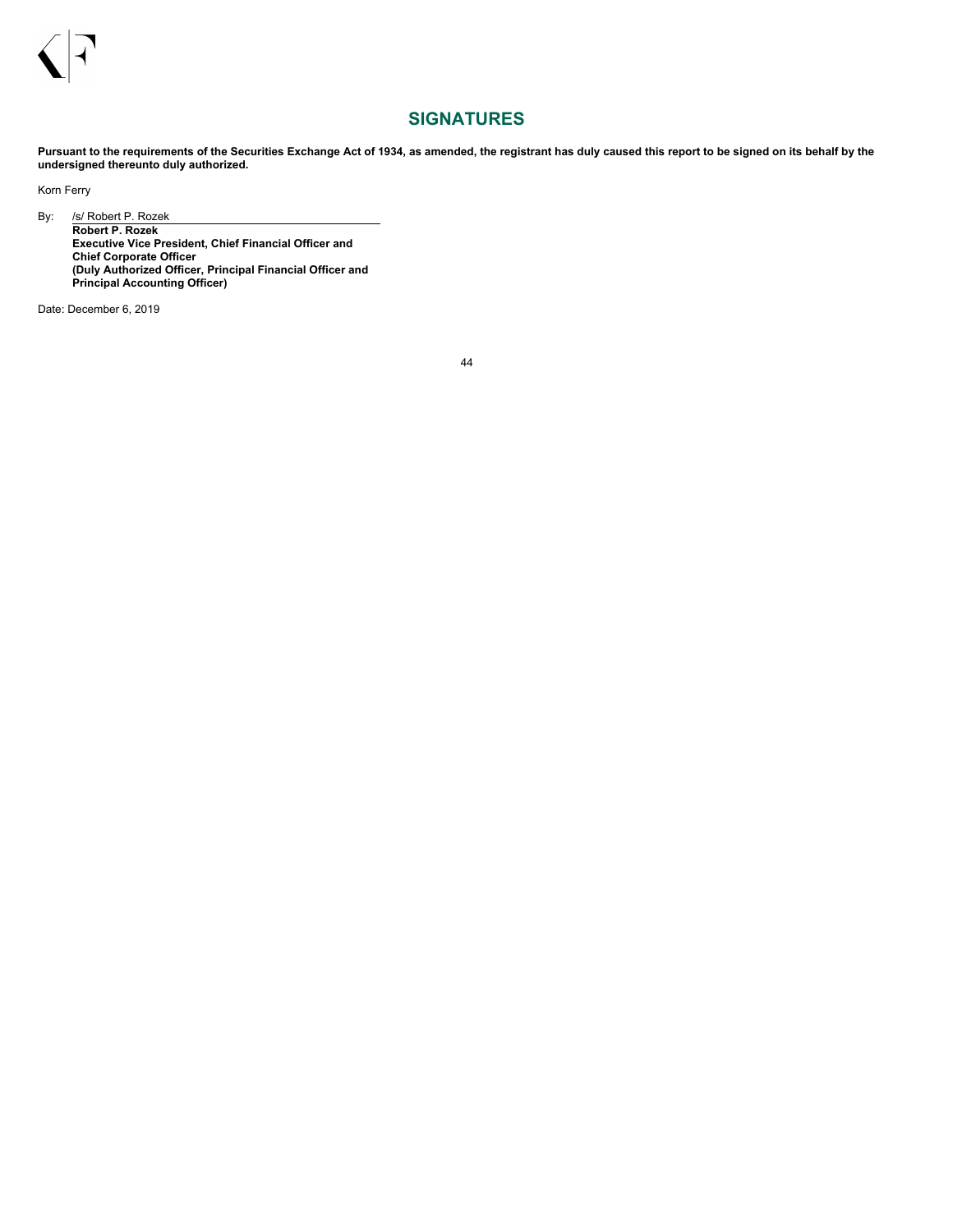

## **SIGNATURES**

<span id="page-45-0"></span>Pursuant to the requirements of the Securities Exchange Act of 1934, as amended, the registrant has duly caused this report to be signed on its behalf by the **undersigned thereunto duly authorized.**

Korn Ferry

By: /s/ Robert P. Rozek **Robert P. Rozek Executive Vice President, Chief Financial Officer and Chief Corporate Officer (Duly Authorized Officer, Principal Financial Officer and**

**Principal Accounting Officer)**

Date: December 6, 2019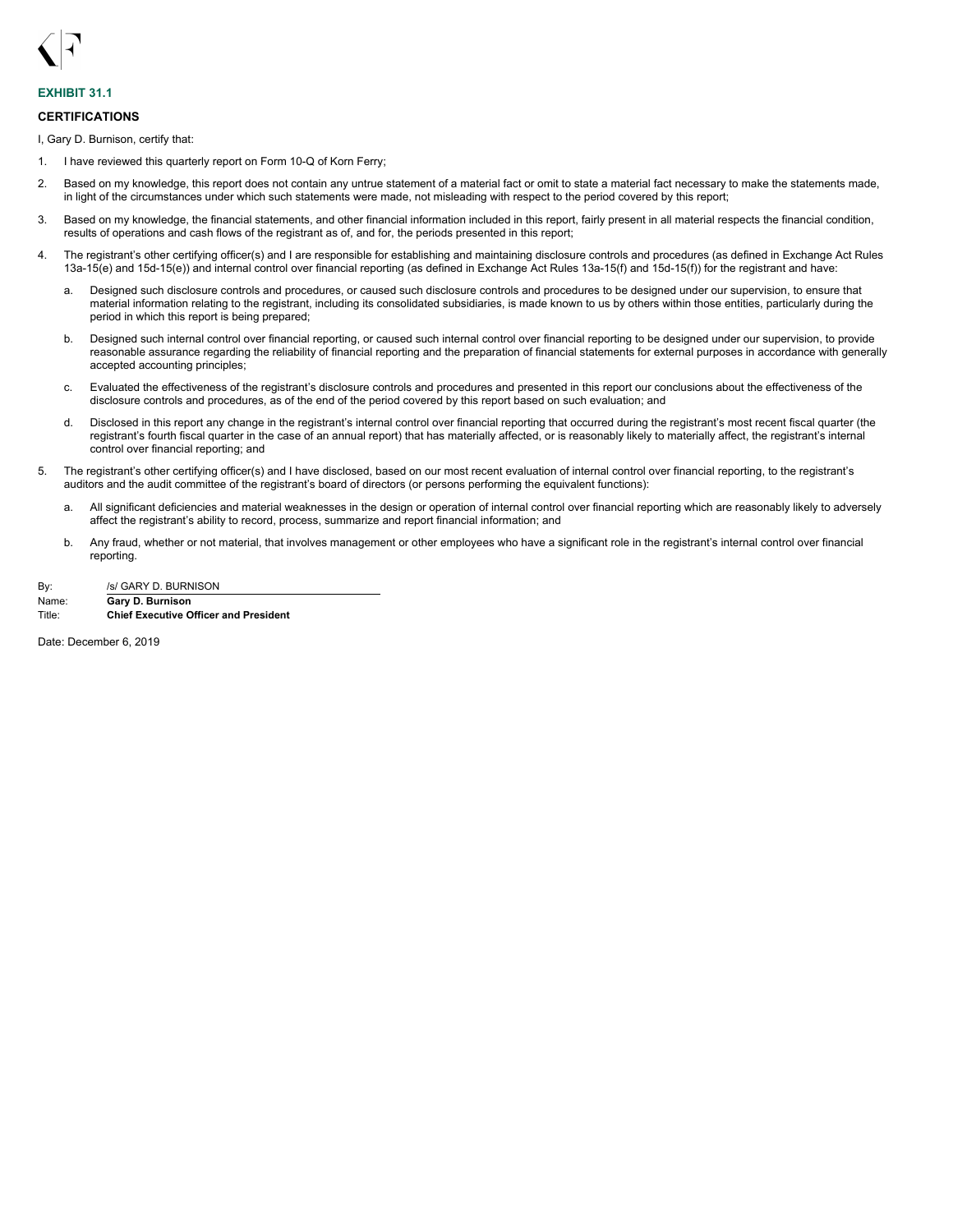<span id="page-46-0"></span>

## **EXHIBIT 31.1**

### **CERTIFICATIONS**

I, Gary D. Burnison, certify that:

- 1. I have reviewed this quarterly report on Form 10-Q of Korn Ferry;
- 2. Based on my knowledge, this report does not contain any untrue statement of a material fact or omit to state a material fact necessary to make the statements made, in light of the circumstances under which such statements were made, not misleading with respect to the period covered by this report;
- 3. Based on my knowledge, the financial statements, and other financial information included in this report, fairly present in all material respects the financial condition, results of operations and cash flows of the registrant as of, and for, the periods presented in this report;
- 4. The registrant's other certifying officer(s) and I are responsible for establishing and maintaining disclosure controls and procedures (as defined in Exchange Act Rules 13a-15(e) and 15d-15(e)) and internal control over financial reporting (as defined in Exchange Act Rules 13a-15(f) and 15d-15(f)) for the registrant and have:
	- a. Designed such disclosure controls and procedures, or caused such disclosure controls and procedures to be designed under our supervision, to ensure that material information relating to the registrant, including its consolidated subsidiaries, is made known to us by others within those entities, particularly during the period in which this report is being prepared;
	- b. Designed such internal control over financial reporting, or caused such internal control over financial reporting to be designed under our supervision, to provide reasonable assurance regarding the reliability of financial reporting and the preparation of financial statements for external purposes in accordance with generally accepted accounting principles;
	- c. Evaluated the effectiveness of the registrant's disclosure controls and procedures and presented in this report our conclusions about the effectiveness of the disclosure controls and procedures, as of the end of the period covered by this report based on such evaluation; and
	- d. Disclosed in this report any change in the registrant's internal control over financial reporting that occurred during the registrant's most recent fiscal quarter (the registrant's fourth fiscal quarter in the case of an annual report) that has materially affected, or is reasonably likely to materially affect, the registrant's internal control over financial reporting; and
- 5. The registrant's other certifying officer(s) and I have disclosed, based on our most recent evaluation of internal control over financial reporting, to the registrant's auditors and the audit committee of the registrant's board of directors (or persons performing the equivalent functions):
	- a. All significant deficiencies and material weaknesses in the design or operation of internal control over financial reporting which are reasonably likely to adversely affect the registrant's ability to record, process, summarize and report financial information; and
	- b. Any fraud, whether or not material, that involves management or other employees who have a significant role in the registrant's internal control over financial reporting.
- By: /s/ GARY D. BURNISON Name: **Gary D. Burnison**

Title: **Chief Executive Officer and President**

Date: December 6, 2019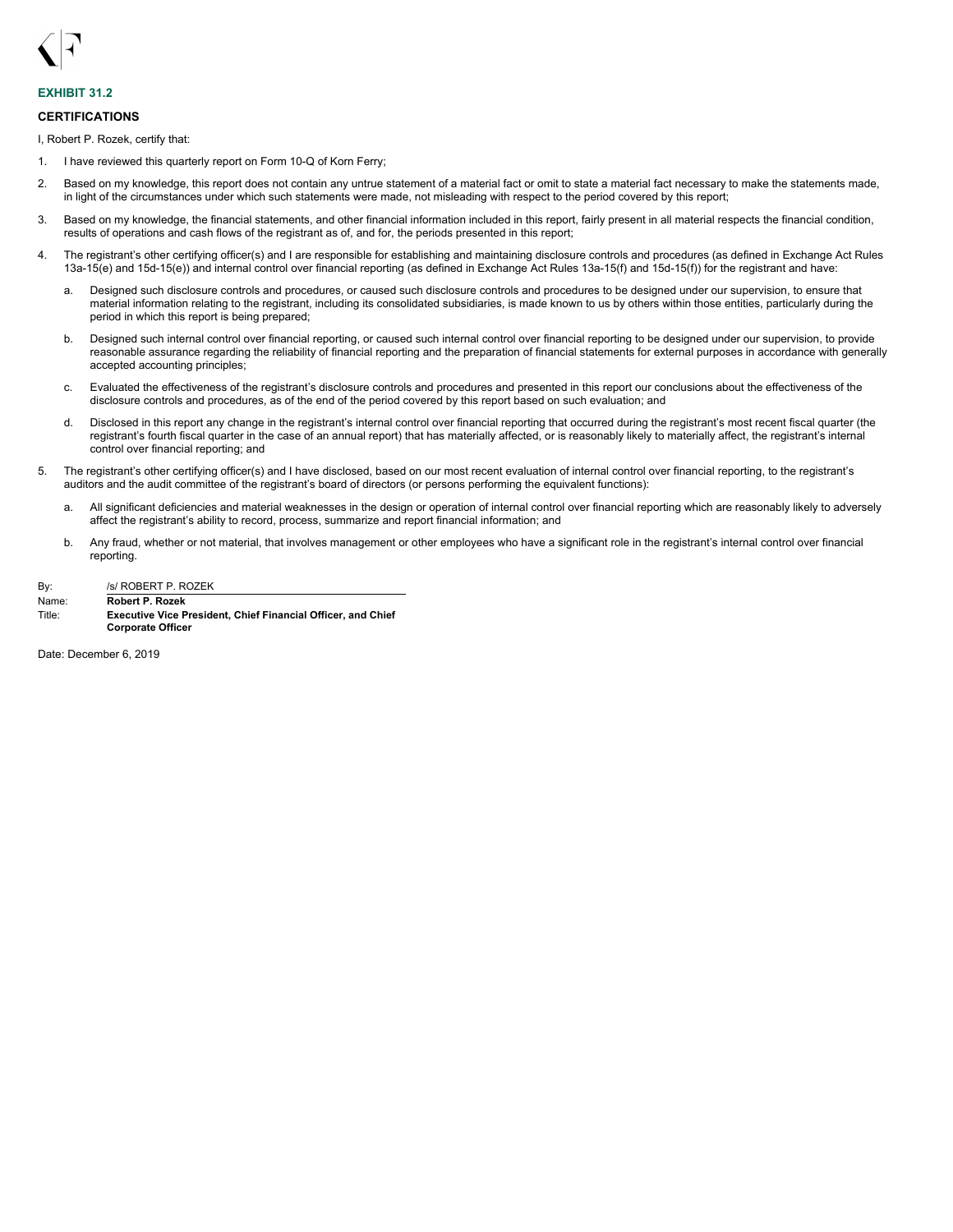<span id="page-47-0"></span>

## **EXHIBIT 31.2**

### **CERTIFICATIONS**

I, Robert P. Rozek, certify that:

- 1. I have reviewed this quarterly report on Form 10-Q of Korn Ferry;
- 2. Based on my knowledge, this report does not contain any untrue statement of a material fact or omit to state a material fact necessary to make the statements made, in light of the circumstances under which such statements were made, not misleading with respect to the period covered by this report;
- 3. Based on my knowledge, the financial statements, and other financial information included in this report, fairly present in all material respects the financial condition, results of operations and cash flows of the registrant as of, and for, the periods presented in this report;
- 4. The registrant's other certifying officer(s) and I are responsible for establishing and maintaining disclosure controls and procedures (as defined in Exchange Act Rules 13a-15(e) and 15d-15(e)) and internal control over financial reporting (as defined in Exchange Act Rules 13a-15(f) and 15d-15(f)) for the registrant and have:
	- a. Designed such disclosure controls and procedures, or caused such disclosure controls and procedures to be designed under our supervision, to ensure that material information relating to the registrant, including its consolidated subsidiaries, is made known to us by others within those entities, particularly during the period in which this report is being prepared;
	- b. Designed such internal control over financial reporting, or caused such internal control over financial reporting to be designed under our supervision, to provide reasonable assurance regarding the reliability of financial reporting and the preparation of financial statements for external purposes in accordance with generally accepted accounting principles;
	- c. Evaluated the effectiveness of the registrant's disclosure controls and procedures and presented in this report our conclusions about the effectiveness of the disclosure controls and procedures, as of the end of the period covered by this report based on such evaluation; and
	- d. Disclosed in this report any change in the registrant's internal control over financial reporting that occurred during the registrant's most recent fiscal quarter (the registrant's fourth fiscal quarter in the case of an annual report) that has materially affected, or is reasonably likely to materially affect, the registrant's internal control over financial reporting; and
- 5. The registrant's other certifying officer(s) and I have disclosed, based on our most recent evaluation of internal control over financial reporting, to the registrant's auditors and the audit committee of the registrant's board of directors (or persons performing the equivalent functions):
	- a. All significant deficiencies and material weaknesses in the design or operation of internal control over financial reporting which are reasonably likely to adversely affect the registrant's ability to record, process, summarize and report financial information; and
	- b. Any fraud, whether or not material, that involves management or other employees who have a significant role in the registrant's internal control over financial reporting.

| By:    | /s/ ROBERT P. ROZEK                        |
|--------|--------------------------------------------|
| Name:  | Robert P. Rozek                            |
| ᅲ:*!⌒・ | Evenutive Vice Breadant, Chief Eineneigl O |

Title: **Executive Vice President, Chief Financial Officer, and Chief Corporate Officer**

Date: December 6, 2019